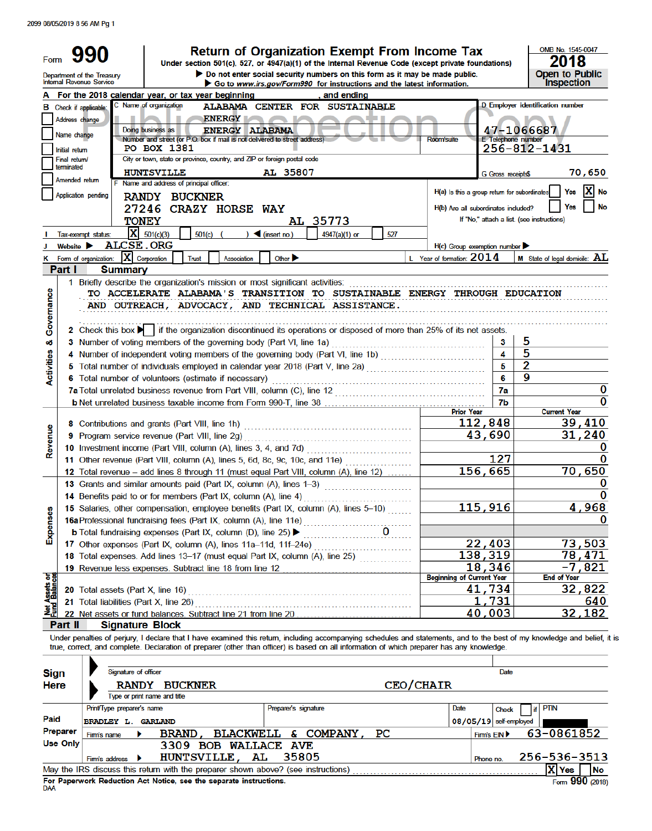2099 08/05/2019 8 56 AM Pg 1

| Form                       |                                 | <b>Return of Organization Exempt From Income Tax</b><br>Under section 501(c), 527, or 4947(a)(1) of the Internal Revenue Code (except private foundations)                                                                                                                                                                                    |                                              |                           | OMB No. 1545-0047<br>2018                                      |
|----------------------------|---------------------------------|-----------------------------------------------------------------------------------------------------------------------------------------------------------------------------------------------------------------------------------------------------------------------------------------------------------------------------------------------|----------------------------------------------|---------------------------|----------------------------------------------------------------|
|                            |                                 | $\blacktriangleright$ Do not enter social security numbers on this form as it may be made public.<br>Department of the Treasury<br>Internal Revenue Service<br>Go to www.irs.gov/Form990 for instructions and the latest information.                                                                                                         |                                              |                           | <b>Open to Public</b><br><b>Inspection</b>                     |
|                            |                                 | A For the 2018 calendar year, or tax year beginning<br>, and ending                                                                                                                                                                                                                                                                           |                                              |                           |                                                                |
| в                          | Address change<br>Name change   | C Name of organization<br>ALABAMA CENTER FOR SUSTAINABLE<br>Check if applicable:<br><b>ENERGY</b><br>Doing business as<br><b>ENERGY ALABAMA</b><br>Number and street (or P.O. box if mail is not delivered to street address)<br><b>PO BOX 1381</b>                                                                                           | <b>Room/suite</b>                            | <b>E</b> Telephone number | D Employer identification number<br>47-1066687<br>256-812-1431 |
|                            | Initial return<br>Final return/ | City or town, state or province, country, and ZIP or foreign postal code                                                                                                                                                                                                                                                                      |                                              |                           |                                                                |
|                            | terminated                      | <b>HUNTSVILLE</b><br>AL 35807                                                                                                                                                                                                                                                                                                                 |                                              | G Gross receipts\$        | 70,650                                                         |
|                            | Amended return                  | F Name and address of principal officer:                                                                                                                                                                                                                                                                                                      |                                              |                           |                                                                |
|                            |                                 | Application pending<br><b>RANDY BUCKNER</b>                                                                                                                                                                                                                                                                                                   | H(a) Is this a group return for subordinates |                           | Yes<br>No                                                      |
|                            |                                 | 27246 CRAZY HORSE WAY                                                                                                                                                                                                                                                                                                                         | H(b) Are all subordinates included?          |                           | No<br>Yes                                                      |
|                            |                                 | <b>TONEY</b><br>AL 35773                                                                                                                                                                                                                                                                                                                      |                                              |                           | If "No," attach a list. (see instructions)                     |
|                            |                                 | $X = 501(c)(3)$<br>501(c)<br>$\triangleleft$ (insert no.)<br>527<br>Y<br>4947(a)(1) or<br>Tax-exempt status:                                                                                                                                                                                                                                  |                                              |                           |                                                                |
|                            | Website >                       | <b>ALCSE.ORG</b>                                                                                                                                                                                                                                                                                                                              | $H(c)$ Group exemption number                |                           |                                                                |
| κ                          |                                 | X Corporation<br>Other $\blacktriangleright$<br>Form of organization:<br><b>Trust</b><br>Association                                                                                                                                                                                                                                          | L Year of formation: 2014                    |                           | <b>M</b> State of legal domicile: $AL$                         |
|                            | Part I                          | <b>Summary</b><br>1 Briefly describe the organization's mission or most significant activities:                                                                                                                                                                                                                                               |                                              |                           |                                                                |
| Governance                 |                                 | TO ACCELERATE ALABAMA'S TRANSITION TO SUSTAINABLE ENERGY THROUGH EDUCATION<br>AND OUTREACH, ADVOCACY, AND TECHNICAL ASSISTANCE.                                                                                                                                                                                                               |                                              |                           |                                                                |
|                            |                                 | 2 Check this box $\blacktriangleright$ if the organization discontinued its operations or disposed of more than 25% of its net assets.                                                                                                                                                                                                        |                                              |                           |                                                                |
| оð                         |                                 | 3 Number of voting members of the governing body (Part VI, line 1a)                                                                                                                                                                                                                                                                           |                                              | 3<br>4                    | 5<br>5                                                         |
| Activities                 |                                 | 4 Number of independent voting members of the governing body (Part VI, line 1b)                                                                                                                                                                                                                                                               |                                              | 5                         | $\overline{2}$                                                 |
|                            |                                 | 6 Total number of volunteers (estimate if necessary)                                                                                                                                                                                                                                                                                          |                                              | 6                         | 9                                                              |
|                            |                                 |                                                                                                                                                                                                                                                                                                                                               |                                              | 7a                        | 0                                                              |
|                            |                                 |                                                                                                                                                                                                                                                                                                                                               |                                              | 7b                        | 0                                                              |
|                            |                                 |                                                                                                                                                                                                                                                                                                                                               | <b>Prior Year</b>                            |                           | <b>Current Year</b>                                            |
|                            |                                 | 8 Contributions and grants (Part VIII, line 1h)                                                                                                                                                                                                                                                                                               | 112,848                                      |                           | 39,410                                                         |
|                            |                                 | 9 Program service revenue (Part VIII, line 2g)                                                                                                                                                                                                                                                                                                |                                              | 43,690                    | 31,240                                                         |
| Revenue                    |                                 | 10 Investment income (Part VIII, column (A), lines 3, 4, and 7d)                                                                                                                                                                                                                                                                              |                                              |                           | 0                                                              |
|                            |                                 | 11 Other revenue (Part VIII, column (A), lines 5, 6d, 8c, 9c, 10c, and 11e)<br>.                                                                                                                                                                                                                                                              |                                              | 127                       | 0                                                              |
|                            |                                 | 12 Total revenue – add lines 8 through 11 (must equal Part VIII, column (A), line 12)                                                                                                                                                                                                                                                         | 156,665                                      |                           | 70,650                                                         |
|                            |                                 | 13 Grants and similar amounts paid (Part IX, column (A), lines 1-3)                                                                                                                                                                                                                                                                           |                                              |                           | 0                                                              |
|                            |                                 | 14 Benefits paid to or for members (Part IX, column (A), line 4)                                                                                                                                                                                                                                                                              |                                              |                           | 0                                                              |
|                            |                                 | 15 Salaries, other compensation, employee benefits (Part IX, column (A), lines 5-10)                                                                                                                                                                                                                                                          | 115,916                                      |                           | 4,968                                                          |
| Expenses                   |                                 | 16a Professional fundraising fees (Part IX, column (A), line 11e)                                                                                                                                                                                                                                                                             |                                              |                           | O                                                              |
|                            |                                 | <b>b</b> Total fundraising expenses (Part IX, column (D), line 25) $\blacktriangleright$                                                                                                                                                                                                                                                      |                                              | 22,403                    | 73,503                                                         |
|                            |                                 | 17 Other expenses (Part IX, column (A), lines 11a-11d, 11f-24e)<br>18 Total expenses. Add lines 13-17 (must equal Part IX, column (A), line 25)                                                                                                                                                                                               | 138,319                                      |                           | 78,471                                                         |
|                            |                                 |                                                                                                                                                                                                                                                                                                                                               |                                              | 18,346                    | $-7,821$                                                       |
|                            |                                 |                                                                                                                                                                                                                                                                                                                                               | <b>Beginning of Current Year</b>             |                           | <b>End of Year</b>                                             |
| t Assets or<br>nd Balances |                                 |                                                                                                                                                                                                                                                                                                                                               |                                              | 41,734                    | 32,822                                                         |
|                            |                                 | 21 Total liabilities (Part X, line 26)                                                                                                                                                                                                                                                                                                        |                                              | 1,731                     | 640                                                            |
| 美                          |                                 | 22 Net assets or fund balances. Subtract line 21 from line 20                                                                                                                                                                                                                                                                                 |                                              | 40,003                    | 32,182                                                         |
|                            | Part II                         | <b>Signature Block</b>                                                                                                                                                                                                                                                                                                                        |                                              |                           |                                                                |
| <b>Sign</b>                |                                 | Under penalties of perjury, I declare that I have examined this return, including accompanying schedules and statements, and to the best of my knowledge and belief, it<br>true, correct, and complete. Declaration of preparer (other than officer) is based on all information of which preparer has any knowledge.<br>Signature of officer |                                              | <b>Date</b>               |                                                                |
| <b>Here</b>                |                                 | RANDY BUCKNER                                                                                                                                                                                                                                                                                                                                 | <b>CEO/CHAIR</b>                             |                           |                                                                |
|                            |                                 | Type or print name and title                                                                                                                                                                                                                                                                                                                  |                                              |                           |                                                                |
|                            |                                 | Print/Type preparer's name<br>Preparer's signature                                                                                                                                                                                                                                                                                            | Date                                         | <b>Check</b>              | <b>PTIN</b><br>ïf                                              |
| Paid                       |                                 | <b>BRADLEY L. GARLAND</b>                                                                                                                                                                                                                                                                                                                     | 08/05/19 self-employed                       |                           |                                                                |
|                            | Preparer                        | BLACKWELL & COMPANY,<br>$_{\rm PC}$<br>BRAND ,<br>Firm's name                                                                                                                                                                                                                                                                                 |                                              | Firm's EIN                | 63-0861852                                                     |
|                            | <b>Use Only</b>                 | 3309 BOB WALLACE AVE                                                                                                                                                                                                                                                                                                                          |                                              |                           |                                                                |
|                            |                                 | HUNTSVILLE,<br>AL<br>35805<br>Firm's address                                                                                                                                                                                                                                                                                                  |                                              | Phone no.                 | 256-536-3513                                                   |
|                            |                                 | May the IRS discuss this return with the preparer shown above? (see instructions)                                                                                                                                                                                                                                                             |                                              |                           | X Yes<br><b>No</b>                                             |

İS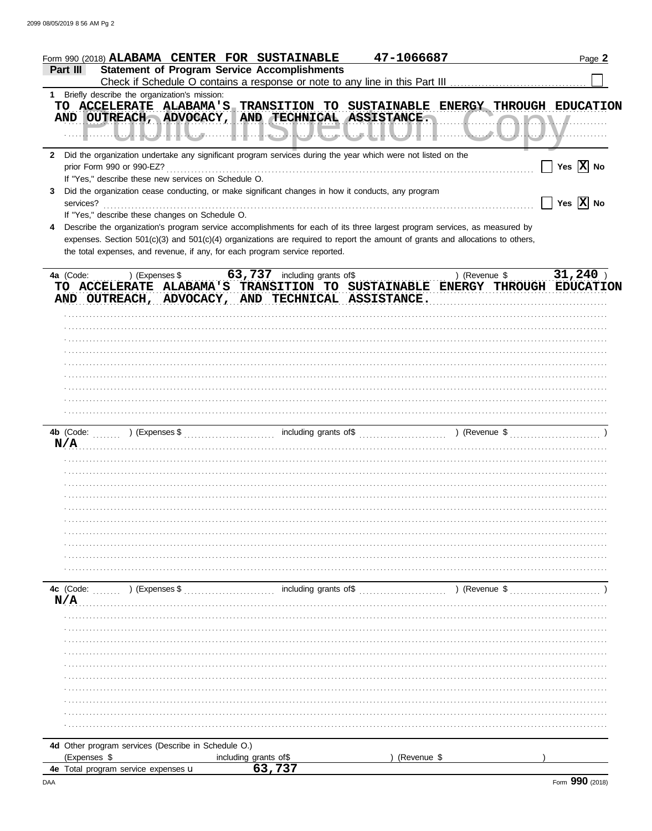| <b>Statement of Program Service Accomplishments</b><br>Part III<br>1 Briefly describe the organization's mission:<br>TO ACCELERATE ALABAMA'S TRANSITION TO SUSTAINABLE ENERGY THROUGH EDUCATION<br>AND OUTREACH, ADVOCACY, AND TECHNICAL ASSISTANCE.<br><b>\\/</b><br>Did the organization undertake any significant program services during the year which were not listed on the<br>$\mathbf{2}$<br>$\vert$ Yes $\vert$ X No<br>prior Form 990 or 990-EZ?<br>If "Yes," describe these new services on Schedule O.<br>Did the organization cease conducting, or make significant changes in how it conducts, any program<br>3<br>$\boxed{\phantom{1}}$ Yes $\boxed{\textbf{X}}$ No<br>services?<br>If "Yes," describe these changes on Schedule O.<br>Describe the organization's program service accomplishments for each of its three largest program services, as measured by<br>4<br>expenses. Section 501(c)(3) and 501(c)(4) organizations are required to report the amount of grants and allocations to others,<br>the total expenses, and revenue, if any, for each program service reported.<br>31,240<br>63,737 including grants of\$<br>4a (Code:<br>) (Revenue \$<br>) (Expenses \$<br>TO ACCELERATE ALABAMA'S TRANSITION TO SUSTAINABLE ENERGY THROUGH EDUCATION<br>AND OUTREACH, ADVOCACY, AND TECHNICAL ASSISTANCE.<br>N/A<br>4c (Code:<br>$\ldots$ ) (Expenses \$<br>N/A |  |
|--------------------------------------------------------------------------------------------------------------------------------------------------------------------------------------------------------------------------------------------------------------------------------------------------------------------------------------------------------------------------------------------------------------------------------------------------------------------------------------------------------------------------------------------------------------------------------------------------------------------------------------------------------------------------------------------------------------------------------------------------------------------------------------------------------------------------------------------------------------------------------------------------------------------------------------------------------------------------------------------------------------------------------------------------------------------------------------------------------------------------------------------------------------------------------------------------------------------------------------------------------------------------------------------------------------------------------------------------------------------------------------------|--|
|                                                                                                                                                                                                                                                                                                                                                                                                                                                                                                                                                                                                                                                                                                                                                                                                                                                                                                                                                                                                                                                                                                                                                                                                                                                                                                                                                                                            |  |
|                                                                                                                                                                                                                                                                                                                                                                                                                                                                                                                                                                                                                                                                                                                                                                                                                                                                                                                                                                                                                                                                                                                                                                                                                                                                                                                                                                                            |  |
|                                                                                                                                                                                                                                                                                                                                                                                                                                                                                                                                                                                                                                                                                                                                                                                                                                                                                                                                                                                                                                                                                                                                                                                                                                                                                                                                                                                            |  |
|                                                                                                                                                                                                                                                                                                                                                                                                                                                                                                                                                                                                                                                                                                                                                                                                                                                                                                                                                                                                                                                                                                                                                                                                                                                                                                                                                                                            |  |
|                                                                                                                                                                                                                                                                                                                                                                                                                                                                                                                                                                                                                                                                                                                                                                                                                                                                                                                                                                                                                                                                                                                                                                                                                                                                                                                                                                                            |  |
|                                                                                                                                                                                                                                                                                                                                                                                                                                                                                                                                                                                                                                                                                                                                                                                                                                                                                                                                                                                                                                                                                                                                                                                                                                                                                                                                                                                            |  |
|                                                                                                                                                                                                                                                                                                                                                                                                                                                                                                                                                                                                                                                                                                                                                                                                                                                                                                                                                                                                                                                                                                                                                                                                                                                                                                                                                                                            |  |
|                                                                                                                                                                                                                                                                                                                                                                                                                                                                                                                                                                                                                                                                                                                                                                                                                                                                                                                                                                                                                                                                                                                                                                                                                                                                                                                                                                                            |  |
|                                                                                                                                                                                                                                                                                                                                                                                                                                                                                                                                                                                                                                                                                                                                                                                                                                                                                                                                                                                                                                                                                                                                                                                                                                                                                                                                                                                            |  |
|                                                                                                                                                                                                                                                                                                                                                                                                                                                                                                                                                                                                                                                                                                                                                                                                                                                                                                                                                                                                                                                                                                                                                                                                                                                                                                                                                                                            |  |
|                                                                                                                                                                                                                                                                                                                                                                                                                                                                                                                                                                                                                                                                                                                                                                                                                                                                                                                                                                                                                                                                                                                                                                                                                                                                                                                                                                                            |  |
|                                                                                                                                                                                                                                                                                                                                                                                                                                                                                                                                                                                                                                                                                                                                                                                                                                                                                                                                                                                                                                                                                                                                                                                                                                                                                                                                                                                            |  |
|                                                                                                                                                                                                                                                                                                                                                                                                                                                                                                                                                                                                                                                                                                                                                                                                                                                                                                                                                                                                                                                                                                                                                                                                                                                                                                                                                                                            |  |
|                                                                                                                                                                                                                                                                                                                                                                                                                                                                                                                                                                                                                                                                                                                                                                                                                                                                                                                                                                                                                                                                                                                                                                                                                                                                                                                                                                                            |  |
|                                                                                                                                                                                                                                                                                                                                                                                                                                                                                                                                                                                                                                                                                                                                                                                                                                                                                                                                                                                                                                                                                                                                                                                                                                                                                                                                                                                            |  |
|                                                                                                                                                                                                                                                                                                                                                                                                                                                                                                                                                                                                                                                                                                                                                                                                                                                                                                                                                                                                                                                                                                                                                                                                                                                                                                                                                                                            |  |
|                                                                                                                                                                                                                                                                                                                                                                                                                                                                                                                                                                                                                                                                                                                                                                                                                                                                                                                                                                                                                                                                                                                                                                                                                                                                                                                                                                                            |  |
|                                                                                                                                                                                                                                                                                                                                                                                                                                                                                                                                                                                                                                                                                                                                                                                                                                                                                                                                                                                                                                                                                                                                                                                                                                                                                                                                                                                            |  |
|                                                                                                                                                                                                                                                                                                                                                                                                                                                                                                                                                                                                                                                                                                                                                                                                                                                                                                                                                                                                                                                                                                                                                                                                                                                                                                                                                                                            |  |
|                                                                                                                                                                                                                                                                                                                                                                                                                                                                                                                                                                                                                                                                                                                                                                                                                                                                                                                                                                                                                                                                                                                                                                                                                                                                                                                                                                                            |  |
|                                                                                                                                                                                                                                                                                                                                                                                                                                                                                                                                                                                                                                                                                                                                                                                                                                                                                                                                                                                                                                                                                                                                                                                                                                                                                                                                                                                            |  |
|                                                                                                                                                                                                                                                                                                                                                                                                                                                                                                                                                                                                                                                                                                                                                                                                                                                                                                                                                                                                                                                                                                                                                                                                                                                                                                                                                                                            |  |
|                                                                                                                                                                                                                                                                                                                                                                                                                                                                                                                                                                                                                                                                                                                                                                                                                                                                                                                                                                                                                                                                                                                                                                                                                                                                                                                                                                                            |  |
|                                                                                                                                                                                                                                                                                                                                                                                                                                                                                                                                                                                                                                                                                                                                                                                                                                                                                                                                                                                                                                                                                                                                                                                                                                                                                                                                                                                            |  |
|                                                                                                                                                                                                                                                                                                                                                                                                                                                                                                                                                                                                                                                                                                                                                                                                                                                                                                                                                                                                                                                                                                                                                                                                                                                                                                                                                                                            |  |
|                                                                                                                                                                                                                                                                                                                                                                                                                                                                                                                                                                                                                                                                                                                                                                                                                                                                                                                                                                                                                                                                                                                                                                                                                                                                                                                                                                                            |  |
|                                                                                                                                                                                                                                                                                                                                                                                                                                                                                                                                                                                                                                                                                                                                                                                                                                                                                                                                                                                                                                                                                                                                                                                                                                                                                                                                                                                            |  |
|                                                                                                                                                                                                                                                                                                                                                                                                                                                                                                                                                                                                                                                                                                                                                                                                                                                                                                                                                                                                                                                                                                                                                                                                                                                                                                                                                                                            |  |
|                                                                                                                                                                                                                                                                                                                                                                                                                                                                                                                                                                                                                                                                                                                                                                                                                                                                                                                                                                                                                                                                                                                                                                                                                                                                                                                                                                                            |  |
|                                                                                                                                                                                                                                                                                                                                                                                                                                                                                                                                                                                                                                                                                                                                                                                                                                                                                                                                                                                                                                                                                                                                                                                                                                                                                                                                                                                            |  |
|                                                                                                                                                                                                                                                                                                                                                                                                                                                                                                                                                                                                                                                                                                                                                                                                                                                                                                                                                                                                                                                                                                                                                                                                                                                                                                                                                                                            |  |
|                                                                                                                                                                                                                                                                                                                                                                                                                                                                                                                                                                                                                                                                                                                                                                                                                                                                                                                                                                                                                                                                                                                                                                                                                                                                                                                                                                                            |  |
|                                                                                                                                                                                                                                                                                                                                                                                                                                                                                                                                                                                                                                                                                                                                                                                                                                                                                                                                                                                                                                                                                                                                                                                                                                                                                                                                                                                            |  |
|                                                                                                                                                                                                                                                                                                                                                                                                                                                                                                                                                                                                                                                                                                                                                                                                                                                                                                                                                                                                                                                                                                                                                                                                                                                                                                                                                                                            |  |
|                                                                                                                                                                                                                                                                                                                                                                                                                                                                                                                                                                                                                                                                                                                                                                                                                                                                                                                                                                                                                                                                                                                                                                                                                                                                                                                                                                                            |  |
|                                                                                                                                                                                                                                                                                                                                                                                                                                                                                                                                                                                                                                                                                                                                                                                                                                                                                                                                                                                                                                                                                                                                                                                                                                                                                                                                                                                            |  |
|                                                                                                                                                                                                                                                                                                                                                                                                                                                                                                                                                                                                                                                                                                                                                                                                                                                                                                                                                                                                                                                                                                                                                                                                                                                                                                                                                                                            |  |
|                                                                                                                                                                                                                                                                                                                                                                                                                                                                                                                                                                                                                                                                                                                                                                                                                                                                                                                                                                                                                                                                                                                                                                                                                                                                                                                                                                                            |  |
|                                                                                                                                                                                                                                                                                                                                                                                                                                                                                                                                                                                                                                                                                                                                                                                                                                                                                                                                                                                                                                                                                                                                                                                                                                                                                                                                                                                            |  |
|                                                                                                                                                                                                                                                                                                                                                                                                                                                                                                                                                                                                                                                                                                                                                                                                                                                                                                                                                                                                                                                                                                                                                                                                                                                                                                                                                                                            |  |
|                                                                                                                                                                                                                                                                                                                                                                                                                                                                                                                                                                                                                                                                                                                                                                                                                                                                                                                                                                                                                                                                                                                                                                                                                                                                                                                                                                                            |  |
|                                                                                                                                                                                                                                                                                                                                                                                                                                                                                                                                                                                                                                                                                                                                                                                                                                                                                                                                                                                                                                                                                                                                                                                                                                                                                                                                                                                            |  |
|                                                                                                                                                                                                                                                                                                                                                                                                                                                                                                                                                                                                                                                                                                                                                                                                                                                                                                                                                                                                                                                                                                                                                                                                                                                                                                                                                                                            |  |
|                                                                                                                                                                                                                                                                                                                                                                                                                                                                                                                                                                                                                                                                                                                                                                                                                                                                                                                                                                                                                                                                                                                                                                                                                                                                                                                                                                                            |  |
|                                                                                                                                                                                                                                                                                                                                                                                                                                                                                                                                                                                                                                                                                                                                                                                                                                                                                                                                                                                                                                                                                                                                                                                                                                                                                                                                                                                            |  |
|                                                                                                                                                                                                                                                                                                                                                                                                                                                                                                                                                                                                                                                                                                                                                                                                                                                                                                                                                                                                                                                                                                                                                                                                                                                                                                                                                                                            |  |
|                                                                                                                                                                                                                                                                                                                                                                                                                                                                                                                                                                                                                                                                                                                                                                                                                                                                                                                                                                                                                                                                                                                                                                                                                                                                                                                                                                                            |  |
|                                                                                                                                                                                                                                                                                                                                                                                                                                                                                                                                                                                                                                                                                                                                                                                                                                                                                                                                                                                                                                                                                                                                                                                                                                                                                                                                                                                            |  |
|                                                                                                                                                                                                                                                                                                                                                                                                                                                                                                                                                                                                                                                                                                                                                                                                                                                                                                                                                                                                                                                                                                                                                                                                                                                                                                                                                                                            |  |
|                                                                                                                                                                                                                                                                                                                                                                                                                                                                                                                                                                                                                                                                                                                                                                                                                                                                                                                                                                                                                                                                                                                                                                                                                                                                                                                                                                                            |  |
|                                                                                                                                                                                                                                                                                                                                                                                                                                                                                                                                                                                                                                                                                                                                                                                                                                                                                                                                                                                                                                                                                                                                                                                                                                                                                                                                                                                            |  |
|                                                                                                                                                                                                                                                                                                                                                                                                                                                                                                                                                                                                                                                                                                                                                                                                                                                                                                                                                                                                                                                                                                                                                                                                                                                                                                                                                                                            |  |
|                                                                                                                                                                                                                                                                                                                                                                                                                                                                                                                                                                                                                                                                                                                                                                                                                                                                                                                                                                                                                                                                                                                                                                                                                                                                                                                                                                                            |  |
|                                                                                                                                                                                                                                                                                                                                                                                                                                                                                                                                                                                                                                                                                                                                                                                                                                                                                                                                                                                                                                                                                                                                                                                                                                                                                                                                                                                            |  |
| 47-1066687<br>Form 990 (2018) ALABAMA CENTER FOR SUSTAINABLE<br>Page 2                                                                                                                                                                                                                                                                                                                                                                                                                                                                                                                                                                                                                                                                                                                                                                                                                                                                                                                                                                                                                                                                                                                                                                                                                                                                                                                     |  |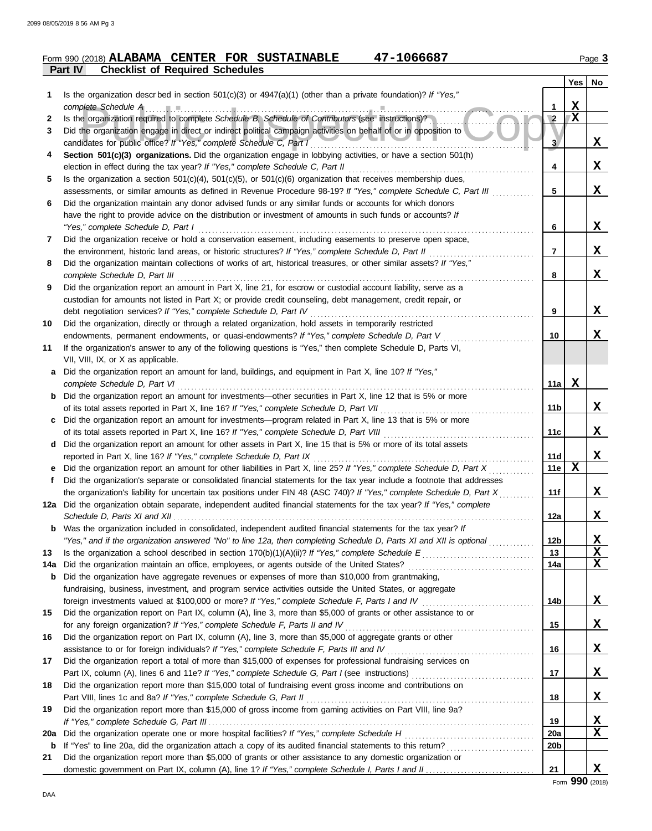### **Part IV Checklist of Required Schedules Form 990 (2018) ALABAMA CENTER FOR SUSTAINABLE 47-1066687** Page 3

|     |                                                                                                                                                                                                                                             |                 | Yes         | No       |
|-----|---------------------------------------------------------------------------------------------------------------------------------------------------------------------------------------------------------------------------------------------|-----------------|-------------|----------|
| 1   | Is the organization described in section $501(c)(3)$ or $4947(a)(1)$ (other than a private foundation)? If "Yes,"                                                                                                                           |                 |             |          |
|     | complete Schedule A                                                                                                                                                                                                                         | 1               | X           |          |
| 2   | Is the organization required to complete Schedule B, Schedule of Contributors (see instructions)?                                                                                                                                           | $\overline{2}$  | $\mathbf X$ |          |
| 3   | Did the organization engage in direct or indirect political campaign activities on behalf of or in opposition to                                                                                                                            |                 |             |          |
|     | candidates for public office? If "Yes," complete Schedule C, Part I                                                                                                                                                                         | 3               |             | X,       |
| 4   | Section 501(c)(3) organizations. Did the organization engage in lobbying activities, or have a section 501(h)                                                                                                                               |                 |             |          |
|     | election in effect during the tax year? If "Yes," complete Schedule C, Part II                                                                                                                                                              | 4               |             | X        |
| 5   | Is the organization a section $501(c)(4)$ , $501(c)(5)$ , or $501(c)(6)$ organization that receives membership dues,                                                                                                                        |                 |             |          |
|     | assessments, or similar amounts as defined in Revenue Procedure 98-19? If "Yes," complete Schedule C, Part III                                                                                                                              | 5               |             | x        |
| 6   | Did the organization maintain any donor advised funds or any similar funds or accounts for which donors                                                                                                                                     |                 |             |          |
|     | have the right to provide advice on the distribution or investment of amounts in such funds or accounts? If                                                                                                                                 |                 |             | X        |
|     | "Yes," complete Schedule D, Part I<br>Did the organization receive or hold a conservation easement, including easements to preserve open space,                                                                                             | 6               |             |          |
| 7   | the environment, historic land areas, or historic structures? If "Yes," complete Schedule D, Part II                                                                                                                                        | 7               |             | X        |
| 8   | Did the organization maintain collections of works of art, historical treasures, or other similar assets? If "Yes,"                                                                                                                         |                 |             |          |
|     | complete Schedule D, Part III                                                                                                                                                                                                               | 8               |             | X        |
| 9   | Did the organization report an amount in Part X, line 21, for escrow or custodial account liability, serve as a                                                                                                                             |                 |             |          |
|     | custodian for amounts not listed in Part X; or provide credit counseling, debt management, credit repair, or                                                                                                                                |                 |             |          |
|     | debt negotiation services? If "Yes," complete Schedule D, Part IV                                                                                                                                                                           | 9               |             | X        |
| 10  | Did the organization, directly or through a related organization, hold assets in temporarily restricted                                                                                                                                     |                 |             |          |
|     | endowments, permanent endowments, or quasi-endowments? If "Yes," complete Schedule D, Part V                                                                                                                                                | 10              |             | X        |
| 11  | If the organization's answer to any of the following questions is "Yes," then complete Schedule D, Parts VI,                                                                                                                                |                 |             |          |
|     | VII, VIII, IX, or X as applicable.                                                                                                                                                                                                          |                 |             |          |
| а   | Did the organization report an amount for land, buildings, and equipment in Part X, line 10? If "Yes,"                                                                                                                                      |                 |             |          |
|     | complete Schedule D, Part VI                                                                                                                                                                                                                | 11a             | X           |          |
| b   | Did the organization report an amount for investments—other securities in Part X, line 12 that is 5% or more                                                                                                                                |                 |             |          |
|     | of its total assets reported in Part X, line 16? If "Yes," complete Schedule D, Part VII                                                                                                                                                    | 11 <sub>b</sub> |             | X        |
| c   | Did the organization report an amount for investments—program related in Part X, line 13 that is 5% or more                                                                                                                                 |                 |             |          |
|     | of its total assets reported in Part X, line 16? If "Yes," complete Schedule D, Part VIII                                                                                                                                                   | 11c             |             | x        |
| d   | Did the organization report an amount for other assets in Part X, line 15 that is 5% or more of its total assets                                                                                                                            |                 |             |          |
|     | reported in Part X, line 16? If "Yes," complete Schedule D, Part IX                                                                                                                                                                         | 11d             |             | X        |
| е   | Did the organization report an amount for other liabilities in Part X, line 25? If "Yes," complete Schedule D, Part X                                                                                                                       | 11e             | X           |          |
| f   | Did the organization's separate or consolidated financial statements for the tax year include a footnote that addresses                                                                                                                     |                 |             |          |
|     | the organization's liability for uncertain tax positions under FIN 48 (ASC 740)? If "Yes," complete Schedule D, Part X                                                                                                                      | 11f             |             | X        |
|     | 12a Did the organization obtain separate, independent audited financial statements for the tax year? If "Yes," complete                                                                                                                     |                 |             |          |
|     | Schedule D, Parts XI and XII                                                                                                                                                                                                                | 12a             |             | X.       |
|     | <b>b</b> Was the organization included in consolidated, independent audited financial statements for the tax year? If<br>"Yes," and if the organization answered "No" to line 12a, then completing Schedule D, Parts XI and XII is optional | 12b             |             | X        |
| 13  |                                                                                                                                                                                                                                             | 13              |             | X        |
| 14a |                                                                                                                                                                                                                                             | 14a             |             | x        |
| b   | Did the organization have aggregate revenues or expenses of more than \$10,000 from grantmaking,                                                                                                                                            |                 |             |          |
|     | fundraising, business, investment, and program service activities outside the United States, or aggregate                                                                                                                                   |                 |             |          |
|     |                                                                                                                                                                                                                                             | 14b             |             | X        |
| 15  | Did the organization report on Part IX, column (A), line 3, more than \$5,000 of grants or other assistance to or                                                                                                                           |                 |             |          |
|     |                                                                                                                                                                                                                                             | 15              |             | X,       |
| 16  | Did the organization report on Part IX, column (A), line 3, more than \$5,000 of aggregate grants or other                                                                                                                                  |                 |             |          |
|     |                                                                                                                                                                                                                                             | 16              |             | X        |
| 17  | Did the organization report a total of more than \$15,000 of expenses for professional fundraising services on                                                                                                                              |                 |             |          |
|     |                                                                                                                                                                                                                                             | 17              |             | <u>x</u> |
| 18  | Did the organization report more than \$15,000 total of fundraising event gross income and contributions on                                                                                                                                 |                 |             |          |
|     |                                                                                                                                                                                                                                             | 18              |             | <u>x</u> |
| 19  | Did the organization report more than \$15,000 of gross income from gaming activities on Part VIII, line 9a?                                                                                                                                |                 |             |          |
|     |                                                                                                                                                                                                                                             | 19              |             | <u>x</u> |
| 20a |                                                                                                                                                                                                                                             | 20a             |             | X        |
| b   |                                                                                                                                                                                                                                             | 20 <sub>b</sub> |             |          |
| 21  | Did the organization report more than \$5,000 of grants or other assistance to any domestic organization or                                                                                                                                 |                 |             |          |
|     |                                                                                                                                                                                                                                             | 21              |             | X        |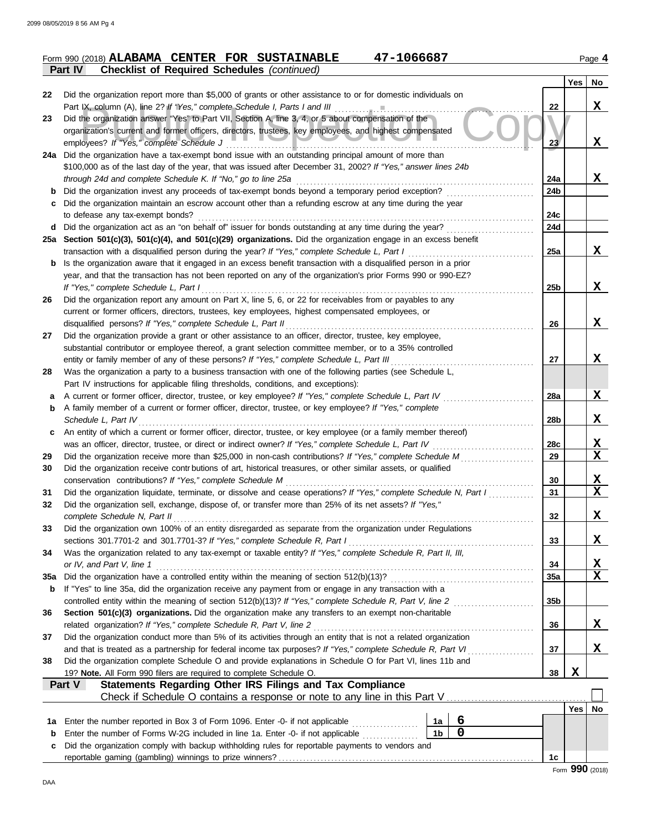|                                                            |  | Form 990 (2018) ALABAMA CENTER FOR SUSTAINABLE | 47-1066687 | Page 4 |
|------------------------------------------------------------|--|------------------------------------------------|------------|--------|
| <b>Part IV</b> Checklist of Required Schedules (continued) |  |                                                |            |        |

|          | succione of treguited concadios                                                                                                                                                                                    |                 |            |                         |
|----------|--------------------------------------------------------------------------------------------------------------------------------------------------------------------------------------------------------------------|-----------------|------------|-------------------------|
| 22       | Did the organization report more than \$5,000 of grants or other assistance to or for domestic individuals on                                                                                                      |                 | <b>Yes</b> | No                      |
|          | Part IX, column (A), line 2? If "Yes," complete Schedule I, Parts I and III                                                                                                                                        | 22              |            | x                       |
| 23       | Did the organization answer "Yes" to Part VII, Section A, line 3, 4, or 5 about compensation of the                                                                                                                |                 |            |                         |
|          | organization's current and former officers, directors, trustees, key employees, and highest compensated                                                                                                            |                 |            |                         |
|          | employees? If "Yes," complete Schedule J                                                                                                                                                                           | 23              |            | X                       |
|          | 24a Did the organization have a tax-exempt bond issue with an outstanding principal amount of more than                                                                                                            |                 |            |                         |
|          | \$100,000 as of the last day of the year, that was issued after December 31, 2002? If "Yes," answer lines 24b                                                                                                      |                 |            |                         |
| b        | through 24d and complete Schedule K. If "No," go to line 25a<br>Did the organization invest any proceeds of tax-exempt bonds beyond a temporary period exception?                                                  | 24a<br>24b      |            | x                       |
| c        | Did the organization maintain an escrow account other than a refunding escrow at any time during the year                                                                                                          |                 |            |                         |
|          | to defease any tax-exempt bonds?                                                                                                                                                                                   | 24c             |            |                         |
| d        | Did the organization act as an "on behalf of" issuer for bonds outstanding at any time during the year?                                                                                                            | 24d             |            |                         |
|          | 25a Section 501(c)(3), 501(c)(4), and 501(c)(29) organizations. Did the organization engage in an excess benefit                                                                                                   |                 |            |                         |
|          | transaction with a disqualified person during the year? If "Yes," complete Schedule L, Part I                                                                                                                      | 25a             |            | X                       |
| b        | Is the organization aware that it engaged in an excess benefit transaction with a disqualified person in a prior                                                                                                   |                 |            |                         |
|          | year, and that the transaction has not been reported on any of the organization's prior Forms 990 or 990-EZ?                                                                                                       |                 |            |                         |
|          | If "Yes," complete Schedule L, Part I                                                                                                                                                                              | 25 <sub>b</sub> |            | X                       |
| 26       | Did the organization report any amount on Part X, line 5, 6, or 22 for receivables from or payables to any                                                                                                         |                 |            |                         |
|          | current or former officers, directors, trustees, key employees, highest compensated employees, or<br>disqualified persons? If "Yes," complete Schedule L, Part II                                                  | 26              |            | x                       |
| 27       | Did the organization provide a grant or other assistance to an officer, director, trustee, key employee,                                                                                                           |                 |            |                         |
|          | substantial contributor or employee thereof, a grant selection committee member, or to a 35% controlled                                                                                                            |                 |            |                         |
|          | entity or family member of any of these persons? If "Yes," complete Schedule L, Part III                                                                                                                           | 27              |            | X                       |
| 28       | Was the organization a party to a business transaction with one of the following parties (see Schedule L,                                                                                                          |                 |            |                         |
|          | Part IV instructions for applicable filing thresholds, conditions, and exceptions):                                                                                                                                |                 |            |                         |
| a        | A current or former officer, director, trustee, or key employee? If "Yes," complete Schedule L, Part IV                                                                                                            | 28a             |            | X                       |
| b        | A family member of a current or former officer, director, trustee, or key employee? If "Yes," complete                                                                                                             |                 |            |                         |
|          | Schedule L, Part IV                                                                                                                                                                                                | 28b             |            | X                       |
| c        | An entity of which a current or former officer, director, trustee, or key employee (or a family member thereof)                                                                                                    |                 |            |                         |
| 29       | was an officer, director, trustee, or direct or indirect owner? If "Yes," complete Schedule L, Part IV<br>Did the organization receive more than \$25,000 in non-cash contributions? If "Yes," complete Schedule M | 28c<br>29       |            | <u>x</u><br>$\mathbf X$ |
| 30       | Did the organization receive contr butions of art, historical treasures, or other similar assets, or qualified                                                                                                     |                 |            |                         |
|          | conservation contributions? If "Yes," complete Schedule M                                                                                                                                                          | 30              |            | X                       |
| 31       | Did the organization liquidate, terminate, or dissolve and cease operations? If "Yes," complete Schedule N, Part I                                                                                                 | 31              |            | $\mathbf x$             |
| 32       | Did the organization sell, exchange, dispose of, or transfer more than 25% of its net assets? If "Yes,"                                                                                                            |                 |            |                         |
|          | complete Schedule N, Part II                                                                                                                                                                                       | 32              |            | X                       |
| 33       | Did the organization own 100% of an entity disregarded as separate from the organization under Regulations                                                                                                         |                 |            |                         |
|          | sections 301.7701-2 and 301.7701-3? If "Yes," complete Schedule R, Part I                                                                                                                                          | 33              |            | X                       |
| 34       | Was the organization related to any tax-exempt or taxable entity? If "Yes," complete Schedule R, Part II, III,                                                                                                     |                 |            |                         |
|          | or IV, and Part V, line 1                                                                                                                                                                                          | 34<br>35a       |            | <u>x</u><br>X           |
| 35a<br>b | If "Yes" to line 35a, did the organization receive any payment from or engage in any transaction with a                                                                                                            |                 |            |                         |
|          |                                                                                                                                                                                                                    | 35b             |            |                         |
| 36       | Section 501(c)(3) organizations. Did the organization make any transfers to an exempt non-charitable                                                                                                               |                 |            |                         |
|          | related organization? If "Yes," complete Schedule R, Part V, line 2                                                                                                                                                | 36              |            | X                       |
| 37       | Did the organization conduct more than 5% of its activities through an entity that is not a related organization                                                                                                   |                 |            |                         |
|          | and that is treated as a partnership for federal income tax purposes? If "Yes," complete Schedule R, Part VI                                                                                                       | 37              |            | X                       |
| 38       | Did the organization complete Schedule O and provide explanations in Schedule O for Part VI, lines 11b and                                                                                                         |                 |            |                         |
|          | 19? Note. All Form 990 filers are required to complete Schedule O.                                                                                                                                                 | 38              | X          |                         |
|          | Statements Regarding Other IRS Filings and Tax Compliance<br>Part V<br>Check if Schedule O contains a response or note to any line in this Part V                                                                  |                 |            |                         |
|          |                                                                                                                                                                                                                    |                 | Yes        | No                      |
| 1a       | 6<br>Enter the number reported in Box 3 of Form 1096. Enter -0- if not applicable <i>minimization</i><br>1a                                                                                                        |                 |            |                         |
| b        | $\mathbf 0$<br>1 <sub>b</sub><br>Enter the number of Forms W-2G included in line 1a. Enter -0- if not applicable <i>minimization</i>                                                                               |                 |            |                         |
| с        | Did the organization comply with backup withholding rules for reportable payments to vendors and                                                                                                                   |                 |            |                         |
|          |                                                                                                                                                                                                                    | 1c              |            |                         |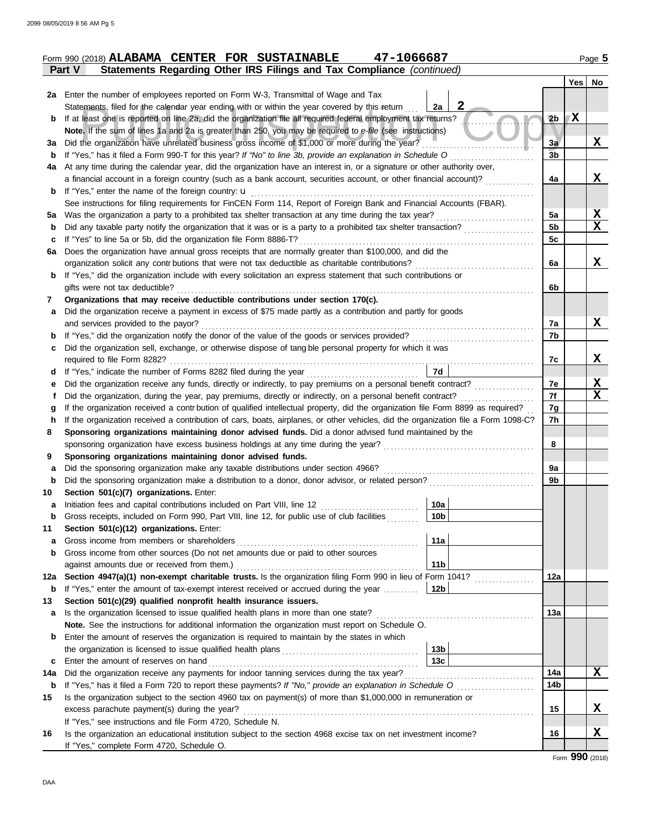|             | Form 990 (2018) ALABAMA CENTER FOR SUSTAINABLE<br>47-1066687                                                                                          |                    |                |   | Page 5      |
|-------------|-------------------------------------------------------------------------------------------------------------------------------------------------------|--------------------|----------------|---|-------------|
|             | Statements Regarding Other IRS Filings and Tax Compliance (continued)<br>Part V                                                                       |                    |                |   |             |
|             |                                                                                                                                                       |                    |                |   | Yes No      |
|             | 2a Enter the number of employees reported on Form W-3, Transmittal of Wage and Tax                                                                    |                    |                |   |             |
|             | Statements, filed for the calendar year ending with or within the year covered by this return                                                         | $\mathbf{2}$<br>2a |                |   |             |
| b           | If at least one is reported on line 2a, did the organization file all required federal employment tax returns?                                        |                    | 2 <sub>b</sub> | X |             |
|             | Note. If the sum of lines 1a and 2a is greater than 250, you may be required to e-file (see instructions)                                             |                    |                |   |             |
| За          | Did the organization have unrelated business gross income of \$1,000 or more during the year?                                                         |                    | 3a             |   | X           |
| b           | If "Yes," has it filed a Form 990-T for this year? If "No" to line 3b, provide an explanation in Schedule O                                           |                    | 3 <sub>b</sub> |   |             |
| 4a          | At any time during the calendar year, did the organization have an interest in, or a signature or other authority over,                               |                    |                |   |             |
|             | a financial account in a foreign country (such as a bank account, securities account, or other financial account)?                                    |                    | 4a             |   | X           |
| b           | If "Yes," enter the name of the foreign country: <b>u</b>                                                                                             |                    |                |   |             |
|             | See instructions for filing requirements for FinCEN Form 114, Report of Foreign Bank and Financial Accounts (FBAR).                                   |                    |                |   |             |
| 5а          | Was the organization a party to a prohibited tax shelter transaction at any time during the tax year?                                                 |                    | 5a             |   | X           |
| b           | Did any taxable party notify the organization that it was or is a party to a prohibited tax shelter transaction?                                      |                    | 5 <sub>b</sub> |   | X           |
| с           | If "Yes" to line 5a or 5b, did the organization file Form 8886-T?                                                                                     |                    | 5c             |   |             |
| 6a          | Does the organization have annual gross receipts that are normally greater than \$100,000, and did the                                                |                    |                |   |             |
|             | organization solicit any contr butions that were not tax deductible as charitable contributions?                                                      |                    | 6a             |   | X           |
| b           | If "Yes," did the organization include with every solicitation an express statement that such contributions or                                        |                    |                |   |             |
|             | gifts were not tax deductible?                                                                                                                        |                    | 6b             |   |             |
| 7           | Organizations that may receive deductible contributions under section 170(c).                                                                         |                    |                |   |             |
| a           | Did the organization receive a payment in excess of \$75 made partly as a contribution and partly for goods                                           |                    |                |   |             |
|             | and services provided to the payor?                                                                                                                   |                    | 7a             |   | X           |
| b           |                                                                                                                                                       |                    | 7b             |   |             |
| с           | Did the organization sell, exchange, or otherwise dispose of tang ble personal property for which it was                                              |                    |                |   |             |
|             | required to file Form 8282?                                                                                                                           |                    | 7c             |   | X           |
| d           | If "Yes," indicate the number of Forms 8282 filed during the year [11] [11] The set [11] [12] Indicate the number of Forms 8282 filed during the year | 7d                 |                |   |             |
| е           |                                                                                                                                                       |                    | 7e             |   | X           |
|             | Did the organization, during the year, pay premiums, directly or indirectly, on a personal benefit contract?                                          |                    | 7f             |   | $\mathbf x$ |
| g           | If the organization received a contribution of qualified intellectual property, did the organization file Form 8899 as required?                      |                    | 7g             |   |             |
| h           | If the organization received a contribution of cars, boats, airplanes, or other vehicles, did the organization file a Form 1098-C?                    |                    | 7h             |   |             |
| 8           | Sponsoring organizations maintaining donor advised funds. Did a donor advised fund maintained by the                                                  |                    |                |   |             |
|             | sponsoring organization have excess business holdings at any time during the year?                                                                    |                    | 8              |   |             |
| 9           | Sponsoring organizations maintaining donor advised funds.                                                                                             |                    |                |   |             |
| a           | Did the sponsoring organization make any taxable distributions under section 4966?                                                                    |                    | 9a             |   |             |
| $\mathbf b$ | Did the sponsoring organization make a distribution to a donor, donor advisor, or related person?                                                     |                    | 9b             |   |             |
| 10          | Section 501(c)(7) organizations. Enter:                                                                                                               |                    |                |   |             |
| a           | Initiation fees and capital contributions included on Part VIII, line 12                                                                              | 10a                |                |   |             |
| b           | Gross receipts, included on Form 990, Part VIII, line 12, for public use of club facilities                                                           | 10b                |                |   |             |
| 11          | Section 501(c)(12) organizations. Enter:                                                                                                              |                    |                |   |             |
| a           | Gross income from members or shareholders                                                                                                             | 11a                |                |   |             |
| b           | Gross income from other sources (Do not net amounts due or paid to other sources                                                                      |                    |                |   |             |
|             | against amounts due or received from them.)                                                                                                           | 11 <sub>b</sub>    |                |   |             |
| 12a         | Section 4947(a)(1) non-exempt charitable trusts. Is the organization filing Form 990 in lieu of Form 1041?                                            |                    | 12a            |   |             |
| b           | If "Yes," enter the amount of tax-exempt interest received or accrued during the year                                                                 | 12b                |                |   |             |
| 13          | Section 501(c)(29) qualified nonprofit health insurance issuers.                                                                                      |                    |                |   |             |
| а           | Is the organization licensed to issue qualified health plans in more than one state?                                                                  |                    | 13а            |   |             |
|             | Note. See the instructions for additional information the organization must report on Schedule O.                                                     |                    |                |   |             |
| b           | Enter the amount of reserves the organization is required to maintain by the states in which                                                          |                    |                |   |             |
|             |                                                                                                                                                       | 13b                |                |   |             |
| с           | Enter the amount of reserves on hand                                                                                                                  | 13 <sub>c</sub>    |                |   |             |
| 14a         | Did the organization receive any payments for indoor tanning services during the tax year?                                                            |                    | 14a            |   | X           |
| b           |                                                                                                                                                       |                    | 14b            |   |             |
| 15          | Is the organization subject to the section 4960 tax on payment(s) of more than \$1,000,000 in remuneration or                                         |                    |                |   |             |
|             | excess parachute payment(s) during the year?                                                                                                          |                    | 15             |   | X           |
|             | If "Yes," see instructions and file Form 4720, Schedule N.                                                                                            |                    |                |   |             |
| 16          | Is the organization an educational institution subject to the section 4968 excise tax on net investment income?                                       |                    | 16             |   | X           |
|             | If "Yes," complete Form 4720, Schedule O.                                                                                                             |                    |                |   |             |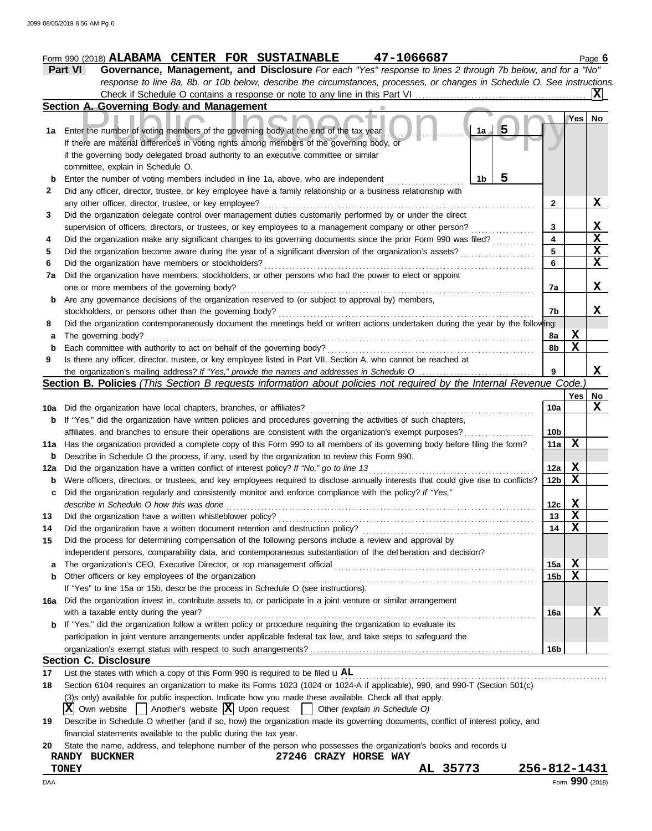|              |                                                                                                                              |      |   |         | . ugu e |
|--------------|------------------------------------------------------------------------------------------------------------------------------|------|---|---------|---------|
|              | <b>Part VI</b><br>Governance, Management, and Disclosure For each "Yes" response to lines 2 through 7b below, and for a "No" |      |   |         |         |
|              | response to line 8a, 8b, or 10b below, describe the circumstances, processes, or changes in Schedule O. See instructions.    |      |   |         |         |
|              |                                                                                                                              |      |   |         |         |
|              | Section A. Governing Body and Management                                                                                     |      |   |         |         |
|              |                                                                                                                              |      |   | Yes  No |         |
| 1a           | Enter the number of voting members of the governing body at the end of the tax year                                          | 1а / | 5 |         |         |
|              | If there are material differences in voting rights among members of the governing body, or                                   |      |   |         |         |
|              | if the governing body delegated broad authority to an executive committee or similar                                         |      |   |         |         |
|              | committee, explain in Schedule O.                                                                                            |      |   |         |         |
| b            | Enter the number of voting members included in line 1a, above, who are independent                                           | 1h.  |   |         |         |
| $\mathbf{2}$ | Did any officer, director, trustee, or key employee have a family relationship or a business relationship with               |      |   |         |         |
|              | any other officer, director, trustee, or key employee?                                                                       |      |   |         |         |
|              | Did the organization delegate control over management duties customarily performed by or under the direct                    |      |   |         |         |
|              |                                                                                                                              |      |   |         |         |

|     | supervision of officers, directors, or trustees, or key employees to a management company or other person?                          | 3               |             | X                       |
|-----|-------------------------------------------------------------------------------------------------------------------------------------|-----------------|-------------|-------------------------|
| 4   | Did the organization make any significant changes to its governing documents since the prior Form 990 was filed?                    | 4               |             | $\overline{\mathbf{x}}$ |
| 5   | Did the organization become aware during the year of a significant diversion of the organization's assets?                          | 5               |             | $\mathbf x$             |
| 6   | Did the organization have members or stockholders?                                                                                  | 6               |             | $\mathbf x$             |
| 7a  | Did the organization have members, stockholders, or other persons who had the power to elect or appoint                             |                 |             |                         |
|     | one or more members of the governing body?                                                                                          | 7a              |             | x                       |
| b   | Are any governance decisions of the organization reserved to (or subject to approval by) members,                                   |                 |             |                         |
|     | stockholders, or persons other than the governing body?                                                                             | 7b              |             | X.                      |
| 8   | Did the organization contemporaneously document the meetings held or written actions undertaken during the year by the following:   |                 |             |                         |
| a   | The governing body?                                                                                                                 | 8a              | X           |                         |
| b   | Each committee with authority to act on behalf of the governing body?                                                               | 8b              | $\mathbf X$ |                         |
| 9   | Is there any officer, director, trustee, or key employee listed in Part VII, Section A, who cannot be reached at                    |                 |             |                         |
|     |                                                                                                                                     | 9               |             | X                       |
|     | Section B. Policies (This Section B requests information about policies not required by the Internal Revenue Code.)                 |                 |             |                         |
|     |                                                                                                                                     |                 | Yes         | No.                     |
|     |                                                                                                                                     | 10a             |             | X                       |
| b   | If "Yes," did the organization have written policies and procedures governing the activities of such chapters,                      |                 |             |                         |
|     | affiliates, and branches to ensure their operations are consistent with the organization's exempt purposes?                         | 10 <sub>b</sub> |             |                         |
|     | 11a Has the organization provided a complete copy of this Form 990 to all members of its governing body before filing the form?     | 11a             | X           |                         |
| b   | Describe in Schedule O the process, if any, used by the organization to review this Form 990.                                       |                 |             |                         |
| 12a | Did the organization have a written conflict of interest policy? If "No," go to line 13                                             | 12a             | х           |                         |
| b   | Were officers, directors, or trustees, and key employees required to disclose annually interests that could give rise to conflicts? | 12 <sub>b</sub> | X           |                         |
| c   | Did the organization regularly and consistently monitor and enforce compliance with the policy? If "Yes,"                           |                 |             |                         |
|     | describe in Schedule O how this was done                                                                                            | 12c             | X           |                         |
| 13  | Did the organization have a written whistleblower policy?                                                                           | 13              | X           |                         |
| 14  | Did the organization have a written document retention and destruction policy?                                                      | 14              | X           |                         |
| 15  | Did the process for determining compensation of the following persons include a review and approval by                              |                 |             |                         |
|     | independent persons, comparability data, and contemporaneous substantiation of the del beration and decision?                       |                 |             |                         |
| a   | The organization's CEO, Executive Director, or top management official                                                              | 15a             | X           |                         |
| b   | Other officers or key employees of the organization                                                                                 | 15 <sub>b</sub> | $\mathbf X$ |                         |
|     | If "Yes" to line 15a or 15b, descr be the process in Schedule O (see instructions).                                                 |                 |             |                         |
| 16a | Did the organization invest in, contribute assets to, or participate in a joint venture or similar arrangement                      |                 |             |                         |
|     | with a taxable entity during the year?                                                                                              | 16a             |             | X                       |
| b   | If "Yes," did the organization follow a written policy or procedure requiring the organization to evaluate its                      |                 |             |                         |
|     | participation in joint venture arrangements under applicable federal tax law, and take steps to safeguard the                       |                 |             |                         |
|     |                                                                                                                                     | 16b             |             |                         |
|     | <b>Section C. Disclosure</b>                                                                                                        |                 |             |                         |

**17** List the states with which a copy of this Form 990 is required to be filed  $\mathbf{u}$ AL error manufactor manufactor manufactor matrix manufactor matrix matrix matrix matrix matrix matrix matrix matrix matrix matrix matrix m

**18** Section 6104 requires an organization to make its Forms 1023 (1024 or 1024-A if applicable), 990, and 990-T (Section 501(c)

(3)s only) available for public inspection. Indicate how you made these available. Check all that apply.

|  |  |  |  |  |  | $\boxed{\mathbf{X}}$ Own website $\boxed{\phantom{a}}$ Another's website $\boxed{\mathbf{X}}$ Upon request $\boxed{\phantom{a}}$ |  |  | Other (explain in Schedule O) |  |  |
|--|--|--|--|--|--|----------------------------------------------------------------------------------------------------------------------------------|--|--|-------------------------------|--|--|
|--|--|--|--|--|--|----------------------------------------------------------------------------------------------------------------------------------|--|--|-------------------------------|--|--|

**19** Describe in Schedule O whether (and if so, how) the organization made its governing documents, conflict of interest policy, and financial statements available to the public during the tax year.

|  | 20 State the name, address, and telephone number of the person who possesses the organization's books and records u |  |  |  |  |  |  |  |  |  |  |  |  |
|--|---------------------------------------------------------------------------------------------------------------------|--|--|--|--|--|--|--|--|--|--|--|--|
|--|---------------------------------------------------------------------------------------------------------------------|--|--|--|--|--|--|--|--|--|--|--|--|

| <b>BUCKNER</b><br><b>RANDY</b> | 27246<br>HORSE<br>CRAZY<br><b>WAY</b> |           |                          |
|--------------------------------|---------------------------------------|-----------|--------------------------|
| <b>TONEY</b>                   |                                       | ΑL<br>. . | -1431<br>$256 - 812 - 3$ |

| <b>TONEY</b> | .<br>$\mathbf{a}$<br>лч | 256-812<br>$\mathbf{A}$<br>$\lambda$ $-$<br>ᆂᆚᆂ |
|--------------|-------------------------|-------------------------------------------------|
| DAA          |                         | 990<br>Form<br>(2018)                           |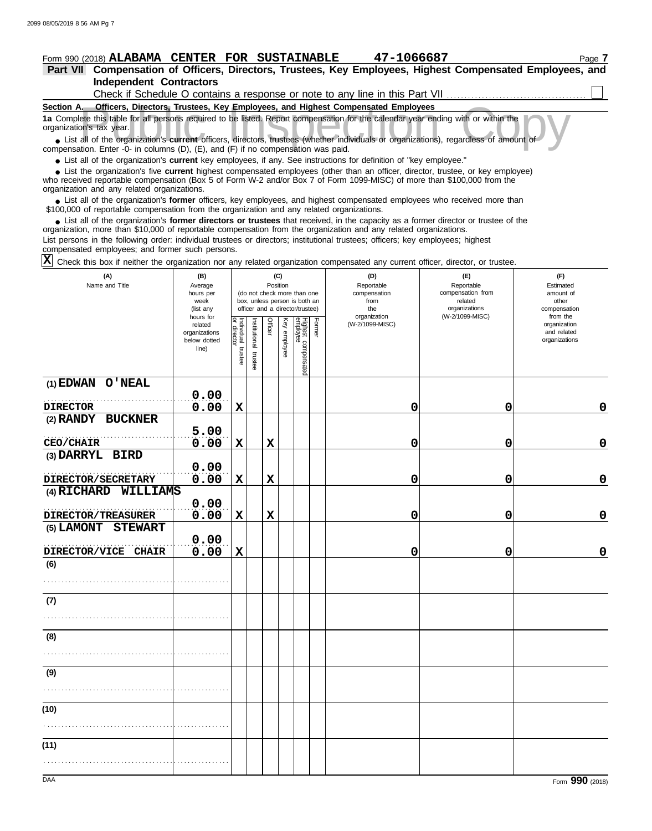**Independent Contractors Part VII Compensation of Officers, Directors, Trustees, Key Employees, Highest Compensated Employees, and**

| Check if Schedule O contains a response or note to any line in this Part VII                                                                                  |
|---------------------------------------------------------------------------------------------------------------------------------------------------------------|
| Section A.<br>Officers, Directors, Trustees, Key Employees, and Highest Compensated Employees                                                                 |
| 1a Complete this table for all persons required to be listed. Report compensation for the calendar year ending with or within the<br>organization's tax year. |
| • List all of the organization's current officers, directors, trustees (whether individuals or organizations), regardless of amount of                        |
| compensation. Enter -0- in columns $(D)$ $(F)$ and $(F)$ if no compensation was paid                                                                          |

compensation. Enter -0- in columns (D), (E), and (F) if no compensation was paid.

● List all of the organization's **current** key employees, if any. See instructions for definition of "key employee."

who received reportable compensation (Box 5 of Form W-2 and/or Box 7 of Form 1099-MISC) of more than \$100,000 from the organization and any related organizations. ■ List the organization's five **current** highest compensated employees (other than an officer, director, trustee, or key employee)<br>
a received reportable compensation (Box 5 of Form W-2 and/or Box 7 of Form 1099-MISC) of

■ List all of the organization's **former** officers, key employees, and highest compensated employees who received more than<br>00,000 of reportable compensation from the organization and any related organizations \$100,000 of reportable compensation from the organization and any related organizations.

• List all of the organization's **former directors or trustees** that received, in the capacity as a former director or trustee of the prization more than \$10,000 of reportable compensation from the organization and any rel organization, more than \$10,000 of reportable compensation from the organization and any related organizations.

List persons in the following order: individual trustees or directors; institutional trustees; officers; key employees; highest compensated employees; and former such persons.

Check this box if neither the organization nor any related organization compensated any current officer, director, or trustee. **X**

| (A)<br>Name and Title                | (B)<br>Average<br>hours per<br>week<br>(list any               | (C)<br>Position<br>(do not check more than one<br>box, unless person is both an<br>officer and a director/trustee) |                      |             |              |                                 |        | (D)<br>Reportable<br>compensation<br>from<br>the<br>organization | (E)<br>Reportable<br>compensation from<br>related<br>organizations<br>(W-2/1099-MISC) | (F)<br>Estimated<br>amount of<br>other<br>compensation<br>from the |
|--------------------------------------|----------------------------------------------------------------|--------------------------------------------------------------------------------------------------------------------|----------------------|-------------|--------------|---------------------------------|--------|------------------------------------------------------------------|---------------------------------------------------------------------------------------|--------------------------------------------------------------------|
|                                      | hours for<br>related<br>organizations<br>below dotted<br>line) | Individual trustee                                                                                                 | nstitutional trustee | Officer     | Key employee | Highest compensated<br>employee | Former | (W-2/1099-MISC)                                                  |                                                                                       | organization<br>and related<br>organizations                       |
| (1) EDWAN O'NEAL                     | 0.00                                                           |                                                                                                                    |                      |             |              |                                 |        |                                                                  |                                                                                       |                                                                    |
| <b>DIRECTOR</b>                      | 0.00                                                           | $\mathbf x$                                                                                                        |                      |             |              |                                 |        | 0                                                                | 0                                                                                     | $\mathbf 0$                                                        |
| (2) RANDY BUCKNER                    |                                                                |                                                                                                                    |                      |             |              |                                 |        |                                                                  |                                                                                       |                                                                    |
|                                      | 5.00                                                           |                                                                                                                    |                      |             |              |                                 |        |                                                                  |                                                                                       |                                                                    |
| CEO/CHAIR                            | 0.00                                                           | $\mathbf X$                                                                                                        |                      | $\mathbf x$ |              |                                 |        | 0                                                                | 0                                                                                     | $\mathbf 0$                                                        |
| (3) DARRYL BIRD                      |                                                                |                                                                                                                    |                      |             |              |                                 |        |                                                                  |                                                                                       |                                                                    |
|                                      | 0.00                                                           |                                                                                                                    |                      |             |              |                                 |        |                                                                  |                                                                                       |                                                                    |
| DIRECTOR/SECRETARY                   | 0.00                                                           | $\mathbf x$                                                                                                        |                      | $\mathbf x$ |              |                                 |        | 0                                                                | 0                                                                                     | $\pmb{0}$                                                          |
| (4) RICHARD WILLIAMS                 | 0.00                                                           |                                                                                                                    |                      |             |              |                                 |        |                                                                  |                                                                                       |                                                                    |
| DIRECTOR/TREASURER                   | 0.00                                                           | $\mathbf X$                                                                                                        |                      | $\mathbf x$ |              |                                 |        | 0                                                                | 0                                                                                     | $\mathbf 0$                                                        |
| (5) LAMONT<br><b>STEWART</b>         |                                                                |                                                                                                                    |                      |             |              |                                 |        |                                                                  |                                                                                       |                                                                    |
|                                      | 0.00                                                           |                                                                                                                    |                      |             |              |                                 |        |                                                                  |                                                                                       |                                                                    |
| <b>DIRECTOR/VICE</b><br><b>CHAIR</b> | 0.00                                                           | $\mathbf X$                                                                                                        |                      |             |              |                                 |        | 0                                                                | 0                                                                                     | $\mathbf 0$                                                        |
| (6)                                  |                                                                |                                                                                                                    |                      |             |              |                                 |        |                                                                  |                                                                                       |                                                                    |
|                                      |                                                                |                                                                                                                    |                      |             |              |                                 |        |                                                                  |                                                                                       |                                                                    |
| (7)                                  |                                                                |                                                                                                                    |                      |             |              |                                 |        |                                                                  |                                                                                       |                                                                    |
|                                      |                                                                |                                                                                                                    |                      |             |              |                                 |        |                                                                  |                                                                                       |                                                                    |
| (8)                                  |                                                                |                                                                                                                    |                      |             |              |                                 |        |                                                                  |                                                                                       |                                                                    |
|                                      |                                                                |                                                                                                                    |                      |             |              |                                 |        |                                                                  |                                                                                       |                                                                    |
|                                      |                                                                |                                                                                                                    |                      |             |              |                                 |        |                                                                  |                                                                                       |                                                                    |
| (9)                                  |                                                                |                                                                                                                    |                      |             |              |                                 |        |                                                                  |                                                                                       |                                                                    |
|                                      |                                                                |                                                                                                                    |                      |             |              |                                 |        |                                                                  |                                                                                       |                                                                    |
| (10)                                 |                                                                |                                                                                                                    |                      |             |              |                                 |        |                                                                  |                                                                                       |                                                                    |
|                                      |                                                                |                                                                                                                    |                      |             |              |                                 |        |                                                                  |                                                                                       |                                                                    |
| (11)                                 |                                                                |                                                                                                                    |                      |             |              |                                 |        |                                                                  |                                                                                       |                                                                    |
|                                      |                                                                |                                                                                                                    |                      |             |              |                                 |        |                                                                  |                                                                                       |                                                                    |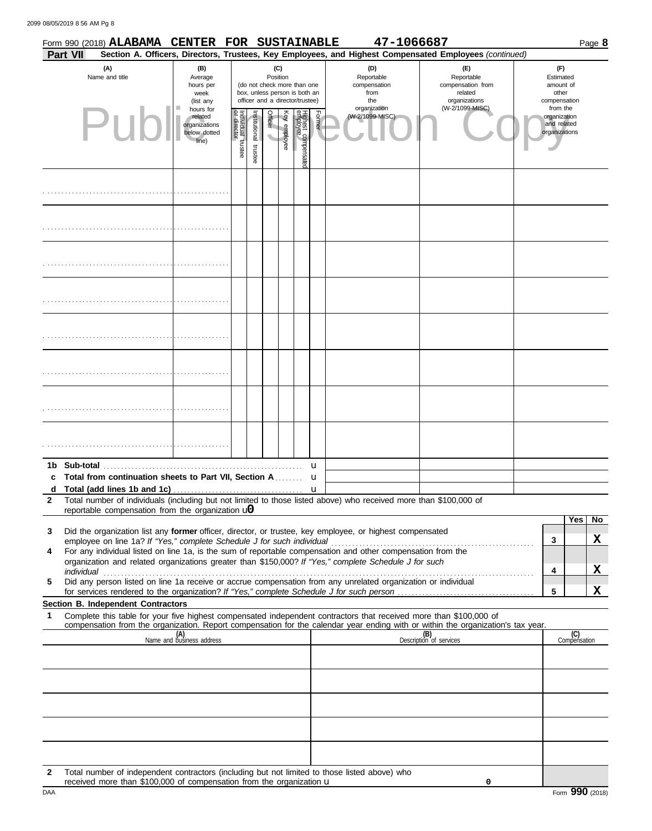2099 08/05/2019 8 56 AM Pg 8

|              |                 | Form 990 (2018) ALABAMA CENTER FOR SUSTAINABLE                         |                                                                |                                   |                       |          |              |                                                                                                 |        | 47-1066687                                                                                                                                                                                                           |                                                                                                                                  |                                                          | Page 8                |
|--------------|-----------------|------------------------------------------------------------------------|----------------------------------------------------------------|-----------------------------------|-----------------------|----------|--------------|-------------------------------------------------------------------------------------------------|--------|----------------------------------------------------------------------------------------------------------------------------------------------------------------------------------------------------------------------|----------------------------------------------------------------------------------------------------------------------------------|----------------------------------------------------------|-----------------------|
|              | <b>Part VII</b> |                                                                        |                                                                |                                   |                       |          |              |                                                                                                 |        |                                                                                                                                                                                                                      | Section A. Officers, Directors, Trustees, Key Employees, and Highest Compensated Employees (continued)                           |                                                          |                       |
|              |                 | (A)<br>Name and title                                                  | (B)<br>Average<br>hours per<br>week<br>(list any               |                                   |                       | Position | (C)          | (do not check more than one<br>box, unless person is both an<br>officer and a director/trustee) |        | (D)<br>Reportable<br>compensation<br>from<br>the                                                                                                                                                                     | (F)<br>Reportable<br>compensation from<br>related<br>organizations                                                               | (F)<br>Estimated<br>amount of<br>other<br>compensation   |                       |
|              |                 | Puh                                                                    | hours for<br>related<br>organizations<br>below dotted<br>line) | Individual trustee<br>or director | Institutional trustee | Officer  | Key employee | Highest compensate<br>employee                                                                  | Former | organization<br>(W-2/1099-MISC)                                                                                                                                                                                      | (W-2/1099-MISC)                                                                                                                  | from the<br>organization<br>and related<br>organizations |                       |
|              |                 |                                                                        |                                                                |                                   |                       |          |              |                                                                                                 |        |                                                                                                                                                                                                                      |                                                                                                                                  |                                                          |                       |
|              |                 |                                                                        |                                                                |                                   |                       |          |              |                                                                                                 |        |                                                                                                                                                                                                                      |                                                                                                                                  |                                                          |                       |
|              |                 |                                                                        |                                                                |                                   |                       |          |              |                                                                                                 |        |                                                                                                                                                                                                                      |                                                                                                                                  |                                                          |                       |
|              |                 |                                                                        |                                                                |                                   |                       |          |              |                                                                                                 |        |                                                                                                                                                                                                                      |                                                                                                                                  |                                                          |                       |
|              |                 |                                                                        |                                                                |                                   |                       |          |              |                                                                                                 |        |                                                                                                                                                                                                                      |                                                                                                                                  |                                                          |                       |
|              |                 |                                                                        |                                                                |                                   |                       |          |              |                                                                                                 |        |                                                                                                                                                                                                                      |                                                                                                                                  |                                                          |                       |
|              |                 |                                                                        |                                                                |                                   |                       |          |              |                                                                                                 |        |                                                                                                                                                                                                                      |                                                                                                                                  |                                                          |                       |
|              |                 |                                                                        |                                                                |                                   |                       |          |              |                                                                                                 |        |                                                                                                                                                                                                                      |                                                                                                                                  |                                                          |                       |
|              | 1b Sub-total    |                                                                        |                                                                |                                   |                       |          |              |                                                                                                 | u      |                                                                                                                                                                                                                      |                                                                                                                                  |                                                          |                       |
| d            |                 | c Total from continuation sheets to Part VII, Section A                |                                                                |                                   |                       |          |              |                                                                                                 | u<br>u |                                                                                                                                                                                                                      |                                                                                                                                  |                                                          |                       |
| $\mathbf{2}$ |                 |                                                                        |                                                                |                                   |                       |          |              |                                                                                                 |        | Total number of individuals (including but not limited to those listed above) who received more than \$100,000 of                                                                                                    |                                                                                                                                  |                                                          |                       |
|              |                 | reportable compensation from the organization $\mathbf{u}$             |                                                                |                                   |                       |          |              |                                                                                                 |        |                                                                                                                                                                                                                      |                                                                                                                                  |                                                          | Yes<br>N <sub>o</sub> |
| 3            |                 |                                                                        |                                                                |                                   |                       |          |              |                                                                                                 |        | Did the organization list any former officer, director, or trustee, key employee, or highest compensated                                                                                                             |                                                                                                                                  |                                                          |                       |
|              |                 | employee on line 1a? If "Yes," complete Schedule J for such individual |                                                                |                                   |                       |          |              |                                                                                                 |        |                                                                                                                                                                                                                      |                                                                                                                                  | 3                                                        | X                     |
| 4            |                 |                                                                        |                                                                |                                   |                       |          |              |                                                                                                 |        | For any individual listed on line 1a, is the sum of reportable compensation and other compensation from the<br>organization and related organizations greater than \$150,000? If "Yes," complete Schedule J for such |                                                                                                                                  |                                                          |                       |
|              | individual      |                                                                        |                                                                |                                   |                       |          |              |                                                                                                 |        |                                                                                                                                                                                                                      |                                                                                                                                  | 4                                                        | X                     |
| 5            |                 |                                                                        |                                                                |                                   |                       |          |              |                                                                                                 |        | Did any person listed on line 1a receive or accrue compensation from any unrelated organization or individual                                                                                                        |                                                                                                                                  | 5                                                        | X                     |
|              |                 | Section B. Independent Contractors                                     |                                                                |                                   |                       |          |              |                                                                                                 |        |                                                                                                                                                                                                                      |                                                                                                                                  |                                                          |                       |
| 1            |                 |                                                                        |                                                                |                                   |                       |          |              |                                                                                                 |        | Complete this table for your five highest compensated independent contractors that received more than \$100,000 of                                                                                                   | compensation from the organization. Report compensation for the calendar year ending with or within the organization's tax year. |                                                          |                       |
|              |                 |                                                                        | (A)<br>Name and business address                               |                                   |                       |          |              |                                                                                                 |        |                                                                                                                                                                                                                      | (B)<br>Description of services                                                                                                   |                                                          | (C)                   |
|              |                 |                                                                        |                                                                |                                   |                       |          |              |                                                                                                 |        |                                                                                                                                                                                                                      |                                                                                                                                  |                                                          | Compensation          |
|              |                 |                                                                        |                                                                |                                   |                       |          |              |                                                                                                 |        |                                                                                                                                                                                                                      |                                                                                                                                  |                                                          |                       |
|              |                 |                                                                        |                                                                |                                   |                       |          |              |                                                                                                 |        |                                                                                                                                                                                                                      |                                                                                                                                  |                                                          |                       |
|              |                 |                                                                        |                                                                |                                   |                       |          |              |                                                                                                 |        |                                                                                                                                                                                                                      |                                                                                                                                  |                                                          |                       |
|              |                 |                                                                        |                                                                |                                   |                       |          |              |                                                                                                 |        |                                                                                                                                                                                                                      |                                                                                                                                  |                                                          |                       |
| $\mathbf{2}$ |                 |                                                                        |                                                                |                                   |                       |          |              |                                                                                                 |        | Total number of independent contractors (including but not limited to those listed above) who                                                                                                                        |                                                                                                                                  |                                                          |                       |

DAA Form 990 (2018) **Form 990** (2018) received more than \$100,000 of compensation from the organization u

**0**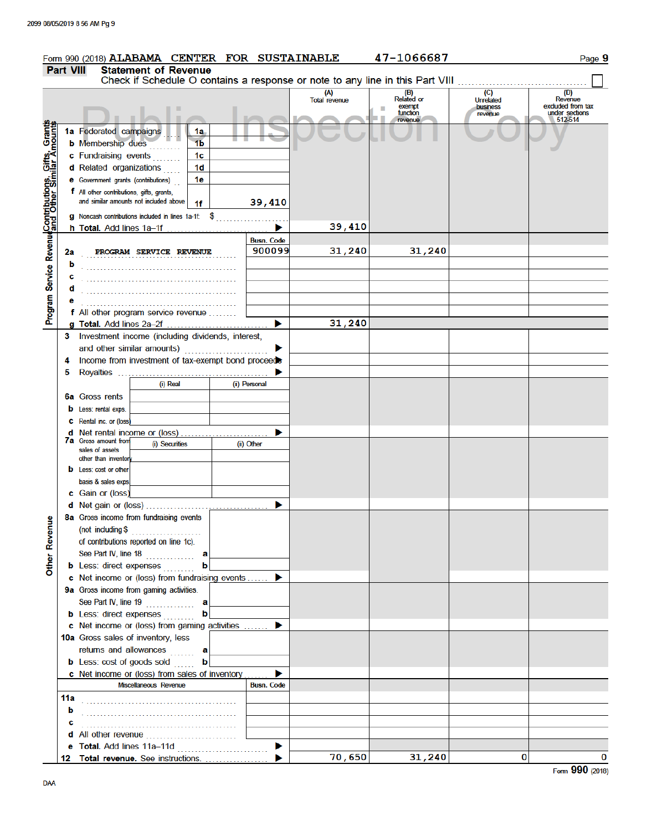|                                                                                                         |                  |                                           | Form 990 (2018) ALABAMA CENTER FOR SUSTAINABLE         |    |                             |                             | 47-1066687                                                                    |                                                | Page 9                                                           |
|---------------------------------------------------------------------------------------------------------|------------------|-------------------------------------------|--------------------------------------------------------|----|-----------------------------|-----------------------------|-------------------------------------------------------------------------------|------------------------------------------------|------------------------------------------------------------------|
|                                                                                                         | <b>Part VIII</b> |                                           | <b>Statement of Revenue</b>                            |    |                             |                             | Check if Schedule O contains a response or note to any line in this Part VIII |                                                |                                                                  |
|                                                                                                         |                  |                                           |                                                        |    |                             | (A)<br><b>Total revenue</b> | (B)<br>Related or<br>exempt<br>function<br>revenue                            | (C)<br><b>Unrelated</b><br>business<br>revenue | (D)<br>Revenue<br>excluded from tax<br>under sections<br>512-514 |
|                                                                                                         |                  | 1a Federated campaigns                    |                                                        | 1a |                             |                             |                                                                               |                                                |                                                                  |
|                                                                                                         |                  | <b>b</b> Membership dues                  |                                                        | 1b |                             |                             |                                                                               |                                                |                                                                  |
|                                                                                                         |                  | c Fundraising events                      |                                                        | 1c |                             |                             |                                                                               |                                                |                                                                  |
|                                                                                                         |                  | d Related organizations                   |                                                        | 1d |                             |                             |                                                                               |                                                |                                                                  |
|                                                                                                         |                  | e Government grants (contributions)       |                                                        | 1e |                             |                             |                                                                               |                                                |                                                                  |
|                                                                                                         |                  | f All other contributions, gifts, grants, |                                                        |    |                             |                             |                                                                               |                                                |                                                                  |
|                                                                                                         |                  |                                           | and similar amounts not included above                 | 1f | 39,410                      |                             |                                                                               |                                                |                                                                  |
|                                                                                                         |                  |                                           | $g$ Noncash contributions included in lines 1a-1f: $$$ |    |                             |                             |                                                                               |                                                |                                                                  |
|                                                                                                         |                  |                                           |                                                        |    |                             | 39,410                      |                                                                               |                                                |                                                                  |
| Program Service RevenueGontributions, Gifts, Grants<br>Program Service Revenueand Other Similar Amounts |                  |                                           |                                                        |    | <b>Busn. Code</b><br>900099 | 31,240                      | 31,240                                                                        |                                                |                                                                  |
|                                                                                                         | 2a               |                                           | PROGRAM SERVICE REVENUE                                |    |                             |                             |                                                                               |                                                |                                                                  |
|                                                                                                         | b                |                                           |                                                        |    |                             |                             |                                                                               |                                                |                                                                  |
|                                                                                                         | с<br>d           |                                           |                                                        |    |                             |                             |                                                                               |                                                |                                                                  |
|                                                                                                         |                  |                                           |                                                        |    |                             |                             |                                                                               |                                                |                                                                  |
|                                                                                                         |                  |                                           | f All other program service revenue                    |    |                             |                             |                                                                               |                                                |                                                                  |
|                                                                                                         |                  |                                           |                                                        |    | ▶                           | 31,240                      |                                                                               |                                                |                                                                  |
|                                                                                                         |                  |                                           | 3 Investment income (including dividends, interest,    |    |                             |                             |                                                                               |                                                |                                                                  |
|                                                                                                         |                  |                                           | and other similar amounts)                             |    | ▶                           |                             |                                                                               |                                                |                                                                  |
|                                                                                                         | 4                |                                           | Income from investment of tax-exempt bond proceeds     |    |                             |                             |                                                                               |                                                |                                                                  |
|                                                                                                         | 5                |                                           |                                                        |    |                             |                             |                                                                               |                                                |                                                                  |
|                                                                                                         |                  |                                           | (i) Real                                               |    | (ii) Personal               |                             |                                                                               |                                                |                                                                  |
|                                                                                                         |                  | <b>6a</b> Gross rents                     |                                                        |    |                             |                             |                                                                               |                                                |                                                                  |
|                                                                                                         |                  | <b>b</b> Less: rental exps.               |                                                        |    |                             |                             |                                                                               |                                                |                                                                  |
|                                                                                                         |                  | C Rental inc. or (loss)                   |                                                        |    |                             |                             |                                                                               |                                                |                                                                  |
|                                                                                                         |                  | <b>7a</b> Gross amount from               | <b>d</b> Net rental income or (loss)                   |    | ▶                           |                             |                                                                               |                                                |                                                                  |
|                                                                                                         |                  | sales of assets                           | (i) Securities                                         |    | (ii) Other                  |                             |                                                                               |                                                |                                                                  |
|                                                                                                         |                  | other than inventory                      |                                                        |    |                             |                             |                                                                               |                                                |                                                                  |
|                                                                                                         |                  | <b>b</b> Less: cost or other              |                                                        |    |                             |                             |                                                                               |                                                |                                                                  |
|                                                                                                         |                  | basis & sales exps.                       |                                                        |    |                             |                             |                                                                               |                                                |                                                                  |
|                                                                                                         |                  | c Gain or (loss)                          |                                                        |    |                             |                             |                                                                               |                                                |                                                                  |
|                                                                                                         |                  |                                           |                                                        |    |                             |                             |                                                                               |                                                |                                                                  |
| Other Revenue                                                                                           |                  |                                           | 8a Gross income from fundraising events                |    |                             |                             |                                                                               |                                                |                                                                  |
|                                                                                                         |                  |                                           | of contributions reported on line 1c).                 |    |                             |                             |                                                                               |                                                |                                                                  |
|                                                                                                         |                  |                                           | See Part IV, line 18                                   |    |                             |                             |                                                                               |                                                |                                                                  |
|                                                                                                         |                  |                                           | <b>b</b> Less: direct expenses                         | ь  |                             |                             |                                                                               |                                                |                                                                  |
|                                                                                                         |                  |                                           | c Net income or (loss) from fundraising events  ▶      |    |                             |                             |                                                                               |                                                |                                                                  |
|                                                                                                         |                  |                                           | 9a Gross income from gaming activities.                |    |                             |                             |                                                                               |                                                |                                                                  |
|                                                                                                         |                  |                                           | See Part IV, line 19                                   | a  |                             |                             |                                                                               |                                                |                                                                  |
|                                                                                                         |                  | <b>b</b> Less: direct expenses            |                                                        | b  |                             |                             |                                                                               |                                                |                                                                  |
|                                                                                                         |                  |                                           | c Net income or (loss) from gaming activities          |    | ▶                           |                             |                                                                               |                                                |                                                                  |
|                                                                                                         |                  |                                           | 10a Gross sales of inventory, less                     |    |                             |                             |                                                                               |                                                |                                                                  |
|                                                                                                         |                  |                                           | returns and allowances                                 | a  |                             |                             |                                                                               |                                                |                                                                  |
|                                                                                                         |                  |                                           | <b>b</b> Less: cost of goods sold                      | b  |                             |                             |                                                                               |                                                |                                                                  |
|                                                                                                         |                  |                                           | c Net income or (loss) from sales of inventory         |    |                             |                             |                                                                               |                                                |                                                                  |
|                                                                                                         |                  |                                           | Miscellaneous Revenue                                  |    | <b>Busn. Code</b>           |                             |                                                                               |                                                |                                                                  |
|                                                                                                         |                  |                                           |                                                        |    |                             |                             |                                                                               |                                                |                                                                  |
|                                                                                                         | b                |                                           |                                                        |    |                             |                             |                                                                               |                                                |                                                                  |
|                                                                                                         | с                |                                           |                                                        |    |                             |                             |                                                                               |                                                |                                                                  |
|                                                                                                         |                  |                                           | d All other revenue                                    |    |                             |                             |                                                                               |                                                |                                                                  |
|                                                                                                         |                  |                                           | 12 Total revenue. See instructions.                    |    |                             | 70,650                      | 31,240                                                                        | 0                                              | 0                                                                |
|                                                                                                         |                  |                                           |                                                        |    |                             |                             |                                                                               |                                                |                                                                  |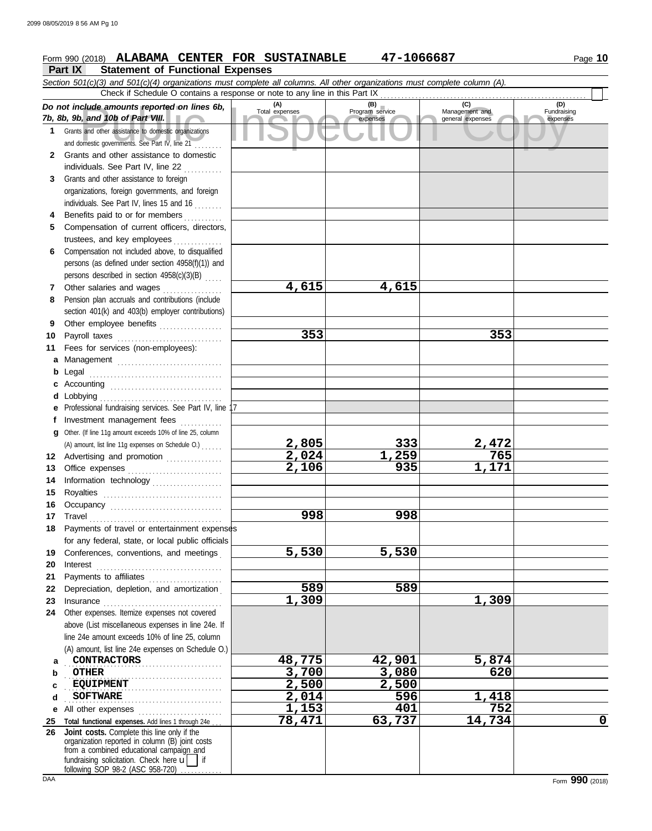### **Part IX Statement of Functional Expenses**

|              | Section 501(c)(3) and 501(c)(4) organizations must complete all columns. All other organizations must complete column (A).                                                                                                                                 |                       |                        |                                           |                                |  |  |  |  |  |  |  |
|--------------|------------------------------------------------------------------------------------------------------------------------------------------------------------------------------------------------------------------------------------------------------------|-----------------------|------------------------|-------------------------------------------|--------------------------------|--|--|--|--|--|--|--|
|              | Check if Schedule O contains a response or note to any line in this Part IX                                                                                                                                                                                |                       |                        |                                           |                                |  |  |  |  |  |  |  |
|              | Do not include amounts reported on lines 6b,<br>7b, 8b, 9b, and 10b of Part VIII.                                                                                                                                                                          | (A)<br>Total expenses | (B)<br>Program service | (C)<br>Management and<br>general expenses | (D)<br>Fundraising<br>expenses |  |  |  |  |  |  |  |
| 1            | Grants and other assistance to domestic organizations                                                                                                                                                                                                      |                       | expenses               |                                           |                                |  |  |  |  |  |  |  |
|              | and domestic governments. See Part IV, line 21                                                                                                                                                                                                             |                       |                        |                                           |                                |  |  |  |  |  |  |  |
| $\mathbf{2}$ | Grants and other assistance to domestic                                                                                                                                                                                                                    |                       |                        |                                           |                                |  |  |  |  |  |  |  |
|              | individuals. See Part IV, line 22                                                                                                                                                                                                                          |                       |                        |                                           |                                |  |  |  |  |  |  |  |
| 3            | Grants and other assistance to foreign<br>organizations, foreign governments, and foreign                                                                                                                                                                  |                       |                        |                                           |                                |  |  |  |  |  |  |  |
|              | individuals. See Part IV, lines 15 and 16                                                                                                                                                                                                                  |                       |                        |                                           |                                |  |  |  |  |  |  |  |
| 4            | Benefits paid to or for members                                                                                                                                                                                                                            |                       |                        |                                           |                                |  |  |  |  |  |  |  |
| 5            | Compensation of current officers, directors,                                                                                                                                                                                                               |                       |                        |                                           |                                |  |  |  |  |  |  |  |
|              | trustees, and key employees                                                                                                                                                                                                                                |                       |                        |                                           |                                |  |  |  |  |  |  |  |
| 6            | Compensation not included above, to disqualified                                                                                                                                                                                                           |                       |                        |                                           |                                |  |  |  |  |  |  |  |
|              | persons (as defined under section 4958(f)(1)) and                                                                                                                                                                                                          |                       |                        |                                           |                                |  |  |  |  |  |  |  |
|              | persons described in section 4958(c)(3)(B)                                                                                                                                                                                                                 |                       |                        |                                           |                                |  |  |  |  |  |  |  |
| 7            | Other salaries and wages<br>an an India an Aonaichte an Aonaichte an Aonaichte an Aonaichte an Aonaichte an Aonaichte an Aonaichte an Aonaichte an Aonaichte an Aonaichte an Aonaichte an Aonaichte an Aonaichte an Aonaichte an Aonaichte an Aonaichte an | 4,615                 | 4,615                  |                                           |                                |  |  |  |  |  |  |  |
| 8            | Pension plan accruals and contributions (include                                                                                                                                                                                                           |                       |                        |                                           |                                |  |  |  |  |  |  |  |
|              | section 401(k) and 403(b) employer contributions)                                                                                                                                                                                                          |                       |                        |                                           |                                |  |  |  |  |  |  |  |
| 9            | Other employee benefits                                                                                                                                                                                                                                    |                       |                        |                                           |                                |  |  |  |  |  |  |  |
| 10           | Payroll taxes                                                                                                                                                                                                                                              | 353                   |                        | 353                                       |                                |  |  |  |  |  |  |  |
| 11           | Fees for services (non-employees):                                                                                                                                                                                                                         |                       |                        |                                           |                                |  |  |  |  |  |  |  |
|              | a Management                                                                                                                                                                                                                                               |                       |                        |                                           |                                |  |  |  |  |  |  |  |
|              |                                                                                                                                                                                                                                                            |                       |                        |                                           |                                |  |  |  |  |  |  |  |
|              |                                                                                                                                                                                                                                                            |                       |                        |                                           |                                |  |  |  |  |  |  |  |
|              |                                                                                                                                                                                                                                                            |                       |                        |                                           |                                |  |  |  |  |  |  |  |
|              | e Professional fundraising services. See Part IV, line 1                                                                                                                                                                                                   |                       |                        |                                           |                                |  |  |  |  |  |  |  |
| Ť.           | Investment management fees                                                                                                                                                                                                                                 |                       |                        |                                           |                                |  |  |  |  |  |  |  |
|              | g Other. (If line 11g amount exceeds 10% of line 25, column                                                                                                                                                                                                |                       |                        |                                           |                                |  |  |  |  |  |  |  |
|              | (A) amount, list line 11g expenses on Schedule O.)                                                                                                                                                                                                         | 2,805                 | 333                    | 2,472                                     |                                |  |  |  |  |  |  |  |
|              | 12 Advertising and promotion                                                                                                                                                                                                                               | 2,024                 | 1,259                  | 765                                       |                                |  |  |  |  |  |  |  |
| 13           | Office expenses                                                                                                                                                                                                                                            | 2,106                 | 935                    | 1,171                                     |                                |  |  |  |  |  |  |  |
| 14           | Information technology                                                                                                                                                                                                                                     |                       |                        |                                           |                                |  |  |  |  |  |  |  |
| 15           |                                                                                                                                                                                                                                                            |                       |                        |                                           |                                |  |  |  |  |  |  |  |
| 16           | Occupancy                                                                                                                                                                                                                                                  |                       |                        |                                           |                                |  |  |  |  |  |  |  |
| 17           |                                                                                                                                                                                                                                                            | 998                   | 998                    |                                           |                                |  |  |  |  |  |  |  |
| 18           | Payments of travel or entertainment expenses                                                                                                                                                                                                               |                       |                        |                                           |                                |  |  |  |  |  |  |  |
|              | for any federal, state, or local public officials                                                                                                                                                                                                          | 5,530                 | 5,530                  |                                           |                                |  |  |  |  |  |  |  |
| 19<br>20     | Conferences, conventions, and meetings                                                                                                                                                                                                                     |                       |                        |                                           |                                |  |  |  |  |  |  |  |
| 21           | $Interest$<br>Payments to affiliates                                                                                                                                                                                                                       |                       |                        |                                           |                                |  |  |  |  |  |  |  |
| 22           | Depreciation, depletion, and amortization                                                                                                                                                                                                                  | 589                   | 589                    |                                           |                                |  |  |  |  |  |  |  |
| 23           |                                                                                                                                                                                                                                                            | 1,309                 |                        | 1,309                                     |                                |  |  |  |  |  |  |  |
| 24           | Other expenses. Itemize expenses not covered                                                                                                                                                                                                               |                       |                        |                                           |                                |  |  |  |  |  |  |  |
|              | above (List miscellaneous expenses in line 24e. If                                                                                                                                                                                                         |                       |                        |                                           |                                |  |  |  |  |  |  |  |
|              | line 24e amount exceeds 10% of line 25, column                                                                                                                                                                                                             |                       |                        |                                           |                                |  |  |  |  |  |  |  |
|              | (A) amount, list line 24e expenses on Schedule O.)                                                                                                                                                                                                         |                       |                        |                                           |                                |  |  |  |  |  |  |  |
| a            | <b>CONTRACTORS</b>                                                                                                                                                                                                                                         | 48,775                | 42,901                 | 5,874                                     |                                |  |  |  |  |  |  |  |
| b            | <b>OTHER</b>                                                                                                                                                                                                                                               | 3,700                 | 3,080                  | 620                                       |                                |  |  |  |  |  |  |  |
| c            | <b>EQUIPMENT</b>                                                                                                                                                                                                                                           | 2,500                 | 2,500                  |                                           |                                |  |  |  |  |  |  |  |
| d            | <b>SOFTWARE</b>                                                                                                                                                                                                                                            | 2,014                 | 596                    | 1,418                                     |                                |  |  |  |  |  |  |  |
| е            |                                                                                                                                                                                                                                                            | 1,153                 | 401                    | 752                                       |                                |  |  |  |  |  |  |  |
| 25           | Total functional expenses. Add lines 1 through 24e.                                                                                                                                                                                                        | 78,471                | 63,737                 | 14,734                                    | 0                              |  |  |  |  |  |  |  |
| 26           | Joint costs. Complete this line only if the<br>organization reported in column (B) joint costs                                                                                                                                                             |                       |                        |                                           |                                |  |  |  |  |  |  |  |
|              | from a combined educational campaign and<br>fundraising solicitation. Check here $\overline{\mathbf{u}}$<br>$\overline{ }$ if                                                                                                                              |                       |                        |                                           |                                |  |  |  |  |  |  |  |
|              | following SOP 98-2 (ASC 958-720)                                                                                                                                                                                                                           |                       |                        |                                           |                                |  |  |  |  |  |  |  |

DAA Form **990** (2018)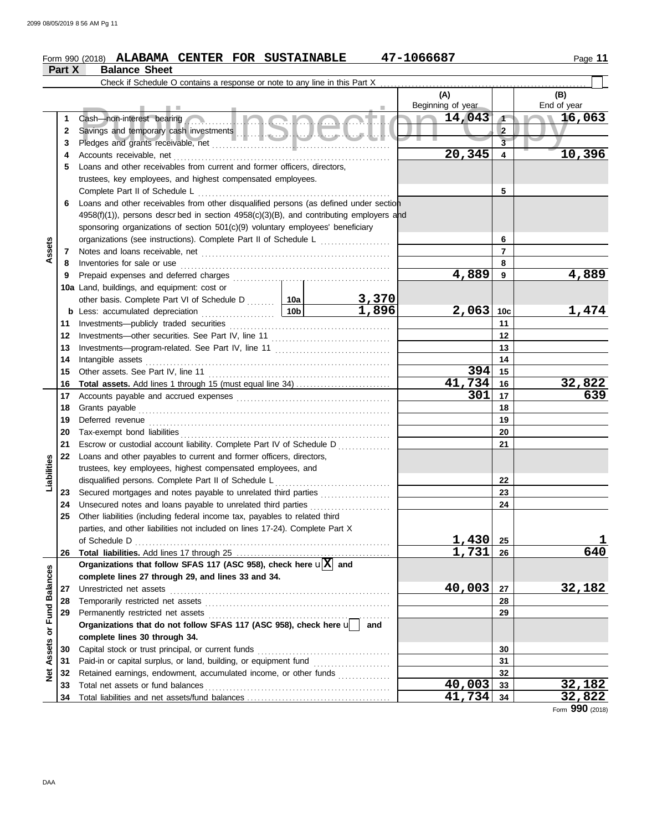|                         | Part X   | <b>Balance Sheet</b>                                                                                                                        |     |                       |                   |                       |                          |
|-------------------------|----------|---------------------------------------------------------------------------------------------------------------------------------------------|-----|-----------------------|-------------------|-----------------------|--------------------------|
|                         |          | Check if Schedule O contains a response or note to any line in this Part X                                                                  |     |                       |                   |                       |                          |
|                         |          |                                                                                                                                             |     |                       | (A)               |                       | (B)                      |
|                         |          |                                                                                                                                             |     |                       | Beginning of year |                       | End of year              |
|                         | 1        | Cash—non-interest bearing                                                                                                                   |     |                       | 14,043            | $\sqrt{1}$            | 16,063<br>$\blacksquare$ |
|                         | 2        |                                                                                                                                             |     |                       |                   | $\overline{2}$        |                          |
|                         | 3        |                                                                                                                                             |     |                       |                   | $\overline{3}$        |                          |
|                         | 4        |                                                                                                                                             |     |                       | 20,345            | $\overline{4}$        | 10,396                   |
|                         | 5        | Loans and other receivables from current and former officers, directors,                                                                    |     |                       |                   |                       |                          |
|                         |          | trustees, key employees, and highest compensated employees.                                                                                 |     |                       |                   |                       |                          |
|                         |          | Complete Part II of Schedule L                                                                                                              |     |                       |                   | 5                     |                          |
|                         | 6        | Loans and other receivables from other disqualified persons (as defined under section                                                       |     |                       |                   |                       |                          |
|                         |          | $4958(f)(1)$ , persons described in section $4958(c)(3)(B)$ , and contributing employers and                                                |     |                       |                   |                       |                          |
|                         |          | sponsoring organizations of section 501(c)(9) voluntary employees' beneficiary                                                              |     |                       |                   |                       |                          |
|                         |          | organizations (see instructions). Complete Part II of Schedule L                                                                            |     |                       |                   | 6                     |                          |
| Assets                  | 7        |                                                                                                                                             |     |                       |                   | $\overline{7}$        |                          |
|                         | 8        | Inventories for sale or use                                                                                                                 |     |                       |                   | 8                     |                          |
|                         | 9        | Prepaid expenses and deferred charges                                                                                                       |     |                       | 4,889             | 9                     | 4,889                    |
|                         |          | 10a Land, buildings, and equipment: cost or                                                                                                 |     |                       |                   |                       |                          |
|                         |          | other basis. Complete Part VI of Schedule D  10a                                                                                            | 10b | <u>3,370</u><br>1,896 | 2,063             |                       | 1,474                    |
|                         |          | <b>b</b> Less: accumulated depreciation<br>.                                                                                                |     |                       |                   | 10 <sub>c</sub><br>11 |                          |
|                         | 11<br>12 |                                                                                                                                             |     |                       | 12                |                       |                          |
|                         | 13       |                                                                                                                                             |     |                       |                   | 13                    |                          |
|                         | 14       | Intangible assets                                                                                                                           |     |                       |                   | 14                    |                          |
|                         | 15       | Other assets. See Part IV, line 11                                                                                                          |     |                       | 394               | 15                    |                          |
|                         | 16       |                                                                                                                                             |     |                       | 41,734            | 16                    | 32,822                   |
|                         | 17       |                                                                                                                                             |     |                       | 301               | 17                    | 639                      |
|                         | 18       |                                                                                                                                             |     | 18                    |                   |                       |                          |
|                         | 19       | Deferred revenue                                                                                                                            |     |                       |                   | 19                    |                          |
|                         | 20       |                                                                                                                                             |     | 20                    |                   |                       |                          |
|                         | 21       | Escrow or custodial account liability. Complete Part IV of Schedule D                                                                       |     |                       |                   | 21                    |                          |
|                         | 22       | Loans and other payables to current and former officers, directors,                                                                         |     |                       |                   |                       |                          |
| Liabilities             |          | trustees, key employees, highest compensated employees, and                                                                                 |     |                       |                   |                       |                          |
|                         |          | disqualified persons. Complete Part II of Schedule L                                                                                        |     | .                     |                   | 22                    |                          |
|                         | 23       | Secured mortgages and notes payable to unrelated third parties                                                                              |     |                       |                   | 23                    |                          |
|                         | 24       | Unsecured notes and loans payable to unrelated third parties                                                                                |     |                       |                   | 24                    |                          |
|                         |          | Other liabilities (including federal income tax, payables to related third                                                                  |     |                       |                   |                       |                          |
|                         |          | parties, and other liabilities not included on lines 17-24). Complete Part X                                                                |     |                       |                   |                       |                          |
|                         |          | of Schedule D                                                                                                                               |     |                       | 1,430             | 25                    | 640                      |
|                         | 26       |                                                                                                                                             |     |                       | 1,731             | 26                    |                          |
|                         |          | Organizations that follow SFAS 117 (ASC 958), check here $\mathbf{u}[\mathbf{X}]$ and<br>complete lines 27 through 29, and lines 33 and 34. |     |                       |                   |                       |                          |
|                         | 27       | Unrestricted net assets                                                                                                                     |     |                       | 40,003            | 27                    | 32,182                   |
|                         | 28       | Temporarily restricted net assets                                                                                                           |     |                       |                   | 28                    |                          |
|                         | 29       | Permanently restricted net assets                                                                                                           |     |                       |                   | 29                    |                          |
|                         |          | Organizations that do not follow SFAS 117 (ASC 958), check here u                                                                           |     | and                   |                   |                       |                          |
|                         |          | complete lines 30 through 34.                                                                                                               |     |                       |                   |                       |                          |
| Assets or Fund Balances | 30       | Capital stock or trust principal, or current funds                                                                                          |     |                       |                   | 30                    |                          |
|                         | 31       |                                                                                                                                             |     |                       |                   | 31                    |                          |
| <b>Net</b>              | 32       | Retained earnings, endowment, accumulated income, or other funds                                                                            |     |                       |                   | 32                    |                          |
|                         | 33       | Total net assets or fund balances                                                                                                           |     |                       | 40,003            | 33                    | 32,182                   |
|                         | 34       |                                                                                                                                             |     |                       | 41,734            | 34                    | 32,822                   |

Form **990** (2018)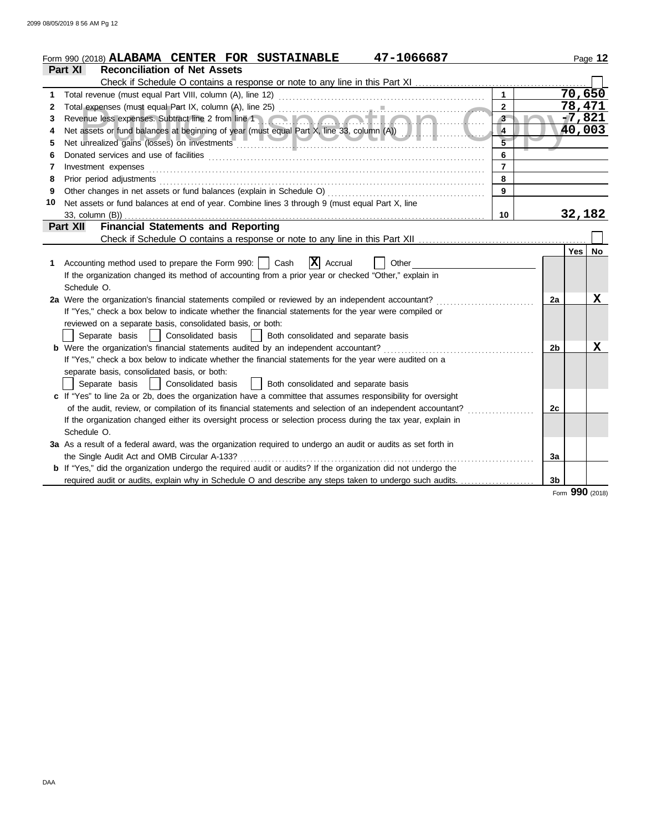|    | 47-1066687<br>Form 990 (2018) <b>ALABAMA CENTER FOR SUSTAINABLE</b>                                                                                                                                                            |                |                |          | Page 12     |
|----|--------------------------------------------------------------------------------------------------------------------------------------------------------------------------------------------------------------------------------|----------------|----------------|----------|-------------|
|    | <b>Reconciliation of Net Assets</b><br>Part XI                                                                                                                                                                                 |                |                |          |             |
|    |                                                                                                                                                                                                                                |                |                |          |             |
| 1  | Total revenue (must equal Part VIII, column (A), line 12)                                                                                                                                                                      | $\mathbf{1}$   |                | 70,650   |             |
| 2  |                                                                                                                                                                                                                                | $\overline{2}$ |                | 78,471   |             |
| 3  | Revenue less expenses. Subtract line 2 from line 1                                                                                                                                                                             | $3-$           |                | $-7,821$ |             |
| 4  | Net assets or fund balances at beginning of year (must equal Part X, line 33, column (A))                                                                                                                                      | $\overline{4}$ |                | 40,003   |             |
| 5  |                                                                                                                                                                                                                                | $\overline{5}$ |                |          |             |
| 6  |                                                                                                                                                                                                                                | $6\phantom{a}$ |                |          |             |
| 7  | Investment expenses                                                                                                                                                                                                            | $\overline{7}$ |                |          |             |
| 8  | Prior period adjustments [11, 12] and the contract of the contract of the contract of the contract of the contract of the contract of the contract of the contract of the contract of the contract of the contract of the cont | 8              |                |          |             |
| 9  |                                                                                                                                                                                                                                | $\overline{9}$ |                |          |             |
| 10 | Net assets or fund balances at end of year. Combine lines 3 through 9 (must equal Part X, line                                                                                                                                 |                |                |          |             |
|    | 33, column (B))                                                                                                                                                                                                                | 10             |                | 32,182   |             |
|    | <b>Financial Statements and Reporting</b><br>Part XII                                                                                                                                                                          |                |                |          |             |
|    |                                                                                                                                                                                                                                |                |                |          |             |
|    |                                                                                                                                                                                                                                |                |                | Yes      | <b>No</b>   |
| 1. | $ X $ Accrual<br>Accounting method used to prepare the Form 990:     Cash<br>Other                                                                                                                                             |                |                |          |             |
|    | If the organization changed its method of accounting from a prior year or checked "Other," explain in                                                                                                                          |                |                |          |             |
|    | Schedule O.                                                                                                                                                                                                                    |                |                |          |             |
|    | 2a Were the organization's financial statements compiled or reviewed by an independent accountant?                                                                                                                             |                | 2a             |          | x           |
|    | If "Yes," check a box below to indicate whether the financial statements for the year were compiled or                                                                                                                         |                |                |          |             |
|    | reviewed on a separate basis, consolidated basis, or both:                                                                                                                                                                     |                |                |          |             |
|    | Separate basis<br>Consolidated basis<br>Both consolidated and separate basis<br>$\blacksquare$                                                                                                                                 |                |                |          |             |
|    | b Were the organization's financial statements audited by an independent accountant?                                                                                                                                           |                | 2 <sub>b</sub> |          | $\mathbf X$ |
|    | If "Yes," check a box below to indicate whether the financial statements for the year were audited on a                                                                                                                        |                |                |          |             |
|    | separate basis, consolidated basis, or both:                                                                                                                                                                                   |                |                |          |             |
|    | Separate basis<br>Consolidated basis<br>  Both consolidated and separate basis                                                                                                                                                 |                |                |          |             |
|    | c If "Yes" to line 2a or 2b, does the organization have a committee that assumes responsibility for oversight                                                                                                                  |                |                |          |             |
|    | of the audit, review, or compilation of its financial statements and selection of an independent accountant?                                                                                                                   |                | 2c             |          |             |
|    | If the organization changed either its oversight process or selection process during the tax year, explain in                                                                                                                  |                |                |          |             |
|    | Schedule O.                                                                                                                                                                                                                    |                |                |          |             |
|    | 3a As a result of a federal award, was the organization required to undergo an audit or audits as set forth in                                                                                                                 |                |                |          |             |
|    | the Single Audit Act and OMB Circular A-133?                                                                                                                                                                                   |                | 3a             |          |             |
|    | b If "Yes," did the organization undergo the required audit or audits? If the organization did not undergo the                                                                                                                 |                |                |          |             |
|    | required audit or audits, explain why in Schedule O and describe any steps taken to undergo such audits.                                                                                                                       |                | 3 <sub>b</sub> |          |             |

Form **990** (2018)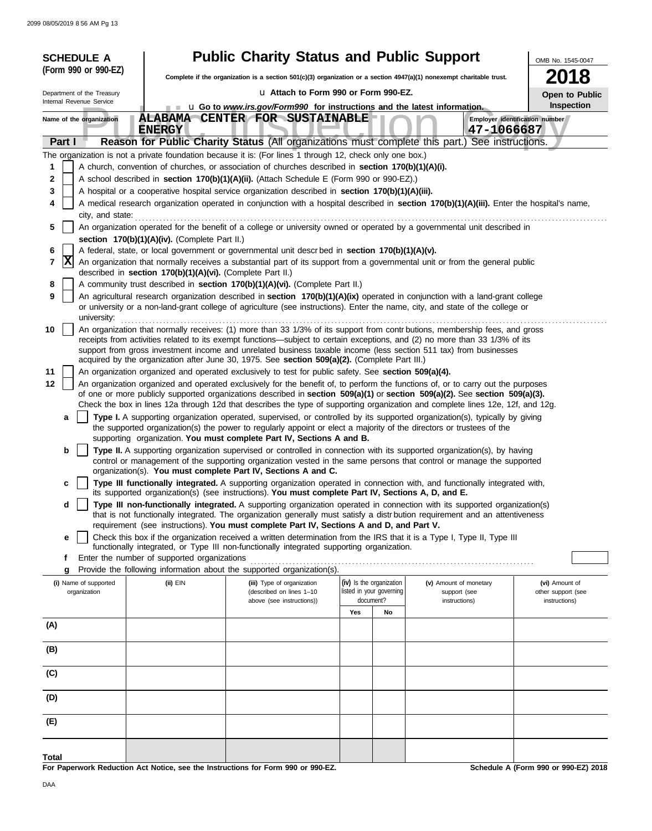|        | <b>SCHEDULE A</b>                                                                                                                                                                                                                                         |                                                            | <b>Public Charity Status and Public Support</b>                                                                                                                                                                                                                 |                                                      |                               | OMB No. 1545-0047                   |  |  |  |  |  |  |  |
|--------|-----------------------------------------------------------------------------------------------------------------------------------------------------------------------------------------------------------------------------------------------------------|------------------------------------------------------------|-----------------------------------------------------------------------------------------------------------------------------------------------------------------------------------------------------------------------------------------------------------------|------------------------------------------------------|-------------------------------|-------------------------------------|--|--|--|--|--|--|--|
|        | (Form 990 or 990-EZ)                                                                                                                                                                                                                                      |                                                            | Complete if the organization is a section 501(c)(3) organization or a section 4947(a)(1) nonexempt charitable trust.                                                                                                                                            |                                                      |                               | 18                                  |  |  |  |  |  |  |  |
|        | Department of the Treasury                                                                                                                                                                                                                                |                                                            | La Attach to Form 990 or Form 990-EZ.                                                                                                                                                                                                                           |                                                      |                               |                                     |  |  |  |  |  |  |  |
|        | Internal Revenue Service                                                                                                                                                                                                                                  |                                                            | u Go to www.irs.gov/Form990 for instructions and the latest information.                                                                                                                                                                                        |                                                      |                               | Open to Public<br><b>Inspection</b> |  |  |  |  |  |  |  |
|        | Name of the organization                                                                                                                                                                                                                                  | <b>ENERGY</b>                                              | ALABAMA CENTER FOR SUSTAINABLE                                                                                                                                                                                                                                  |                                                      | 47-1066687                    | Employer identification number      |  |  |  |  |  |  |  |
|        | Part I                                                                                                                                                                                                                                                    |                                                            | Reason for Public Charity Status (All organizations must complete this part.) See instructions.                                                                                                                                                                 |                                                      |                               |                                     |  |  |  |  |  |  |  |
|        |                                                                                                                                                                                                                                                           |                                                            | The organization is not a private foundation because it is: (For lines 1 through 12, check only one box.)                                                                                                                                                       |                                                      |                               |                                     |  |  |  |  |  |  |  |
| 1      |                                                                                                                                                                                                                                                           |                                                            | A church, convention of churches, or association of churches described in section 170(b)(1)(A)(i).                                                                                                                                                              |                                                      |                               |                                     |  |  |  |  |  |  |  |
| 2      | A school described in section 170(b)(1)(A)(ii). (Attach Schedule E (Form 990 or 990-EZ).)                                                                                                                                                                 |                                                            |                                                                                                                                                                                                                                                                 |                                                      |                               |                                     |  |  |  |  |  |  |  |
|        | 3<br>A hospital or a cooperative hospital service organization described in section 170(b)(1)(A)(iii).<br>A medical research organization operated in conjunction with a hospital described in section 170(b)(1)(A)(iii). Enter the hospital's name,<br>4 |                                                            |                                                                                                                                                                                                                                                                 |                                                      |                               |                                     |  |  |  |  |  |  |  |
|        | city, and state:                                                                                                                                                                                                                                          |                                                            |                                                                                                                                                                                                                                                                 |                                                      |                               |                                     |  |  |  |  |  |  |  |
| 5      | An organization operated for the benefit of a college or university owned or operated by a governmental unit described in                                                                                                                                 |                                                            |                                                                                                                                                                                                                                                                 |                                                      |                               |                                     |  |  |  |  |  |  |  |
|        |                                                                                                                                                                                                                                                           | section 170(b)(1)(A)(iv). (Complete Part II.)              |                                                                                                                                                                                                                                                                 |                                                      |                               |                                     |  |  |  |  |  |  |  |
| 6<br>7 | $ {\bf X} $                                                                                                                                                                                                                                               |                                                            | A federal, state, or local government or governmental unit descrbed in section 170(b)(1)(A)(v).<br>An organization that normally receives a substantial part of its support from a governmental unit or from the general public                                 |                                                      |                               |                                     |  |  |  |  |  |  |  |
|        |                                                                                                                                                                                                                                                           | described in section 170(b)(1)(A)(vi). (Complete Part II.) |                                                                                                                                                                                                                                                                 |                                                      |                               |                                     |  |  |  |  |  |  |  |
| 8      |                                                                                                                                                                                                                                                           |                                                            | A community trust described in section 170(b)(1)(A)(vi). (Complete Part II.)                                                                                                                                                                                    |                                                      |                               |                                     |  |  |  |  |  |  |  |
| 9      | university:                                                                                                                                                                                                                                               |                                                            | An agricultural research organization described in section 170(b)(1)(A)(ix) operated in conjunction with a land-grant college<br>or university or a non-land-grant college of agriculture (see instructions). Enter the name, city, and state of the college or |                                                      |                               |                                     |  |  |  |  |  |  |  |
| 10     |                                                                                                                                                                                                                                                           |                                                            | An organization that normally receives: (1) more than 33 1/3% of its support from contrbutions, membership fees, and gross                                                                                                                                      |                                                      |                               |                                     |  |  |  |  |  |  |  |
|        |                                                                                                                                                                                                                                                           |                                                            | receipts from activities related to its exempt functions—subject to certain exceptions, and (2) no more than 33 1/3% of its<br>support from gross investment income and unrelated business taxable income (less section 511 tax) from businesses                |                                                      |                               |                                     |  |  |  |  |  |  |  |
|        |                                                                                                                                                                                                                                                           |                                                            | acquired by the organization after June 30, 1975. See section 509(a)(2). (Complete Part III.)                                                                                                                                                                   |                                                      |                               |                                     |  |  |  |  |  |  |  |
| 11     |                                                                                                                                                                                                                                                           |                                                            | An organization organized and operated exclusively to test for public safety. See section 509(a)(4).                                                                                                                                                            |                                                      |                               |                                     |  |  |  |  |  |  |  |
| 12     |                                                                                                                                                                                                                                                           |                                                            | An organization organized and operated exclusively for the benefit of, to perform the functions of, or to carry out the purposes<br>of one or more publicly supported organizations described in section 509(a)(1) or section 509(a)(2). See section 509(a)(3). |                                                      |                               |                                     |  |  |  |  |  |  |  |
|        |                                                                                                                                                                                                                                                           |                                                            | Check the box in lines 12a through 12d that describes the type of supporting organization and complete lines 12e, 12f, and 12g.                                                                                                                                 |                                                      |                               |                                     |  |  |  |  |  |  |  |
|        | a                                                                                                                                                                                                                                                         |                                                            | Type I. A supporting organization operated, supervised, or controlled by its supported organization(s), typically by giving                                                                                                                                     |                                                      |                               |                                     |  |  |  |  |  |  |  |
|        |                                                                                                                                                                                                                                                           |                                                            | the supported organization(s) the power to regularly appoint or elect a majority of the directors or trustees of the<br>supporting organization. You must complete Part IV, Sections A and B.                                                                   |                                                      |                               |                                     |  |  |  |  |  |  |  |
|        | b                                                                                                                                                                                                                                                         |                                                            | Type II. A supporting organization supervised or controlled in connection with its supported organization(s), by having                                                                                                                                         |                                                      |                               |                                     |  |  |  |  |  |  |  |
|        |                                                                                                                                                                                                                                                           |                                                            | control or management of the supporting organization vested in the same persons that control or manage the supported                                                                                                                                            |                                                      |                               |                                     |  |  |  |  |  |  |  |
|        | c                                                                                                                                                                                                                                                         |                                                            | organization(s). You must complete Part IV, Sections A and C.<br>Type III functionally integrated. A supporting organization operated in connection with, and functionally integrated with,                                                                     |                                                      |                               |                                     |  |  |  |  |  |  |  |
|        |                                                                                                                                                                                                                                                           |                                                            | its supported organization(s) (see instructions). You must complete Part IV, Sections A, D, and E.                                                                                                                                                              |                                                      |                               |                                     |  |  |  |  |  |  |  |
|        | d                                                                                                                                                                                                                                                         |                                                            | Type III non-functionally integrated. A supporting organization operated in connection with its supported organization(s)<br>that is not functionally integrated. The organization generally must satisfy a distribution requirement and an attentiveness       |                                                      |                               |                                     |  |  |  |  |  |  |  |
|        |                                                                                                                                                                                                                                                           |                                                            | requirement (see instructions). You must complete Part IV, Sections A and D, and Part V.                                                                                                                                                                        |                                                      |                               |                                     |  |  |  |  |  |  |  |
|        | e                                                                                                                                                                                                                                                         |                                                            | Check this box if the organization received a written determination from the IRS that it is a Type I, Type II, Type III<br>functionally integrated, or Type III non-functionally integrated supporting organization.                                            |                                                      |                               |                                     |  |  |  |  |  |  |  |
|        | f                                                                                                                                                                                                                                                         | Enter the number of supported organizations                |                                                                                                                                                                                                                                                                 |                                                      |                               |                                     |  |  |  |  |  |  |  |
|        | g                                                                                                                                                                                                                                                         |                                                            | Provide the following information about the supported organization(s).                                                                                                                                                                                          |                                                      |                               |                                     |  |  |  |  |  |  |  |
|        | (i) Name of supported                                                                                                                                                                                                                                     | (ii) EIN                                                   | (iii) Type of organization<br>(described on lines 1-10                                                                                                                                                                                                          | (iv) Is the organization<br>listed in your governing | (v) Amount of monetary        | (vi) Amount of                      |  |  |  |  |  |  |  |
|        | organization                                                                                                                                                                                                                                              |                                                            | above (see instructions))                                                                                                                                                                                                                                       | document?                                            | support (see<br>instructions) | other support (see<br>instructions) |  |  |  |  |  |  |  |
|        |                                                                                                                                                                                                                                                           |                                                            |                                                                                                                                                                                                                                                                 | Yes<br>No                                            |                               |                                     |  |  |  |  |  |  |  |
| (A)    |                                                                                                                                                                                                                                                           |                                                            |                                                                                                                                                                                                                                                                 |                                                      |                               |                                     |  |  |  |  |  |  |  |
| (B)    |                                                                                                                                                                                                                                                           |                                                            |                                                                                                                                                                                                                                                                 |                                                      |                               |                                     |  |  |  |  |  |  |  |
|        |                                                                                                                                                                                                                                                           |                                                            |                                                                                                                                                                                                                                                                 |                                                      |                               |                                     |  |  |  |  |  |  |  |
| (C)    |                                                                                                                                                                                                                                                           |                                                            |                                                                                                                                                                                                                                                                 |                                                      |                               |                                     |  |  |  |  |  |  |  |
| (D)    |                                                                                                                                                                                                                                                           |                                                            |                                                                                                                                                                                                                                                                 |                                                      |                               |                                     |  |  |  |  |  |  |  |
| (E)    |                                                                                                                                                                                                                                                           |                                                            |                                                                                                                                                                                                                                                                 |                                                      |                               |                                     |  |  |  |  |  |  |  |
|        |                                                                                                                                                                                                                                                           |                                                            |                                                                                                                                                                                                                                                                 |                                                      |                               |                                     |  |  |  |  |  |  |  |
| Total  |                                                                                                                                                                                                                                                           |                                                            |                                                                                                                                                                                                                                                                 |                                                      |                               |                                     |  |  |  |  |  |  |  |

**For Paperwork Reduction Act Notice, see the Instructions for Form 990 or 990-EZ.**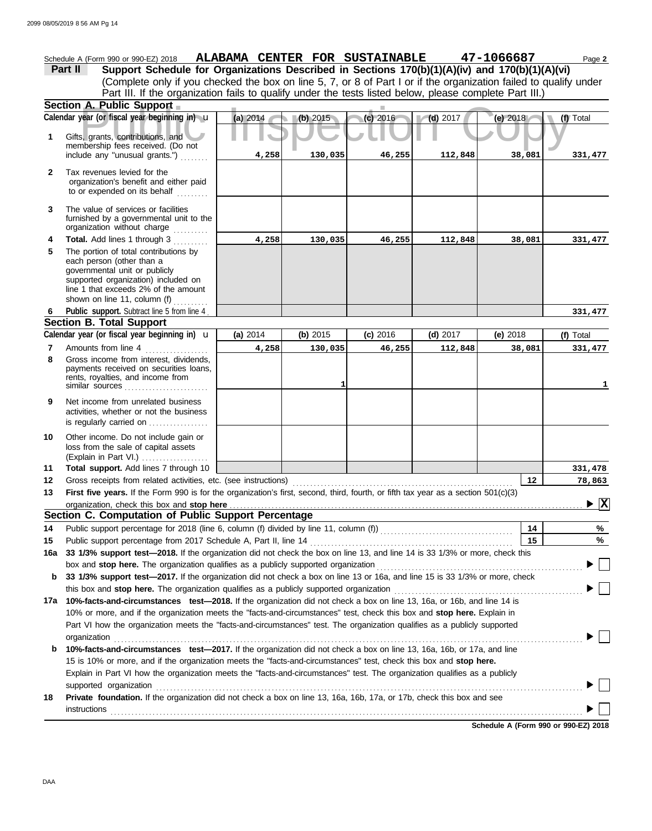**A. Public Support**<br>
year (or fiscal year beginning in) **u** (a) 2014<br> **(b)** 2015<br> **(c)** 2016<br>
(c) 2016<br>
(d) 2017<br>
(e) 2018<br>
(e) 2018<br>
(c) 2016 (Explain in Part VI.) . . . . . . . . . . . . . . . . . . . governmental unit or publicly **Section A. Public Support Total support.** Add lines 7 through 10 loss from the sale of capital assets Other income. Do not include gain or is regularly carried on ................. activities, whether or not the business Net income from unrelated business rents, royalties, and income from payments received on securities loans, Gross income from interest, dividends, line 1 that exceeds 2% of the amount supported organization) included on each person (other than a The portion of total contributions by **Total.** Add lines 1 through 3 .......... The value of services or facilities to or expended on its behalf ......... organization's benefit and either paid Tax revenues levied for the First five years. If the Form 990 is for the organization's first, second, third, fourth, or fifth tax year as a section 501(c)(3) Gross receipts from related activities, etc. (see instructions) . . . . . . . . . . . . . . . . . . . . . . . . . . . . . . . . . . . . . . . . . . . . . . . . . . . . . . . . . . . . . . . Amounts from line 4 Public support. Subtract line 5 from line 4 include any "unusual grants.") . . . . . . . . membership fees received. (Do not Gifts, grants, contributions, and Schedule A (Form 990 or 990-EZ) 2018 **ALABAMA CENTER FOR SUSTAINABLE** 47-1066687 Page 2 **13 12 11 9 8 6 4 3 2 1 (a)** 2014 **(b)** 2015 **(c)** 2016 **(d)** 2017 **(e)** 2018 (Complete only if you checked the box on line 5, 7, or 8 of Part I or if the organization failed to qualify under **Part II Support Schedule for Organizations Described in Sections 170(b)(1)(A)(iv) and 170(b)(1)(A)(vi)** Calendar year (or fiscal year beginning in)  $\cdot$  **(a)** 2014 (b) 2015 (c) 2016 (d) 2017 (d) 2017 (e) 2018 (f) Total furnished by a governmental unit to the organization without charge **5 Section B. Total Support 7** similar sources **10** organization, check this box and stop here **Section C. Computation of Public Support Percentage 12 14** Public support percentage for 2018 (line 6, column (f) divided by line 11, column (f)) . . . . . . . . . . . . . . . . . . . . . . . . . . . . . . . . . . . . . . Public support percentage from 2017 Schedule A, Part II, line 14 . . . . . . . . . . . . . . . . . . . . . . . . . . . . . . . . . . . . . . . . . . . . . . . . . . . . . . . . . . **15 16a 33 1/3% support test—2018.** If the organization did not check the box on line 13, and line 14 is 33 1/3% or more, check this box and stop here. The organization qualifies as a publicly supported organization .............. **b 33 1/3% support test—2017.** If the organization did not check a box on line 13 or 16a, and line 15 is 33 1/3% or more, check this box and **stop here.** The organization qualifies as a publicly supported organization . . . . . . . . . . . . . . . . . . . . . . . . . . . . . . . . . . . . . . . . . . . . . . . . . . . . . . **17a 10%-facts-and-circumstances test—2018.** If the organization did not check a box on line 13, 16a, or 16b, and line 14 is 10% or more, and if the organization meets the "facts-and-circumstances" test, check this box and **stop here.** Explain in Part VI how the organization meets the "facts-and-circumstances" test. The organization qualifies as a publicly supported **b 10%-facts-and-circumstances test—2017.** If the organization did not check a box on line 13, 16a, 16b, or 17a, and line Explain in Part VI how the organization meets the "facts-and-circumstances" test. The organization qualifies as a publicly 15 is 10% or more, and if the organization meets the "facts-and-circumstances" test, check this box and **stop here. 18 Private foundation.** If the organization did not check a box on line 13, 16a, 16b, 17a, or 17b, check this box and see **14 15 % %** Calendar year (or fiscal year beginning in)  $\bf{u}$  (a) 2014 (b) 2015 (c) 2016 (d) 2017 (e) 2018 (f) Total Part III. If the organization fails to qualify under the tests listed below, please complete Part III.) **(a)** 2014 shown on line 11, column (f)  $\ldots$ organization . . . . . . . . . . . . . . . . . . . . . . . . . . . . . . . . . . . . . . . . . . . . . . . . . . . . . . . . . . . . . . . . . . . . . . . . . . . . . . . . . . . . . . . . . . . . . . . . . . . . . . . . . . . . . . . . . . . . . . . . . . . . . . . . . . . . . . supported organization . . . . . . . . . . . . . . . . . . . . . . . . . . . . . . . . . . . . . . . . . . . . . . . . . . . . . . . . . . . . . . . . . . . . . . . . . . . . . . . . . . . . . . . . . . . . . . . . . . . . . . . . . . . . . . . . . . . . . . . . . . instructions . . . . . . . . . . . . . . . . . . . . . . . . . . . . . . . . . . . . . . . . . . . . . . . . . . . . . . . . . . . . . . . . . . . . . . . . . . . . . . . . . . . . . . . . . . . . . . . . . . . . . . . . . . . . . . . . . . . . . . . . . . . . . . . . . . . . . . . u **(b)** 2015 **(c)** 2016 **(d)** 2017 **(e)** 2018 **4,258 130,035 46,255 112,848 38,081 331,477 4,258 130,035 46,255 112,848 38,081 331,477 331,477 4,258 130,035 46,255 112,848 38,081 331,477 1 1 331,478 78,863 X**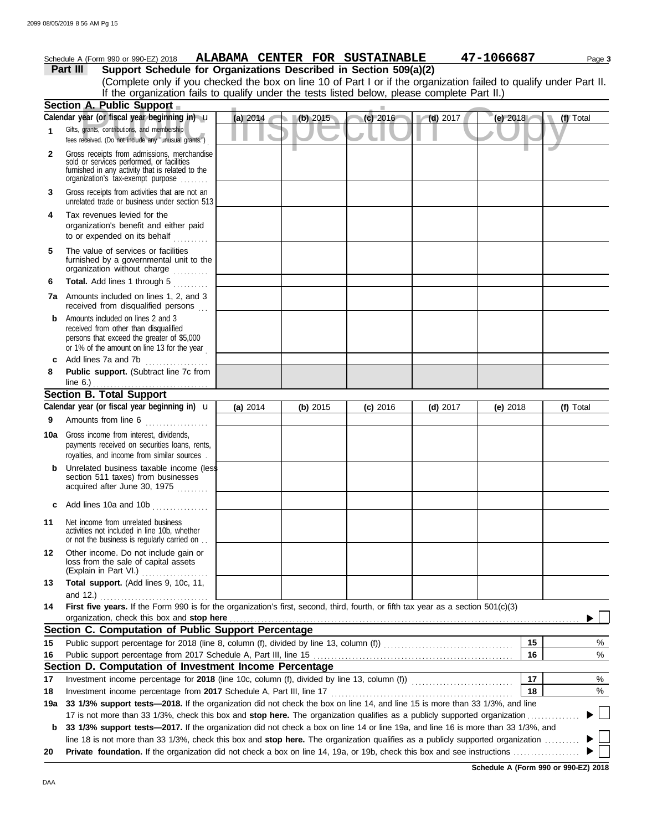|              | Schedule A (Form 990 or 990-EZ) 2018                                                                                                                                              |          |          | ALABAMA CENTER FOR SUSTAINABLE |                         | 47-1066687 | Page 3    |
|--------------|-----------------------------------------------------------------------------------------------------------------------------------------------------------------------------------|----------|----------|--------------------------------|-------------------------|------------|-----------|
|              | Support Schedule for Organizations Described in Section 509(a)(2)<br><b>Part III</b>                                                                                              |          |          |                                |                         |            |           |
|              | (Complete only if you checked the box on line 10 of Part I or if the organization failed to qualify under Part II.                                                                |          |          |                                |                         |            |           |
|              | If the organization fails to qualify under the tests listed below, please complete Part II.)                                                                                      |          |          |                                |                         |            |           |
|              | Section A. Public Support                                                                                                                                                         |          |          |                                |                         |            |           |
|              | Calendar year (or fiscal year beginning in) u                                                                                                                                     | (a) 2014 | (b) 2015 | $(c)$ 2016                     | $\blacksquare$ (d) 2017 | (e) 2018   | (f) Total |
| 1            | Gifts, grants, contributions, and membership<br>fees received. (Do not include any "unusual grants.")                                                                             |          |          |                                |                         |            |           |
| $\mathbf{2}$ | Gross receipts from admissions, merchandise<br>sold or services performed, or facilities<br>furnished in any activity that is related to the<br>organization's tax-exempt purpose |          |          |                                |                         |            |           |
| 3            | Gross receipts from activities that are not an<br>unrelated trade or business under section 513                                                                                   |          |          |                                |                         |            |           |
| 4            | Tax revenues levied for the<br>organization's benefit and either paid<br>to or expended on its behalf                                                                             |          |          |                                |                         |            |           |
| 5            | The value of services or facilities<br>furnished by a governmental unit to the<br>organization without charge                                                                     |          |          |                                |                         |            |           |
| 6            | Total. Add lines 1 through 5                                                                                                                                                      |          |          |                                |                         |            |           |
|              | <b>7a</b> Amounts included on lines 1, 2, and 3<br>received from disqualified persons                                                                                             |          |          |                                |                         |            |           |
| b            | Amounts included on lines 2 and 3<br>received from other than disqualified<br>persons that exceed the greater of \$5,000<br>or 1% of the amount on line 13 for the year           |          |          |                                |                         |            |           |
| c            | Add lines 7a and 7b                                                                                                                                                               |          |          |                                |                         |            |           |
| 8            | Public support. (Subtract line 7c from<br>line $6.$ )                                                                                                                             |          |          |                                |                         |            |           |
|              | <b>Section B. Total Support</b>                                                                                                                                                   |          |          |                                |                         |            |           |
|              | Calendar year (or fiscal year beginning in) <b>u</b>                                                                                                                              | (a) 2014 | (b) 2015 | $(c)$ 2016                     | $(d)$ 2017              | (e) $2018$ | (f) Total |
| 9            | Amounts from line 6                                                                                                                                                               |          |          |                                |                         |            |           |
|              | <b>10a</b> Gross income from interest, dividends,<br>payments received on securities loans, rents,<br>royalties, and income from similar sources                                  |          |          |                                |                         |            |           |
| b            | Unrelated business taxable income (less<br>section 511 taxes) from businesses<br>acquired after June 30, 1975                                                                     |          |          |                                |                         |            |           |
| c            | Add lines 10a and 10b                                                                                                                                                             |          |          |                                |                         |            |           |
| 11           | Net income from unrelated business<br>activities not included in line 10b, whether<br>or not the business is regularly carried on                                                 |          |          |                                |                         |            |           |
| 12           | Other income. Do not include gain or<br>loss from the sale of capital assets<br>(Explain in Part VI.)                                                                             |          |          |                                |                         |            |           |
| 13           | Total support. (Add lines 9, 10c, 11,<br>and 12.) $\ldots$                                                                                                                        |          |          |                                |                         |            |           |
| 14           | First five years. If the Form 990 is for the organization's first, second, third, fourth, or fifth tax year as a section 501(c)(3)<br>organization, check this box and stop here  |          |          |                                |                         |            |           |
|              | Section C. Computation of Public Support Percentage                                                                                                                               |          |          |                                |                         |            |           |
| 15           |                                                                                                                                                                                   |          |          |                                |                         | 15         | %         |
| 16           |                                                                                                                                                                                   |          |          |                                |                         | 16         | $\%$      |
|              | Section D. Computation of Investment Income Percentage                                                                                                                            |          |          |                                |                         |            |           |
| 17           |                                                                                                                                                                                   |          |          |                                |                         | 17         | %         |
| 18           |                                                                                                                                                                                   |          |          |                                |                         | 18         | %         |
| 19a          | 33 1/3% support tests-2018. If the organization did not check the box on line 14, and line 15 is more than 33 1/3%, and line                                                      |          |          |                                |                         |            |           |
|              | 17 is not more than 33 1/3%, check this box and stop here. The organization qualifies as a publicly supported organization                                                        |          |          |                                |                         |            |           |
| b            | 33 1/3% support tests-2017. If the organization did not check a box on line 14 or line 19a, and line 16 is more than 33 1/3%, and                                                 |          |          |                                |                         |            |           |
|              | line 18 is not more than 33 1/3%, check this box and stop here. The organization qualifies as a publicly supported organization                                                   |          |          |                                |                         |            |           |
| 20           | Private foundation. If the organization did not check a box on line 14, 19a, or 19b, check this box and see instructions <i>manument</i>                                          |          |          |                                |                         |            |           |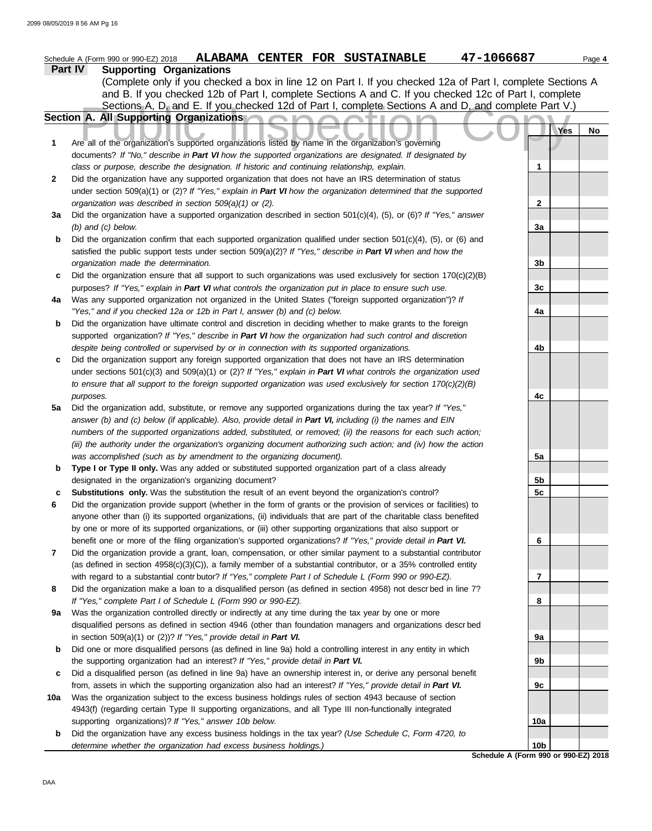|         | 47-1066687<br>ALABAMA CENTER FOR SUSTAINABLE<br>Schedule A (Form 990 or 990-EZ) 2018                                                                                                                               |                 |     | Page 4 |
|---------|--------------------------------------------------------------------------------------------------------------------------------------------------------------------------------------------------------------------|-----------------|-----|--------|
| Part IV | <b>Supporting Organizations</b>                                                                                                                                                                                    |                 |     |        |
|         | (Complete only if you checked a box in line 12 on Part I. If you checked 12a of Part I, complete Sections A                                                                                                        |                 |     |        |
|         | and B. If you checked 12b of Part I, complete Sections A and C. If you checked 12c of Part I, complete                                                                                                             |                 |     |        |
|         | Sections A, D, and E. If you checked 12d of Part I, complete Sections A and D, and complete Part V.)                                                                                                               |                 |     |        |
|         | Section A. All Supporting Organizations                                                                                                                                                                            |                 |     |        |
|         |                                                                                                                                                                                                                    |                 | Yes | No     |
| 1       | Are all of the organization's supported organizations listed by name in the organization's governing                                                                                                               |                 |     |        |
|         | documents? If "No," describe in Part VI how the supported organizations are designated. If designated by                                                                                                           |                 |     |        |
|         | class or purpose, describe the designation. If historic and continuing relationship, explain.                                                                                                                      | 1               |     |        |
| 2       | Did the organization have any supported organization that does not have an IRS determination of status                                                                                                             |                 |     |        |
|         | under section 509(a)(1) or (2)? If "Yes," explain in Part VI how the organization determined that the supported                                                                                                    |                 |     |        |
|         | organization was described in section 509(a)(1) or (2).                                                                                                                                                            | $\mathbf{2}$    |     |        |
| За      | Did the organization have a supported organization described in section 501(c)(4), (5), or (6)? If "Yes," answer                                                                                                   |                 |     |        |
|         | $(b)$ and $(c)$ below.                                                                                                                                                                                             | 3a              |     |        |
| b       | Did the organization confirm that each supported organization qualified under section 501(c)(4), (5), or (6) and                                                                                                   |                 |     |        |
|         | satisfied the public support tests under section 509(a)(2)? If "Yes," describe in Part VI when and how the                                                                                                         |                 |     |        |
|         | organization made the determination.                                                                                                                                                                               | 3b              |     |        |
| c       | Did the organization ensure that all support to such organizations was used exclusively for section $170(c)(2)(B)$                                                                                                 |                 |     |        |
|         | purposes? If "Yes," explain in Part VI what controls the organization put in place to ensure such use.<br>Was any supported organization not organized in the United States ("foreign supported organization")? If | 3c              |     |        |
| 4a      | "Yes," and if you checked 12a or 12b in Part I, answer (b) and (c) below.                                                                                                                                          |                 |     |        |
| b       | Did the organization have ultimate control and discretion in deciding whether to make grants to the foreign                                                                                                        | 4a              |     |        |
|         | supported organization? If "Yes," describe in Part VI how the organization had such control and discretion                                                                                                         |                 |     |        |
|         | despite being controlled or supervised by or in connection with its supported organizations.                                                                                                                       | 4b              |     |        |
| c       | Did the organization support any foreign supported organization that does not have an IRS determination                                                                                                            |                 |     |        |
|         | under sections $501(c)(3)$ and $509(a)(1)$ or (2)? If "Yes," explain in Part VI what controls the organization used                                                                                                |                 |     |        |
|         | to ensure that all support to the foreign supported organization was used exclusively for section $170(c)(2)(B)$                                                                                                   |                 |     |        |
|         | purposes.                                                                                                                                                                                                          | 4c              |     |        |
| 5a      | Did the organization add, substitute, or remove any supported organizations during the tax year? If "Yes,"                                                                                                         |                 |     |        |
|         | answer (b) and (c) below (if applicable). Also, provide detail in Part VI, including (i) the names and EIN                                                                                                         |                 |     |        |
|         | numbers of the supported organizations added, substituted, or removed; (ii) the reasons for each such action;                                                                                                      |                 |     |        |
|         | (iii) the authority under the organization's organizing document authorizing such action; and (iv) how the action                                                                                                  |                 |     |        |
|         | was accomplished (such as by amendment to the organizing document).                                                                                                                                                | 5a              |     |        |
| b       | Type I or Type II only. Was any added or substituted supported organization part of a class already                                                                                                                |                 |     |        |
|         | designated in the organization's organizing document?                                                                                                                                                              | 5b              |     |        |
| с       | Substitutions only. Was the substitution the result of an event beyond the organization's control?                                                                                                                 | 5c              |     |        |
| 6       | Did the organization provide support (whether in the form of grants or the provision of services or facilities) to                                                                                                 |                 |     |        |
|         | anyone other than (i) its supported organizations, (ii) individuals that are part of the charitable class benefited                                                                                                |                 |     |        |
|         | by one or more of its supported organizations, or (iii) other supporting organizations that also support or                                                                                                        |                 |     |        |
|         | benefit one or more of the filing organization's supported organizations? If "Yes," provide detail in Part VI.                                                                                                     | 6               |     |        |
| 7       | Did the organization provide a grant, loan, compensation, or other similar payment to a substantial contributor                                                                                                    |                 |     |        |
|         | (as defined in section $4958(c)(3)(C)$ ), a family member of a substantial contributor, or a 35% controlled entity                                                                                                 |                 |     |        |
|         | with regard to a substantial contr butor? If "Yes," complete Part I of Schedule L (Form 990 or 990-EZ).                                                                                                            | 7               |     |        |
| 8       | Did the organization make a loan to a disqualified person (as defined in section 4958) not described in line 7?                                                                                                    |                 |     |        |
|         | If "Yes," complete Part I of Schedule L (Form 990 or 990-EZ).<br>Was the organization controlled directly or indirectly at any time during the tax year by one or more                                             | 8               |     |        |
| 9a      |                                                                                                                                                                                                                    |                 |     |        |
|         | disqualified persons as defined in section 4946 (other than foundation managers and organizations descr bed<br>in section 509(a)(1) or (2))? If "Yes," provide detail in Part VI.                                  |                 |     |        |
| b       | Did one or more disqualified persons (as defined in line 9a) hold a controlling interest in any entity in which                                                                                                    | 9а              |     |        |
|         | the supporting organization had an interest? If "Yes," provide detail in Part VI.                                                                                                                                  | 9b              |     |        |
| c       | Did a disqualified person (as defined in line 9a) have an ownership interest in, or derive any personal benefit                                                                                                    |                 |     |        |
|         | from, assets in which the supporting organization also had an interest? If "Yes," provide detail in Part VI.                                                                                                       | 9с              |     |        |
| 10a     | Was the organization subject to the excess business holdings rules of section 4943 because of section                                                                                                              |                 |     |        |
|         | 4943(f) (regarding certain Type II supporting organizations, and all Type III non-functionally integrated                                                                                                          |                 |     |        |
|         | supporting organizations)? If "Yes," answer 10b below.                                                                                                                                                             | 10a             |     |        |
| b       | Did the organization have any excess business holdings in the tax year? (Use Schedule C, Form 4720, to                                                                                                             |                 |     |        |
|         | determine whether the organization had excess business holdings.)                                                                                                                                                  | 10 <sub>b</sub> |     |        |
|         | Schedule A (Form 990 or 990-EZ) 2018                                                                                                                                                                               |                 |     |        |
|         |                                                                                                                                                                                                                    |                 |     |        |

DAA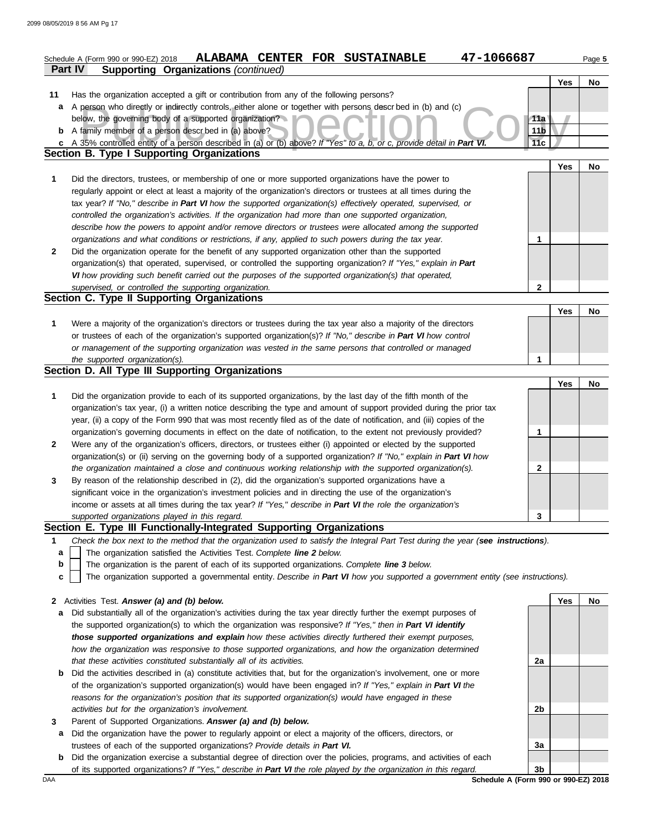|              | ALABAMA CENTER FOR SUSTAINABLE<br>47-1066687<br>Schedule A (Form 990 or 990-EZ) 2018                                              |                        |     | Page 5    |
|--------------|-----------------------------------------------------------------------------------------------------------------------------------|------------------------|-----|-----------|
|              | Part IV<br><b>Supporting Organizations (continued)</b>                                                                            |                        |     |           |
|              |                                                                                                                                   |                        | Yes | No.       |
| 11           | Has the organization accepted a gift or contribution from any of the following persons?                                           |                        |     |           |
| a            | A person who directly or indirectly controls, either alone or together with persons descr bed in (b) and (c)                      |                        |     |           |
|              | below, the governing body of a supported organization?<br><b>b</b> A family member of a person described in (a) above?            | 11a<br>11 <sub>b</sub> |     |           |
|              | c A 35% controlled entity of a person described in (a) or (b) above? If "Yes" to a, b, or c, provide detail in Part VI.           | 11c                    |     |           |
|              | Section B. Type I Supporting Organizations                                                                                        |                        |     |           |
|              |                                                                                                                                   |                        | Yes | <b>No</b> |
| 1            | Did the directors, trustees, or membership of one or more supported organizations have the power to                               |                        |     |           |
|              | regularly appoint or elect at least a majority of the organization's directors or trustees at all times during the                |                        |     |           |
|              | tax year? If "No," describe in Part VI how the supported organization(s) effectively operated, supervised, or                     |                        |     |           |
|              | controlled the organization's activities. If the organization had more than one supported organization,                           |                        |     |           |
|              | describe how the powers to appoint and/or remove directors or trustees were allocated among the supported                         |                        |     |           |
|              | organizations and what conditions or restrictions, if any, applied to such powers during the tax year.                            | 1                      |     |           |
| $\mathbf{2}$ | Did the organization operate for the benefit of any supported organization other than the supported                               |                        |     |           |
|              | organization(s) that operated, supervised, or controlled the supporting organization? If "Yes," explain in Part                   |                        |     |           |
|              | VI how providing such benefit carried out the purposes of the supported organization(s) that operated,                            |                        |     |           |
|              | supervised, or controlled the supporting organization.                                                                            | $\mathbf{2}$           |     |           |
|              | Section C. Type II Supporting Organizations                                                                                       |                        |     |           |
|              |                                                                                                                                   |                        | Yes | <b>No</b> |
| 1            | Were a majority of the organization's directors or trustees during the tax year also a majority of the directors                  |                        |     |           |
|              | or trustees of each of the organization's supported organization(s)? If "No," describe in Part VI how control                     |                        |     |           |
|              | or management of the supporting organization was vested in the same persons that controlled or managed                            |                        |     |           |
|              | the supported organization(s).                                                                                                    | 1                      |     |           |
|              | Section D. All Type III Supporting Organizations                                                                                  |                        |     |           |
|              |                                                                                                                                   |                        | Yes | <b>No</b> |
| 1            | Did the organization provide to each of its supported organizations, by the last day of the fifth month of the                    |                        |     |           |
|              | organization's tax year, (i) a written notice describing the type and amount of support provided during the prior tax             |                        |     |           |
|              | year, (ii) a copy of the Form 990 that was most recently filed as of the date of notification, and (iii) copies of the            |                        |     |           |
|              | organization's governing documents in effect on the date of notification, to the extent not previously provided?                  | 1                      |     |           |
| $\mathbf{2}$ | Were any of the organization's officers, directors, or trustees either (i) appointed or elected by the supported                  |                        |     |           |
|              | organization(s) or (ii) serving on the governing body of a supported organization? If "No," explain in Part VI how                |                        |     |           |
|              | the organization maintained a close and continuous working relationship with the supported organization(s).                       | $\mathbf{2}$           |     |           |
| 3            | By reason of the relationship described in (2), did the organization's supported organizations have a                             |                        |     |           |
|              | significant voice in the organization's investment policies and in directing the use of the organization's                        |                        |     |           |
|              | income or assets at all times during the tax year? If "Yes," describe in Part VI the role the organization's                      |                        |     |           |
|              | supported organizations played in this regard.                                                                                    | 3                      |     |           |
|              | Section E. Type III Functionally-Integrated Supporting Organizations                                                              |                        |     |           |
| 1            | Check the box next to the method that the organization used to satisfy the Integral Part Test during the year (see instructions). |                        |     |           |
| a            | The organization satisfied the Activities Test. Complete line 2 below.                                                            |                        |     |           |
| b            | The organization is the parent of each of its supported organizations. Complete line 3 below.                                     |                        |     |           |
| c            | The organization supported a governmental entity. Describe in Part VI how you supported a government entity (see instructions).   |                        |     |           |
| 2            | Activities Test. Answer (a) and (b) below.                                                                                        |                        | Yes | No        |
| а            | Did substantially all of the organization's activities during the tax year directly further the exempt purposes of                |                        |     |           |
|              | the supported organization(s) to which the organization was responsive? If "Yes," then in Part VI identify                        |                        |     |           |
|              | those supported organizations and explain how these activities directly furthered their exempt purposes,                          |                        |     |           |
|              | how the organization was responsive to those supported organizations, and how the organization determined                         |                        |     |           |
|              | that these activities constituted substantially all of its activities.                                                            | 2a                     |     |           |
| b            | Did the activities described in (a) constitute activities that, but for the organization's involvement, one or more               |                        |     |           |
|              | of the organization's supported organization(s) would have been engaged in? If "Yes," explain in Part VI the                      |                        |     |           |
|              | reasons for the organization's position that its supported organization(s) would have engaged in these                            |                        |     |           |
|              | activities but for the organization's involvement.                                                                                | 2b                     |     |           |
| 3            | Parent of Supported Organizations. Answer (a) and (b) below.                                                                      |                        |     |           |
| а            | Did the organization have the power to regularly appoint or elect a majority of the officers, directors, or                       |                        |     |           |
|              | trustees of each of the supported organizations? Provide details in Part VI.                                                      | 3a                     |     |           |

**b** Did the organization exercise a substantial degree of direction over the policies, programs, and activities of each of its supported organizations? *If "Yes," describe in Part VI the role played by the organization in this regard.* **3b**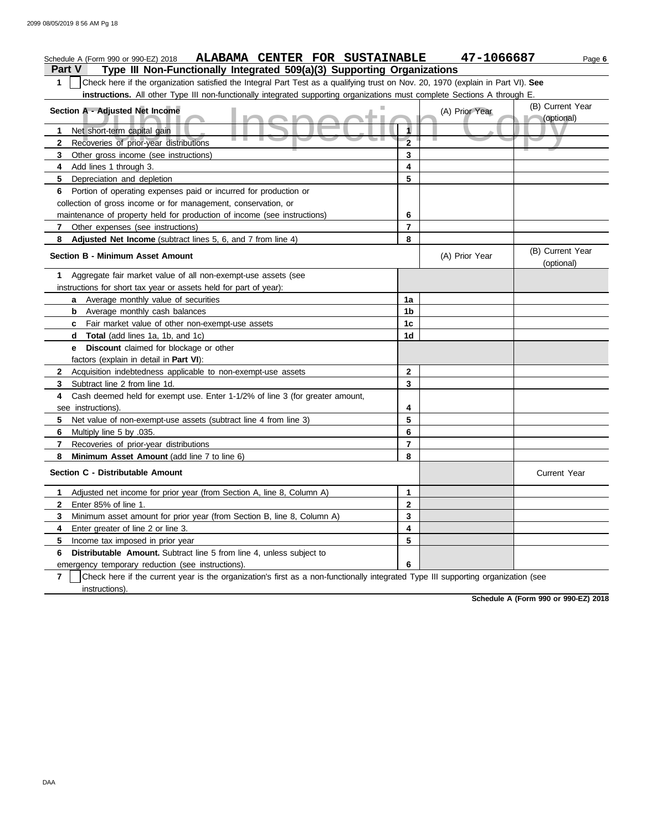| ALABAMA CENTER FOR SUSTAINABLE<br>Schedule A (Form 990 or 990-EZ) 2018                                                                              |                | 47-1066687     | Page 6                         |
|-----------------------------------------------------------------------------------------------------------------------------------------------------|----------------|----------------|--------------------------------|
| <b>Part V</b><br>Type III Non-Functionally Integrated 509(a)(3) Supporting Organizations                                                            |                |                |                                |
| Check here if the organization satisfied the Integral Part Test as a qualifying trust on Nov. 20, 1970 (explain in Part VI). See<br>1               |                |                |                                |
| instructions. All other Type III non-functionally integrated supporting organizations must complete Sections A through E.                           |                |                |                                |
| Section A - Adjusted Net Income                                                                                                                     |                | (A) Prior Year | (B) Current Year               |
|                                                                                                                                                     |                |                | (optional)                     |
| Net short-term capital gain<br>1.                                                                                                                   | 1              |                |                                |
| ш.<br>Recoveries of prior-year distributions<br>2                                                                                                   | $\overline{2}$ |                |                                |
| Other gross income (see instructions)<br>3                                                                                                          | 3              |                |                                |
| Add lines 1 through 3.<br>4                                                                                                                         | 4              |                |                                |
| Depreciation and depletion<br>5.                                                                                                                    | 5              |                |                                |
| Portion of operating expenses paid or incurred for production or<br>6                                                                               |                |                |                                |
| collection of gross income or for management, conservation, or                                                                                      |                |                |                                |
| maintenance of property held for production of income (see instructions)                                                                            | 6              |                |                                |
| Other expenses (see instructions)<br>7                                                                                                              | $\overline{7}$ |                |                                |
| Adjusted Net Income (subtract lines 5, 6, and 7 from line 4)<br>8                                                                                   | 8              |                |                                |
| <b>Section B - Minimum Asset Amount</b>                                                                                                             |                | (A) Prior Year | (B) Current Year<br>(optional) |
| Aggregate fair market value of all non-exempt-use assets (see<br>1                                                                                  |                |                |                                |
| instructions for short tax year or assets held for part of year):                                                                                   |                |                |                                |
| a Average monthly value of securities                                                                                                               | 1a             |                |                                |
| <b>b</b> Average monthly cash balances                                                                                                              | 1b             |                |                                |
| Fair market value of other non-exempt-use assets<br>c                                                                                               | 1 <sub>c</sub> |                |                                |
| <b>Total</b> (add lines 1a, 1b, and 1c)<br>d                                                                                                        | 1d             |                |                                |
| <b>Discount</b> claimed for blockage or other<br>е                                                                                                  |                |                |                                |
| factors (explain in detail in Part VI):                                                                                                             |                |                |                                |
| Acquisition indebtedness applicable to non-exempt-use assets<br>$\mathbf{2}$                                                                        | $\mathbf{2}$   |                |                                |
| Subtract line 2 from line 1d.<br>3                                                                                                                  | 3              |                |                                |
| 4<br>Cash deemed held for exempt use. Enter 1-1/2% of line 3 (for greater amount,                                                                   |                |                |                                |
| see instructions)                                                                                                                                   | 4              |                |                                |
| Net value of non-exempt-use assets (subtract line 4 from line 3)<br>5                                                                               | 5              |                |                                |
| Multiply line 5 by .035.<br>6                                                                                                                       | 6              |                |                                |
| Recoveries of prior-year distributions<br>7                                                                                                         | $\overline{7}$ |                |                                |
| Minimum Asset Amount (add line 7 to line 6)<br>8                                                                                                    | 8              |                |                                |
| Section C - Distributable Amount                                                                                                                    |                |                | <b>Current Year</b>            |
| Adjusted net income for prior year (from Section A, line 8, Column A)<br>1.                                                                         | $\mathbf{1}$   |                |                                |
| Enter 85% of line 1.<br>2                                                                                                                           | $\mathbf{2}$   |                |                                |
| Minimum asset amount for prior year (from Section B, line 8, Column A)<br>3                                                                         | 3              |                |                                |
| Enter greater of line 2 or line 3.<br>4                                                                                                             | 4              |                |                                |
| Income tax imposed in prior year<br>5                                                                                                               | 5              |                |                                |
| Distributable Amount. Subtract line 5 from line 4, unless subject to<br>6                                                                           |                |                |                                |
| emergency temporary reduction (see instructions).                                                                                                   | 6              |                |                                |
| $\overline{7}$<br>Check here if the current year is the organization's first as a non-functionally integrated Type III supporting organization (see |                |                |                                |
| instructions).                                                                                                                                      |                |                |                                |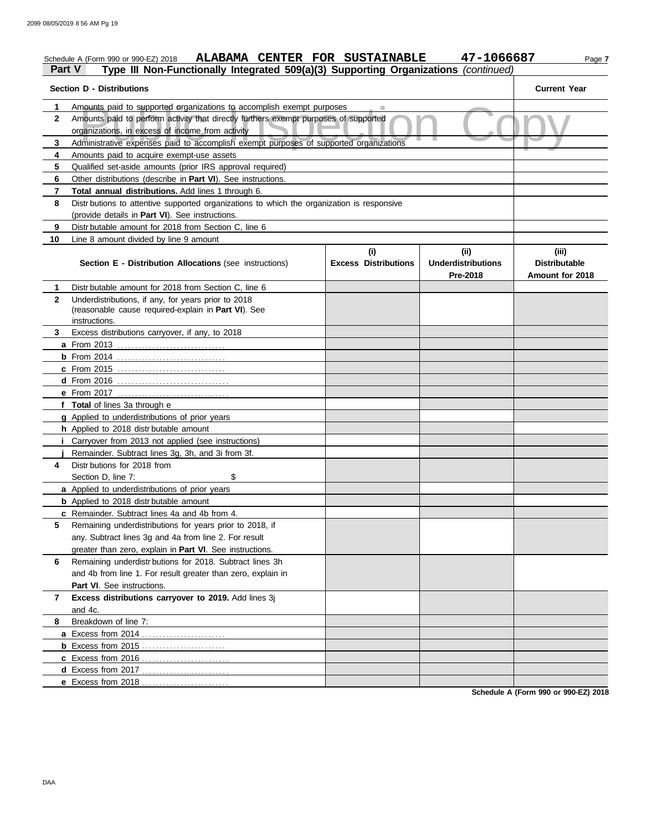| Part V            | ALABAMA CENTER FOR SUSTAINABLE<br>Schedule A (Form 990 or 990-EZ) 2018<br>Type III Non-Functionally Integrated 509(a)(3) Supporting Organizations (continued) |                             | 47-1066687                            | Page 7                                  |
|-------------------|---------------------------------------------------------------------------------------------------------------------------------------------------------------|-----------------------------|---------------------------------------|-----------------------------------------|
|                   | <b>Section D - Distributions</b>                                                                                                                              |                             |                                       | <b>Current Year</b>                     |
| 1<br>$\mathbf{2}$ | Amounts paid to supported organizations to accomplish exempt purposes<br>Amounts paid to perform activity that directly furthers exempt purposes of supported |                             |                                       |                                         |
|                   | organizations, in excess of income from activity                                                                                                              |                             |                                       |                                         |
| 3                 | Administrative expenses paid to accomplish exempt purposes of supported organizations                                                                         |                             |                                       |                                         |
| 4                 | Amounts paid to acquire exempt-use assets                                                                                                                     |                             |                                       |                                         |
| 5                 | Qualified set-aside amounts (prior IRS approval required)                                                                                                     |                             |                                       |                                         |
| 6<br>7            | Other distributions (describe in Part VI). See instructions.<br><b>Total annual distributions.</b> Add lines 1 through 6.                                     |                             |                                       |                                         |
| 8                 | Distr butions to attentive supported organizations to which the organization is responsive                                                                    |                             |                                       |                                         |
|                   | (provide details in Part VI). See instructions.                                                                                                               |                             |                                       |                                         |
| 9                 | Distr butable amount for 2018 from Section C, line 6                                                                                                          |                             |                                       |                                         |
| 10                | Line 8 amount divided by line 9 amount                                                                                                                        |                             |                                       |                                         |
|                   |                                                                                                                                                               | (i)                         | (ii)                                  | (iii)                                   |
|                   | <b>Section E - Distribution Allocations (see instructions)</b>                                                                                                | <b>Excess Distributions</b> | <b>Underdistributions</b><br>Pre-2018 | <b>Distributable</b><br>Amount for 2018 |
| 1                 | Distr butable amount for 2018 from Section C, line 6                                                                                                          |                             |                                       |                                         |
| $\mathbf{2}$      | Underdistributions, if any, for years prior to 2018                                                                                                           |                             |                                       |                                         |
|                   | (reasonable cause required-explain in Part VI). See                                                                                                           |                             |                                       |                                         |
|                   | instructions.                                                                                                                                                 |                             |                                       |                                         |
| 3                 | Excess distributions carryover, if any, to 2018                                                                                                               |                             |                                       |                                         |
|                   |                                                                                                                                                               |                             |                                       |                                         |
|                   |                                                                                                                                                               |                             |                                       |                                         |
|                   | c From 2015                                                                                                                                                   |                             |                                       |                                         |
|                   |                                                                                                                                                               |                             |                                       |                                         |
|                   |                                                                                                                                                               |                             |                                       |                                         |
|                   | f Total of lines 3a through e                                                                                                                                 |                             |                                       |                                         |
|                   | g Applied to underdistributions of prior years                                                                                                                |                             |                                       |                                         |
|                   | h Applied to 2018 distributable amount                                                                                                                        |                             |                                       |                                         |
|                   | <i>i</i> Carryover from 2013 not applied (see instructions)                                                                                                   |                             |                                       |                                         |
|                   | Remainder. Subtract lines 3g, 3h, and 3i from 3f.                                                                                                             |                             |                                       |                                         |
| 4                 | Distr butions for 2018 from                                                                                                                                   |                             |                                       |                                         |
|                   | \$<br>Section D, line 7:                                                                                                                                      |                             |                                       |                                         |
|                   | a Applied to underdistributions of prior years                                                                                                                |                             |                                       |                                         |
|                   | <b>b</b> Applied to 2018 distr butable amount<br><b>c</b> Remainder. Subtract lines 4a and 4b from 4.                                                         |                             |                                       |                                         |
| 5                 | Remaining underdistributions for years prior to 2018, if                                                                                                      |                             |                                       |                                         |
|                   | any. Subtract lines 3g and 4a from line 2. For result                                                                                                         |                             |                                       |                                         |
|                   | greater than zero, explain in <b>Part VI</b> . See instructions.                                                                                              |                             |                                       |                                         |
| 6                 | Remaining underdistr butions for 2018. Subtract lines 3h                                                                                                      |                             |                                       |                                         |
|                   | and 4b from line 1. For result greater than zero, explain in                                                                                                  |                             |                                       |                                         |
|                   | <b>Part VI.</b> See instructions.                                                                                                                             |                             |                                       |                                         |
| 7                 | Excess distributions carryover to 2019. Add lines 3j                                                                                                          |                             |                                       |                                         |
|                   | and 4c.                                                                                                                                                       |                             |                                       |                                         |
| 8                 | Breakdown of line 7:                                                                                                                                          |                             |                                       |                                         |
|                   |                                                                                                                                                               |                             |                                       |                                         |
|                   |                                                                                                                                                               |                             |                                       |                                         |
|                   |                                                                                                                                                               |                             |                                       |                                         |
|                   | d Excess from 2017                                                                                                                                            |                             |                                       |                                         |
|                   | e Excess from 2018                                                                                                                                            |                             |                                       |                                         |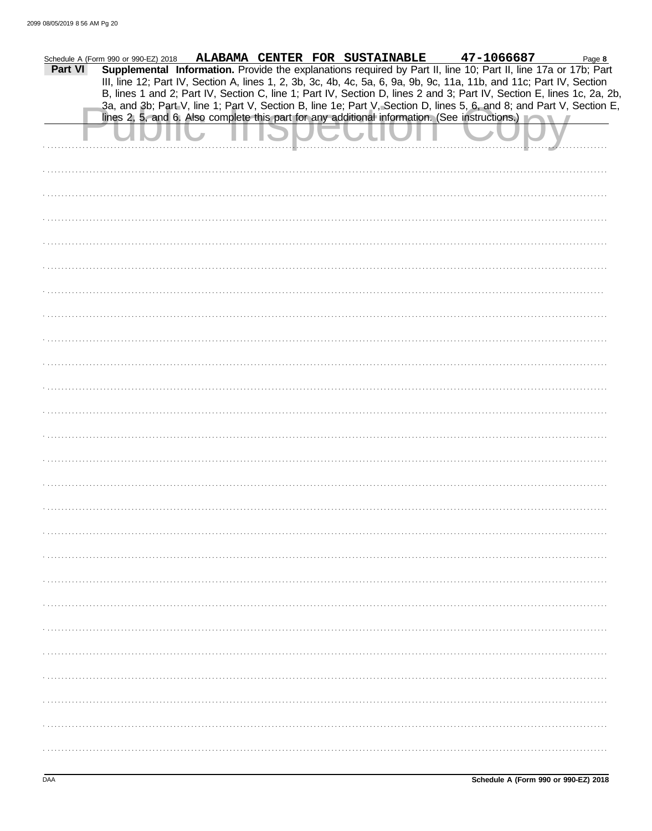| Part VI | Schedule A (Form 990 or 990-EZ) 2018 |  | ALABAMA CENTER FOR SUSTAINABLE | 47-1066687<br>Supplemental Information. Provide the explanations required by Part II, line 10; Part II, line 17a or 17b; Part                                                                                                                  | Page 8 |
|---------|--------------------------------------|--|--------------------------------|------------------------------------------------------------------------------------------------------------------------------------------------------------------------------------------------------------------------------------------------|--------|
|         |                                      |  |                                | III, line 12; Part IV, Section A, lines 1, 2, 3b, 3c, 4b, 4c, 5a, 6, 9a, 9b, 9c, 11a, 11b, and 11c; Part IV, Section<br>B, lines 1 and 2; Part IV, Section C, line 1; Part IV, Section D, lines 2 and 3; Part IV, Section E, lines 1c, 2a, 2b, |        |
|         |                                      |  |                                | 3a, and 3b; Part V, line 1; Part V, Section B, line 1e; Part V, Section D, lines 5, 6, and 8; and Part V, Section E,<br>lines 2, 5, and 6. Also complete this part for any additional information. (See instructions.)                         |        |
|         |                                      |  |                                |                                                                                                                                                                                                                                                |        |
|         |                                      |  |                                |                                                                                                                                                                                                                                                |        |
|         |                                      |  |                                |                                                                                                                                                                                                                                                |        |
|         |                                      |  |                                |                                                                                                                                                                                                                                                |        |
|         |                                      |  |                                |                                                                                                                                                                                                                                                |        |
|         |                                      |  |                                |                                                                                                                                                                                                                                                |        |
|         |                                      |  |                                |                                                                                                                                                                                                                                                |        |
|         |                                      |  |                                |                                                                                                                                                                                                                                                |        |
|         |                                      |  |                                |                                                                                                                                                                                                                                                |        |
|         |                                      |  |                                |                                                                                                                                                                                                                                                |        |
|         |                                      |  |                                |                                                                                                                                                                                                                                                |        |
|         |                                      |  |                                |                                                                                                                                                                                                                                                |        |
|         |                                      |  |                                |                                                                                                                                                                                                                                                |        |
|         |                                      |  |                                |                                                                                                                                                                                                                                                |        |
|         |                                      |  |                                |                                                                                                                                                                                                                                                |        |
|         |                                      |  |                                |                                                                                                                                                                                                                                                |        |
|         |                                      |  |                                |                                                                                                                                                                                                                                                |        |
|         |                                      |  |                                |                                                                                                                                                                                                                                                |        |
|         |                                      |  |                                |                                                                                                                                                                                                                                                |        |
|         |                                      |  |                                |                                                                                                                                                                                                                                                |        |
|         |                                      |  |                                |                                                                                                                                                                                                                                                |        |
|         |                                      |  |                                |                                                                                                                                                                                                                                                |        |
|         |                                      |  |                                |                                                                                                                                                                                                                                                |        |
|         |                                      |  |                                |                                                                                                                                                                                                                                                |        |
|         |                                      |  |                                |                                                                                                                                                                                                                                                |        |
|         |                                      |  |                                |                                                                                                                                                                                                                                                |        |
|         |                                      |  |                                |                                                                                                                                                                                                                                                |        |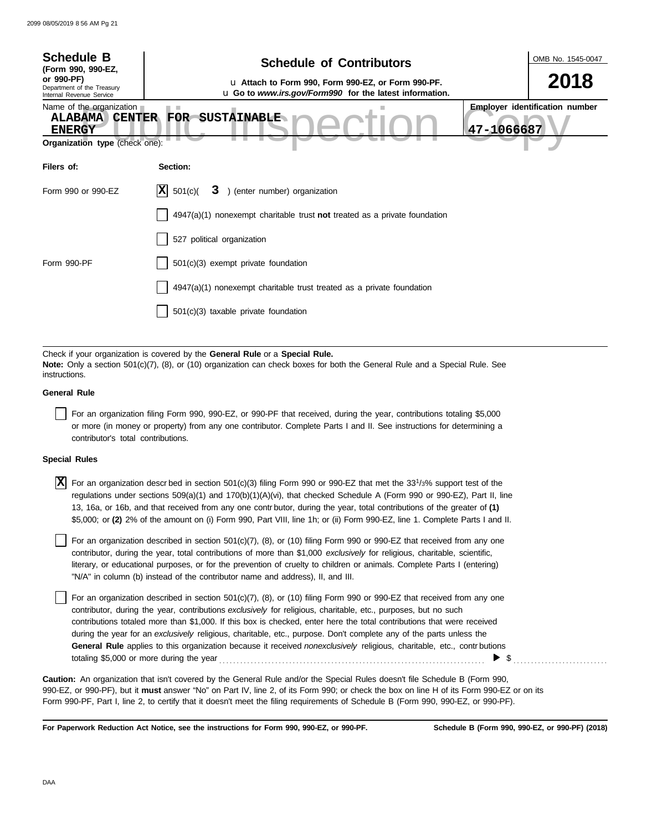| <b>Schedule B</b><br>(Form 990, 990-EZ,<br>or 990-PF)<br>Department of the Treasury<br>Internal Revenue Service | <b>Schedule of Contributors</b><br>u Attach to Form 990, Form 990-EZ, or Form 990-PF.<br><b>u</b> Go to www.irs.gov/Form990 for the latest information. |            | OMB No. 1545-0047<br>2018             |
|-----------------------------------------------------------------------------------------------------------------|---------------------------------------------------------------------------------------------------------------------------------------------------------|------------|---------------------------------------|
| Name of the organization<br><b>ALABAMA</b><br><b>CENTER</b><br><b>ENERGY</b><br>Organization type (check one):  | <b>FOR</b><br><b>SUSTAINABLE</b>                                                                                                                        | 47-1066687 | <b>Employer identification number</b> |
| Filers of:                                                                                                      | Section:                                                                                                                                                |            |                                       |
| Form 990 or 990-EZ                                                                                              | X <br>501(c)<br>3 ) (enter number) organization                                                                                                         |            |                                       |
|                                                                                                                 | $4947(a)(1)$ nonexempt charitable trust not treated as a private foundation                                                                             |            |                                       |
|                                                                                                                 | 527 political organization                                                                                                                              |            |                                       |
| Form 990-PF                                                                                                     | 501(c)(3) exempt private foundation                                                                                                                     |            |                                       |
|                                                                                                                 | $4947(a)(1)$ nonexempt charitable trust treated as a private foundation                                                                                 |            |                                       |
|                                                                                                                 | 501(c)(3) taxable private foundation                                                                                                                    |            |                                       |
|                                                                                                                 |                                                                                                                                                         |            |                                       |
|                                                                                                                 | Check if your organization is covered by the General Rule or a Special Rule.                                                                            |            |                                       |

**Note:** Only a section 501(c)(7), (8), or (10) organization can check boxes for both the General Rule and a Special Rule. See instructions.

#### **General Rule**

For an organization filing Form 990, 990-EZ, or 990-PF that received, during the year, contributions totaling \$5,000 or more (in money or property) from any one contributor. Complete Parts I and II. See instructions for determining a contributor's total contributions.

#### **Special Rules**

 $\overline{X}$  For an organization descrbed in section 501(c)(3) filing Form 990 or 990-EZ that met the 33<sup>1</sup>/3% support test of the regulations under sections 509(a)(1) and 170(b)(1)(A)(vi), that checked Schedule A (Form 990 or 990-EZ), Part II, line 13, 16a, or 16b, and that received from any one contr butor, during the year, total contributions of the greater of **(1)** \$5,000; or **(2)** 2% of the amount on (i) Form 990, Part VIII, line 1h; or (ii) Form 990-EZ, line 1. Complete Parts I and II.

literary, or educational purposes, or for the prevention of cruelty to children or animals. Complete Parts I (entering) For an organization described in section 501(c)(7), (8), or (10) filing Form 990 or 990-EZ that received from any one contributor, during the year, total contributions of more than \$1,000 *exclusively* for religious, charitable, scientific, "N/A" in column (b) instead of the contributor name and address), II, and III.

For an organization described in section 501(c)(7), (8), or (10) filing Form 990 or 990-EZ that received from any one contributor, during the year, contributions *exclusively* for religious, charitable, etc., purposes, but no such contributions totaled more than \$1,000. If this box is checked, enter here the total contributions that were received during the year for an *exclusively* religious, charitable, etc., purpose. Don't complete any of the parts unless the **General Rule** applies to this organization because it received *nonexclusively* religious, charitable, etc., contr butions totaling \$5,000 or more during the year . . . . . . . . . . . . . . . . . . . . . . . . . . . . . . . . . . . . . . . . . . . . . . . . . . . . . . . . . . . . . . . . . . . . . . . . . . . .  $\triangleright$  \$

990-EZ, or 990-PF), but it **must** answer "No" on Part IV, line 2, of its Form 990; or check the box on line H of its Form 990-EZ or on its Form 990-PF, Part I, line 2, to certify that it doesn't meet the filing requirements of Schedule B (Form 990, 990-EZ, or 990-PF). **Caution:** An organization that isn't covered by the General Rule and/or the Special Rules doesn't file Schedule B (Form 990,

**For Paperwork Reduction Act Notice, see the instructions for Form 990, 990-EZ, or 990-PF.**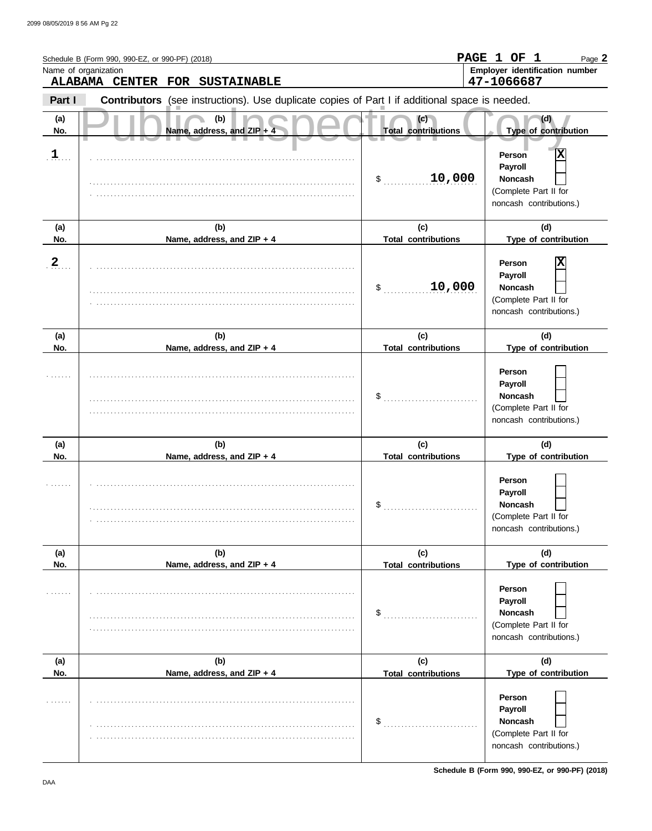|                | Schedule B (Form 990, 990-EZ, or 990-PF) (2018)                                                |                                   | PAGE 1 OF 1<br>Page 2                                                                        |
|----------------|------------------------------------------------------------------------------------------------|-----------------------------------|----------------------------------------------------------------------------------------------|
|                | Name of organization<br>ALABAMA CENTER FOR SUSTAINABLE                                         |                                   | Employer identification number<br>47-1066687                                                 |
| Part I         | Contributors (see instructions). Use duplicate copies of Part I if additional space is needed. |                                   |                                                                                              |
| (a)<br>No.     | (b)<br>Name, address, and ZIP + 4                                                              | (c)<br><b>Total contributions</b> | (d)<br>Type of contribution                                                                  |
| $\mathbf{1}$   |                                                                                                | 10,000<br>\$                      | Χ<br>Person<br>Payroll<br><b>Noncash</b><br>(Complete Part II for<br>noncash contributions.) |
| (a)<br>No.     | (b)<br>Name, address, and ZIP + 4                                                              | (c)<br><b>Total contributions</b> | (d)<br>Type of contribution                                                                  |
| $\overline{2}$ |                                                                                                | 10,000<br>\$                      | Χ<br>Person<br>Payroll<br><b>Noncash</b><br>(Complete Part II for<br>noncash contributions.) |
| (a)<br>No.     | (b)<br>Name, address, and ZIP + 4                                                              | (c)<br><b>Total contributions</b> | (d)<br>Type of contribution                                                                  |
|                |                                                                                                | \$                                | Person<br>Payroll<br><b>Noncash</b><br>(Complete Part II for<br>noncash contributions.)      |
| (a)<br>No.     | (b)<br>Name, address, and ZIP + 4                                                              | (c)<br><b>Total contributions</b> | (d)<br>Type of contribution                                                                  |
|                |                                                                                                | \$                                | Person<br>Payroll<br>Noncash<br>(Complete Part II for<br>noncash contributions.)             |
| (a)<br>No.     | (b)<br>Name, address, and ZIP + 4                                                              | (c)<br><b>Total contributions</b> | (d)<br>Type of contribution                                                                  |
|                |                                                                                                | \$                                | Person<br>Payroll<br>Noncash<br>(Complete Part II for<br>noncash contributions.)             |
| (a)<br>No.     | (b)<br>Name, address, and ZIP + 4                                                              | (c)<br><b>Total contributions</b> | (d)<br>Type of contribution                                                                  |
|                |                                                                                                | \$                                | Person<br>Payroll<br>Noncash<br>(Complete Part II for<br>noncash contributions.)             |

**Schedule B (Form 990, 990-EZ, or 990-PF) (2018)**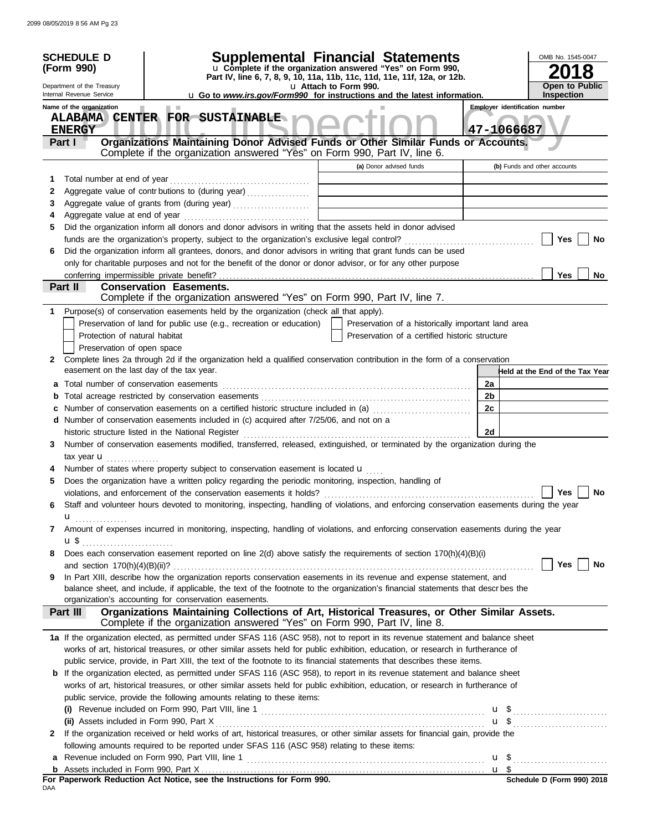|              | <b>SCHEDULE D</b><br>(Form 990)                        | <b>Supplemental Financial Statements</b><br>u Complete if the organization answered "Yes" on Form 990,<br>Part IV, line 6, 7, 8, 9, 10, 11a, 11b, 11c, 11d, 11e, 11f, 12a, or 12b. |                                                    |                | OMB No. 1545-0047<br>8          |
|--------------|--------------------------------------------------------|------------------------------------------------------------------------------------------------------------------------------------------------------------------------------------|----------------------------------------------------|----------------|---------------------------------|
|              | Department of the Treasury<br>Internal Revenue Service | <b>Open to Public</b><br><b>Inspection</b>                                                                                                                                         |                                                    |                |                                 |
|              | Name of the organization                               | u Go to www.irs.gov/Form990 for instructions and the latest information.<br>. .                                                                                                    |                                                    |                | Employer identification number  |
|              | <b>ENERGY</b>                                          | ALABAMA CENTER FOR SUSTAINABLE                                                                                                                                                     |                                                    | 47-1066687     |                                 |
|              | Part I                                                 | Organizations Maintaining Donor Advised Funds or Other Similar Funds or Accounts.<br>Complete if the organization answered "Yes" on Form 990, Part IV, line 6.                     |                                                    |                |                                 |
|              |                                                        |                                                                                                                                                                                    | (a) Donor advised funds                            |                | (b) Funds and other accounts    |
| 1            | Total number at end of year                            |                                                                                                                                                                                    |                                                    |                |                                 |
| 2            |                                                        | Aggregate value of contr butions to (during year)                                                                                                                                  |                                                    |                |                                 |
| 3            |                                                        | Aggregate value of grants from (during year)                                                                                                                                       |                                                    |                |                                 |
| 4            |                                                        |                                                                                                                                                                                    |                                                    |                |                                 |
| 5            |                                                        | Did the organization inform all donors and donor advisors in writing that the assets held in donor advised                                                                         |                                                    |                |                                 |
|              |                                                        |                                                                                                                                                                                    |                                                    |                | Yes<br>No                       |
| 6            |                                                        | Did the organization inform all grantees, donors, and donor advisors in writing that grant funds can be used                                                                       |                                                    |                |                                 |
|              |                                                        | only for charitable purposes and not for the benefit of the donor or donor advisor, or for any other purpose                                                                       |                                                    |                |                                 |
|              | conferring impermissible private benefit?<br>Part II   | <b>Conservation Easements.</b>                                                                                                                                                     |                                                    |                | <b>Yes</b><br>No                |
|              |                                                        | Complete if the organization answered "Yes" on Form 990, Part IV, line 7.                                                                                                          |                                                    |                |                                 |
| 1            |                                                        | Purpose(s) of conservation easements held by the organization (check all that apply).                                                                                              |                                                    |                |                                 |
|              |                                                        | Preservation of land for public use (e.g., recreation or education)                                                                                                                | Preservation of a historically important land area |                |                                 |
|              | Protection of natural habitat                          |                                                                                                                                                                                    | Preservation of a certified historic structure     |                |                                 |
|              | Preservation of open space                             |                                                                                                                                                                                    |                                                    |                |                                 |
| $\mathbf{2}$ |                                                        | Complete lines 2a through 2d if the organization held a qualified conservation contribution in the form of a conservation                                                          |                                                    |                |                                 |
|              | easement on the last day of the tax year.              |                                                                                                                                                                                    |                                                    |                | Held at the End of the Tax Year |
| а            | Total number of conservation easements                 |                                                                                                                                                                                    |                                                    | 2a             |                                 |
| b            |                                                        |                                                                                                                                                                                    |                                                    | 2 <sub>b</sub> |                                 |
|              |                                                        | Number of conservation easements on a certified historic structure included in (a) [11] Number of conservation easements on a certified historic structure included in (a)         |                                                    | 2c             |                                 |
|              |                                                        | d Number of conservation easements included in (c) acquired after 7/25/06, and not on a                                                                                            |                                                    |                |                                 |
|              |                                                        | historic structure listed in the National Register                                                                                                                                 |                                                    | 2d             |                                 |
| 3            |                                                        | Number of conservation easements modified, transferred, released, extinguished, or terminated by the organization during the                                                       |                                                    |                |                                 |
|              | tax year <b>u</b>                                      |                                                                                                                                                                                    |                                                    |                |                                 |
|              |                                                        | Number of states where property subject to conservation easement is located <b>u</b>                                                                                               |                                                    |                |                                 |
| 5            |                                                        | Does the organization have a written policy regarding the periodic monitoring, inspection, handling of                                                                             |                                                    |                |                                 |
|              |                                                        | violations, and enforcement of the conservation easements it holds?                                                                                                                |                                                    |                | <b>Yes</b><br>No                |
| 6            |                                                        | Staff and volunteer hours devoted to monitoring, inspecting, handling of violations, and enforcing conservation easements during the year                                          |                                                    |                |                                 |
|              | u                                                      |                                                                                                                                                                                    |                                                    |                |                                 |
| 7            |                                                        | Amount of expenses incurred in monitoring, inspecting, handling of violations, and enforcing conservation easements during the year                                                |                                                    |                |                                 |
|              | u\$                                                    |                                                                                                                                                                                    |                                                    |                |                                 |
| 8            |                                                        | Does each conservation easement reported on line 2(d) above satisfy the requirements of section 170(h)(4)(B)(i)                                                                    |                                                    |                |                                 |
|              |                                                        |                                                                                                                                                                                    |                                                    |                | Yes<br>No                       |
| 9            |                                                        | In Part XIII, describe how the organization reports conservation easements in its revenue and expense statement, and                                                               |                                                    |                |                                 |
|              |                                                        | balance sheet, and include, if applicable, the text of the footnote to the organization's financial statements that descrbes the                                                   |                                                    |                |                                 |
|              |                                                        | organization's accounting for conservation easements.                                                                                                                              |                                                    |                |                                 |
|              | Part III                                               | Organizations Maintaining Collections of Art, Historical Treasures, or Other Similar Assets.<br>Complete if the organization answered "Yes" on Form 990, Part IV, line 8.          |                                                    |                |                                 |
|              |                                                        |                                                                                                                                                                                    |                                                    |                |                                 |
|              |                                                        | 1a If the organization elected, as permitted under SFAS 116 (ASC 958), not to report in its revenue statement and balance sheet                                                    |                                                    |                |                                 |
|              |                                                        | works of art, historical treasures, or other similar assets held for public exhibition, education, or research in furtherance of                                                   |                                                    |                |                                 |
|              |                                                        | public service, provide, in Part XIII, the text of the footnote to its financial statements that describes these items.                                                            |                                                    |                |                                 |
| b            |                                                        | If the organization elected, as permitted under SFAS 116 (ASC 958), to report in its revenue statement and balance sheet                                                           |                                                    |                |                                 |
|              |                                                        | works of art, historical treasures, or other similar assets held for public exhibition, education, or research in furtherance of                                                   |                                                    |                |                                 |
|              |                                                        | public service, provide the following amounts relating to these items:                                                                                                             |                                                    |                |                                 |
|              |                                                        |                                                                                                                                                                                    |                                                    |                |                                 |
|              |                                                        | If the organization received or held works of art, historical treasures, or other similar assets for financial gain, provide the                                                   |                                                    |                |                                 |
| 2            |                                                        |                                                                                                                                                                                    |                                                    |                |                                 |
|              |                                                        | following amounts required to be reported under SFAS 116 (ASC 958) relating to these items:                                                                                        |                                                    |                |                                 |
| a            |                                                        |                                                                                                                                                                                    |                                                    |                |                                 |
|              |                                                        | For Paperwork Reduction Act Notice, see the Instructions for Form 990.                                                                                                             |                                                    |                | Schedule D (Form 990) 2018      |
| DAA          |                                                        |                                                                                                                                                                                    |                                                    |                |                                 |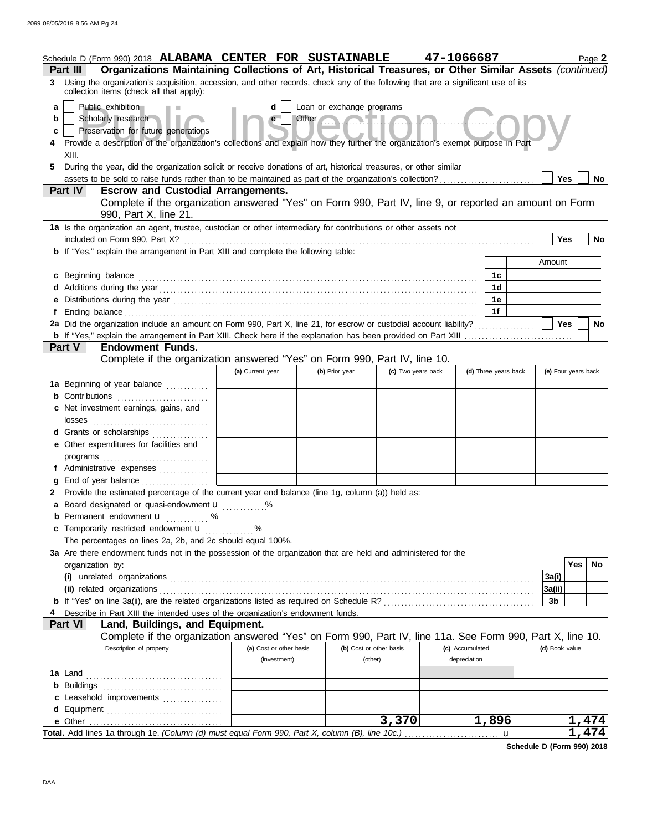|    | Schedule D (Form 990) 2018 ALABAMA CENTER FOR SUSTAINABLE                                                                                                                                                                                                        |                         |                           |                      | 47-1066687      |                      | Page 2              |           |
|----|------------------------------------------------------------------------------------------------------------------------------------------------------------------------------------------------------------------------------------------------------------------|-------------------------|---------------------------|----------------------|-----------------|----------------------|---------------------|-----------|
|    | Organizations Maintaining Collections of Art, Historical Treasures, or Other Similar Assets (continued)<br><b>Part III</b><br>3 Using the organization's acquisition, accession, and other records, check any of the following that are a significant use of its |                         |                           |                      |                 |                      |                     |           |
|    | collection items (check all that apply):                                                                                                                                                                                                                         |                         |                           |                      |                 |                      |                     |           |
| a  | Public exhibition                                                                                                                                                                                                                                                | d                       | Loan or exchange programs |                      |                 |                      |                     |           |
| b  | Scholarly research                                                                                                                                                                                                                                               | $\mathbf{e}$            | Other                     |                      |                 |                      |                     |           |
| c  | Preservation for future generations<br>Provide a description of the organization's collections and explain how they further the organization's exempt purpose in Part                                                                                            |                         |                           |                      |                 |                      |                     |           |
|    | XIII.                                                                                                                                                                                                                                                            |                         |                           |                      |                 |                      |                     |           |
| 5. | During the year, did the organization solicit or receive donations of art, historical treasures, or other similar                                                                                                                                                |                         |                           |                      |                 |                      |                     |           |
|    |                                                                                                                                                                                                                                                                  |                         |                           |                      |                 |                      | <b>Yes</b>          | No.       |
|    | Part IV<br><b>Escrow and Custodial Arrangements.</b>                                                                                                                                                                                                             |                         |                           |                      |                 |                      |                     |           |
|    | Complete if the organization answered "Yes" on Form 990, Part IV, line 9, or reported an amount on Form                                                                                                                                                          |                         |                           |                      |                 |                      |                     |           |
|    | 990, Part X, line 21.                                                                                                                                                                                                                                            |                         |                           |                      |                 |                      |                     |           |
|    | 1a Is the organization an agent, trustee, custodian or other intermediary for contributions or other assets not<br>included on Form 990, Part X?                                                                                                                 |                         |                           |                      |                 |                      | Yes                 | <b>No</b> |
|    | <b>b</b> If "Yes," explain the arrangement in Part XIII and complete the following table:                                                                                                                                                                        |                         |                           |                      |                 |                      |                     |           |
|    |                                                                                                                                                                                                                                                                  |                         |                           |                      |                 |                      | Amount              |           |
|    | c Beginning balance                                                                                                                                                                                                                                              |                         |                           |                      |                 | 1c                   |                     |           |
|    |                                                                                                                                                                                                                                                                  |                         |                           |                      |                 | 1d                   |                     |           |
|    |                                                                                                                                                                                                                                                                  |                         |                           |                      |                 | 1e                   |                     |           |
| f  |                                                                                                                                                                                                                                                                  |                         |                           |                      |                 | 1f                   |                     |           |
|    | 2a Did the organization include an amount on Form 990, Part X, line 21, for escrow or custodial account liability?                                                                                                                                               |                         |                           |                      |                 |                      | <b>Yes</b>          | No        |
|    | Part V<br><b>Endowment Funds.</b>                                                                                                                                                                                                                                |                         |                           |                      |                 |                      |                     |           |
|    | Complete if the organization answered "Yes" on Form 990, Part IV, line 10.                                                                                                                                                                                       |                         |                           |                      |                 |                      |                     |           |
|    |                                                                                                                                                                                                                                                                  | (a) Current year        | (b) Prior year            | (c) Two years back   |                 | (d) Three years back | (e) Four years back |           |
|    | 1a Beginning of year balance                                                                                                                                                                                                                                     |                         |                           |                      |                 |                      |                     |           |
|    | <b>b</b> Contr butions <b>contracts</b>                                                                                                                                                                                                                          |                         |                           |                      |                 |                      |                     |           |
|    | c Net investment earnings, gains, and<br>losses                                                                                                                                                                                                                  |                         |                           |                      |                 |                      |                     |           |
|    | <b>d</b> Grants or scholarships<br>.                                                                                                                                                                                                                             |                         |                           |                      |                 |                      |                     |           |
|    | e Other expenditures for facilities and                                                                                                                                                                                                                          |                         |                           |                      |                 |                      |                     |           |
|    |                                                                                                                                                                                                                                                                  |                         |                           |                      |                 |                      |                     |           |
|    | f Administrative expenses                                                                                                                                                                                                                                        |                         |                           |                      |                 |                      |                     |           |
|    | g End of year balance                                                                                                                                                                                                                                            |                         |                           |                      |                 |                      |                     |           |
|    | 2 Provide the estimated percentage of the current year end balance (line 1g, column (a)) held as:<br>a Board designated or quasi-endowment <b>u</b> %                                                                                                            |                         |                           |                      |                 |                      |                     |           |
|    | <b>b</b> Permanent endowment <b>u</b> %                                                                                                                                                                                                                          |                         |                           |                      |                 |                      |                     |           |
|    | c Temporarily restricted endowment <b>u</b> %                                                                                                                                                                                                                    |                         |                           |                      |                 |                      |                     |           |
|    | The percentages on lines 2a, 2b, and 2c should equal 100%.                                                                                                                                                                                                       |                         |                           |                      |                 |                      |                     |           |
|    | 3a Are there endowment funds not in the possession of the organization that are held and administered for the                                                                                                                                                    |                         |                           |                      |                 |                      |                     |           |
|    | organization by:                                                                                                                                                                                                                                                 |                         |                           |                      |                 |                      | <b>Yes</b>          | No        |
|    |                                                                                                                                                                                                                                                                  |                         |                           |                      |                 |                      | 3a(i)               |           |
|    |                                                                                                                                                                                                                                                                  |                         |                           |                      |                 |                      | 3a(ii)<br>3b        |           |
|    | Describe in Part XIII the intended uses of the organization's endowment funds.                                                                                                                                                                                   |                         |                           |                      |                 |                      |                     |           |
|    | <b>Part VI</b><br>Land, Buildings, and Equipment.                                                                                                                                                                                                                |                         |                           |                      |                 |                      |                     |           |
|    | Complete if the organization answered "Yes" on Form 990, Part IV, line 11a. See Form 990, Part X, line 10.                                                                                                                                                       |                         |                           |                      |                 |                      |                     |           |
|    | Description of property                                                                                                                                                                                                                                          | (a) Cost or other basis | (b) Cost or other basis   |                      | (c) Accumulated |                      | (d) Book value      |           |
|    |                                                                                                                                                                                                                                                                  | (investment)            | (other)                   |                      | depreciation    |                      |                     |           |
|    |                                                                                                                                                                                                                                                                  |                         |                           |                      |                 |                      |                     |           |
|    |                                                                                                                                                                                                                                                                  |                         |                           |                      |                 |                      |                     |           |
|    | c Leasehold improvements                                                                                                                                                                                                                                         |                         |                           |                      |                 |                      |                     |           |
|    |                                                                                                                                                                                                                                                                  |                         |                           | $\overline{3}$ , 370 |                 | 1,896                | 1,474               |           |
|    |                                                                                                                                                                                                                                                                  |                         |                           |                      |                 | u                    | 1,474               |           |

**Schedule D (Form 990) 2018**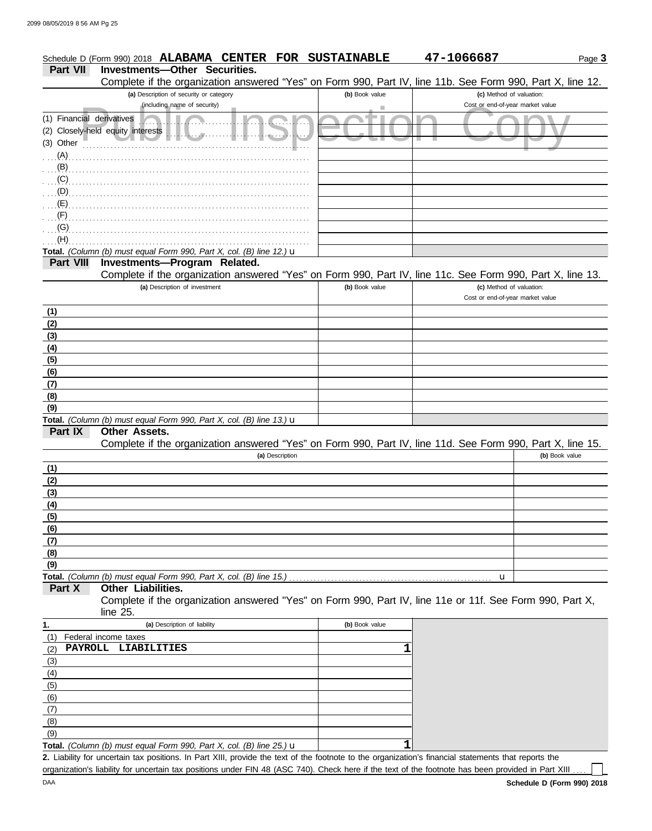|                           | Schedule D (Form 990) 2018 ALABAMA<br><b>CENTER FOR</b>                                                                                     | <b>SUSTAINABLE</b> | 47-1066687                       | Page 3         |
|---------------------------|---------------------------------------------------------------------------------------------------------------------------------------------|--------------------|----------------------------------|----------------|
| <b>Part VII</b>           | Investments-Other Securities.<br>Complete if the organization answered "Yes" on Form 990, Part IV, line 11b. See Form 990, Part X, line 12. |                    |                                  |                |
|                           | (a) Description of security or category                                                                                                     | (b) Book value     | (c) Method of valuation:         |                |
|                           | (including name of security)                                                                                                                | ш                  | Cost or end-of-year market value |                |
| (1) Financial derivatives |                                                                                                                                             | . .                |                                  |                |
|                           | (2) Closely-held equity interests                                                                                                           |                    |                                  |                |
| (3) Other                 |                                                                                                                                             |                    |                                  |                |
|                           | (A)                                                                                                                                         |                    |                                  |                |
| (B)                       |                                                                                                                                             |                    |                                  |                |
| (C)                       |                                                                                                                                             |                    |                                  |                |
| (D)                       |                                                                                                                                             |                    |                                  |                |
| (E)                       |                                                                                                                                             |                    |                                  |                |
|                           |                                                                                                                                             |                    |                                  |                |
| (G)                       |                                                                                                                                             |                    |                                  |                |
| (H)                       |                                                                                                                                             |                    |                                  |                |
|                           | Total. (Column (b) must equal Form 990, Part X, col. (B) line 12.) $\mathbf u$                                                              |                    |                                  |                |
| <b>Part VIII</b>          | Investments-Program Related.                                                                                                                |                    |                                  |                |
|                           | Complete if the organization answered "Yes" on Form 990, Part IV, line 11c. See Form 990, Part X, line 13.                                  |                    |                                  |                |
|                           | (a) Description of investment                                                                                                               | (b) Book value     | (c) Method of valuation:         |                |
|                           |                                                                                                                                             |                    | Cost or end-of-year market value |                |
|                           |                                                                                                                                             |                    |                                  |                |
| (1)                       |                                                                                                                                             |                    |                                  |                |
| (2)                       |                                                                                                                                             |                    |                                  |                |
| (3)                       |                                                                                                                                             |                    |                                  |                |
| (4)                       |                                                                                                                                             |                    |                                  |                |
| (5)                       |                                                                                                                                             |                    |                                  |                |
| (6)                       |                                                                                                                                             |                    |                                  |                |
| (7)                       |                                                                                                                                             |                    |                                  |                |
| (8)                       |                                                                                                                                             |                    |                                  |                |
| (9)                       |                                                                                                                                             |                    |                                  |                |
| Part IX                   | Total. (Column (b) must equal Form 990, Part X, col. (B) line 13.) $\mathbf u$<br><b>Other Assets.</b>                                      |                    |                                  |                |
|                           | Complete if the organization answered "Yes" on Form 990, Part IV, line 11d. See Form 990, Part X, line 15.                                  |                    |                                  |                |
|                           | (a) Description                                                                                                                             |                    |                                  | (b) Book value |
| (1)                       |                                                                                                                                             |                    |                                  |                |
| (2)                       |                                                                                                                                             |                    |                                  |                |
| (3)                       |                                                                                                                                             |                    |                                  |                |
| (4)                       |                                                                                                                                             |                    |                                  |                |
| (5)                       |                                                                                                                                             |                    |                                  |                |
| (6)                       |                                                                                                                                             |                    |                                  |                |
|                           |                                                                                                                                             |                    |                                  |                |
| (7)                       |                                                                                                                                             |                    |                                  |                |
| (8)                       |                                                                                                                                             |                    |                                  |                |
| (9)                       |                                                                                                                                             |                    |                                  |                |
| Part X                    | Total. (Column (b) must equal Form 990, Part X, col. (B) line 15.)<br>Other Liabilities.                                                    |                    | u                                |                |
|                           | Complete if the organization answered "Yes" on Form 990, Part IV, line 11e or 11f. See Form 990, Part X,                                    |                    |                                  |                |
|                           | line 25.                                                                                                                                    |                    |                                  |                |
|                           | (a) Description of liability                                                                                                                | (b) Book value     |                                  |                |
| 1.<br>(1)                 |                                                                                                                                             |                    |                                  |                |
|                           | Federal income taxes<br>PAYROLL LIABILITIES                                                                                                 | 1                  |                                  |                |
| (2)                       |                                                                                                                                             |                    |                                  |                |
| (3)                       |                                                                                                                                             |                    |                                  |                |
| (4)                       |                                                                                                                                             |                    |                                  |                |
| (5)                       |                                                                                                                                             |                    |                                  |                |
| (6)                       |                                                                                                                                             |                    |                                  |                |
| (7)                       |                                                                                                                                             |                    |                                  |                |
| (8)                       |                                                                                                                                             |                    |                                  |                |
| (9)                       |                                                                                                                                             | 1                  |                                  |                |
|                           | Total. (Column (b) must equal Form 990, Part X, col. (B) line 25.) $\mathbf u$                                                              |                    |                                  |                |

Liability for uncertain tax positions. In Part XIII, provide the text of the footnote to the organization's financial statements that reports the **2.** organization's liability for uncertain tax positions under FIN 48 (ASC 740). Check here if the text of the footnote has been provided in Part XIII ..

 $\Box$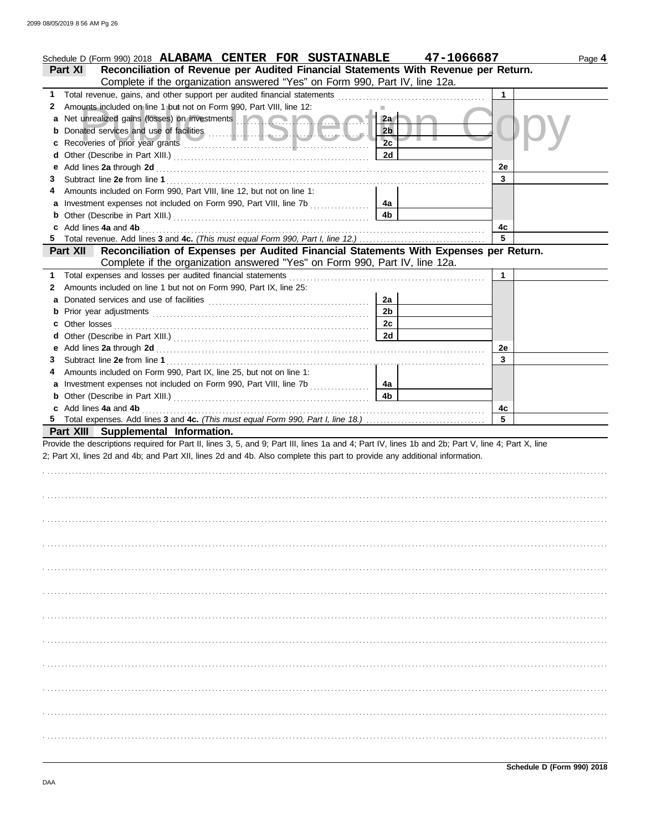|    | Schedule D (Form 990) 2018 ALABAMA CENTER FOR SUSTAINABLE                                                                                                                                                                            |                      | 47-1066687 | Page 4 |
|----|--------------------------------------------------------------------------------------------------------------------------------------------------------------------------------------------------------------------------------------|----------------------|------------|--------|
|    | Reconciliation of Revenue per Audited Financial Statements With Revenue per Return.<br><b>Part XI</b>                                                                                                                                |                      |            |        |
|    | Complete if the organization answered "Yes" on Form 990, Part IV, line 12a.                                                                                                                                                          |                      |            |        |
| 1. |                                                                                                                                                                                                                                      |                      | 1          |        |
| 2  | Amounts included on line 1 but not on Form 990, Part VIII, line 12:                                                                                                                                                                  |                      |            |        |
|    | a Net unrealized gains (losses) on investments <b>and a strategie of the strategie of the strategie of the strategie of the strategie of the strategie of the strategie of the strategie of the strategie of the strategie of th</b> | 2a                   |            |        |
|    |                                                                                                                                                                                                                                      | 2 <sub>b</sub><br>2c |            |        |
| c  |                                                                                                                                                                                                                                      |                      |            |        |
| d  |                                                                                                                                                                                                                                      | 2d                   |            |        |
|    |                                                                                                                                                                                                                                      |                      | 2e         |        |
| 3  |                                                                                                                                                                                                                                      |                      | 3          |        |
|    | Amounts included on Form 990, Part VIII, line 12, but not on line 1:                                                                                                                                                                 |                      |            |        |
|    |                                                                                                                                                                                                                                      | 4a                   |            |        |
|    | <b>b</b> Other (Describe in Part XIII.) <b>CONSIDENT DESCRIPTION DESCRIPTION DESCRIPTION DESCRIPTION DESCRIPTION DESCRIPTION DESCRIPTION DESCRIPTION DESCRIPTION DESCRIPTION DESCRIPTION DESCRIPTION DESCRI</b>                      | 4 <sub>b</sub>       |            |        |
|    | c Add lines 4a and 4b (a) and the contract of the contract of the contract of the contract of the contract of the contract of the contract of the contract of the contract of the contract of the contract of the contract of        |                      | 4c<br>5    |        |
|    | 5 Total revenue. Add lines 3 and 4c. (This must equal Form 990, Part I, line 12.)                                                                                                                                                    |                      |            |        |
|    | Reconciliation of Expenses per Audited Financial Statements With Expenses per Return.<br><b>Part XII</b>                                                                                                                             |                      |            |        |
|    | Complete if the organization answered "Yes" on Form 990, Part IV, line 12a.                                                                                                                                                          |                      |            |        |
| 1  |                                                                                                                                                                                                                                      |                      | 1          |        |
| 2  | Amounts included on line 1 but not on Form 990, Part IX, line 25:                                                                                                                                                                    |                      |            |        |
| а  |                                                                                                                                                                                                                                      | 2a                   |            |        |
|    |                                                                                                                                                                                                                                      | 2 <sub>b</sub>       |            |        |
|    |                                                                                                                                                                                                                                      | 2c                   |            |        |
|    |                                                                                                                                                                                                                                      | 2d                   |            |        |
|    |                                                                                                                                                                                                                                      |                      | 2e         |        |
| 3  |                                                                                                                                                                                                                                      |                      | 3          |        |
|    | Amounts included on Form 990, Part IX, line 25, but not on line 1:                                                                                                                                                                   |                      |            |        |
|    |                                                                                                                                                                                                                                      | 4a                   |            |        |
|    | <b>b</b> Other (Describe in Part XIII.) <b>CONSIDENT DESCRIPTION DESCRIPTION DESCRIPTION DESCRIPTION DESCRIPTION DESCRIPTION DESCRIPTION DESCRIPTION DESCRIPTION DESCRIPTION DESCRIPTION DESCRIPTION DESCRI</b>                      | 4 <sub>b</sub>       |            |        |
|    | c Add lines 4a and 4b (a) and the contract of the contract of the contract of the contract of the contract of the contract of the contract of the contract of the contract of the contract of the contract of the contract of        |                      | 4c         |        |
|    |                                                                                                                                                                                                                                      |                      | 5          |        |
|    | Part XIII Supplemental Information.                                                                                                                                                                                                  |                      |            |        |
|    | Provide the descriptions required for Part II, lines 3, 5, and 9; Part III, lines 1a and 4; Part IV, lines 1b and 2b; Part V, line 4; Part X, line                                                                                   |                      |            |        |
|    | 2; Part XI, lines 2d and 4b; and Part XII, lines 2d and 4b. Also complete this part to provide any additional information.                                                                                                           |                      |            |        |
|    |                                                                                                                                                                                                                                      |                      |            |        |
|    |                                                                                                                                                                                                                                      |                      |            |        |
|    |                                                                                                                                                                                                                                      |                      |            |        |
|    |                                                                                                                                                                                                                                      |                      |            |        |
|    |                                                                                                                                                                                                                                      |                      |            |        |
|    |                                                                                                                                                                                                                                      |                      |            |        |
|    |                                                                                                                                                                                                                                      |                      |            |        |
|    |                                                                                                                                                                                                                                      |                      |            |        |
|    |                                                                                                                                                                                                                                      |                      |            |        |
|    |                                                                                                                                                                                                                                      |                      |            |        |
|    |                                                                                                                                                                                                                                      |                      |            |        |
|    |                                                                                                                                                                                                                                      |                      |            |        |
|    |                                                                                                                                                                                                                                      |                      |            |        |
|    |                                                                                                                                                                                                                                      |                      |            |        |
|    |                                                                                                                                                                                                                                      |                      |            |        |
|    |                                                                                                                                                                                                                                      |                      |            |        |
|    |                                                                                                                                                                                                                                      |                      |            |        |
|    |                                                                                                                                                                                                                                      |                      |            |        |
|    |                                                                                                                                                                                                                                      |                      |            |        |
|    |                                                                                                                                                                                                                                      |                      |            |        |
|    |                                                                                                                                                                                                                                      |                      |            |        |
|    |                                                                                                                                                                                                                                      |                      |            |        |
|    |                                                                                                                                                                                                                                      |                      |            |        |
|    |                                                                                                                                                                                                                                      |                      |            |        |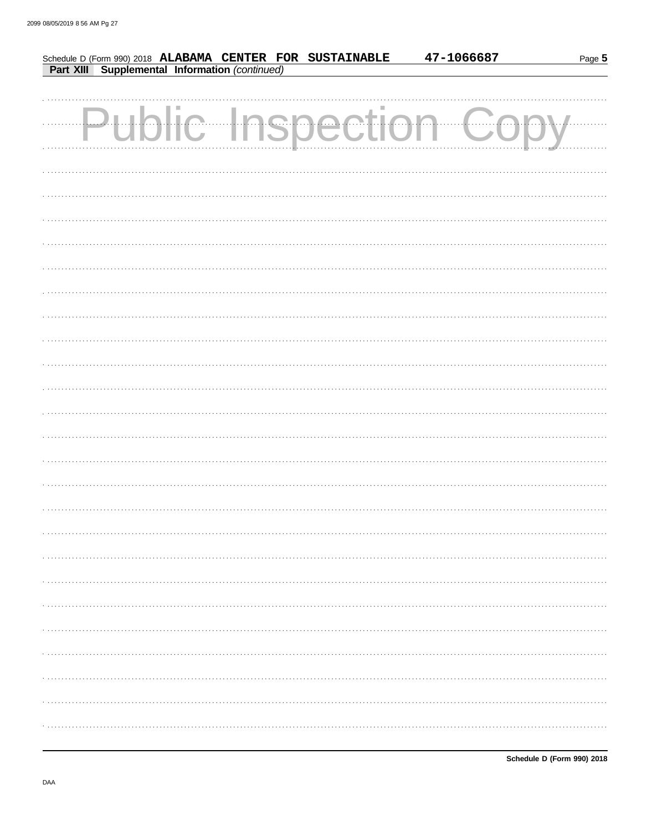|  |  | Schedule D (Form 990) 2018 ALABAMA CENTER FOR SUSTAINABLE Part XIII Supplemental Information (continued) | 47-1066687           | Page 5 |
|--|--|----------------------------------------------------------------------------------------------------------|----------------------|--------|
|  |  |                                                                                                          |                      |        |
|  |  |                                                                                                          |                      |        |
|  |  |                                                                                                          | Public Inspection Co |        |
|  |  |                                                                                                          |                      |        |
|  |  |                                                                                                          |                      |        |
|  |  |                                                                                                          |                      |        |
|  |  |                                                                                                          |                      |        |
|  |  |                                                                                                          |                      |        |
|  |  |                                                                                                          |                      |        |
|  |  |                                                                                                          |                      |        |
|  |  |                                                                                                          |                      |        |
|  |  |                                                                                                          |                      |        |
|  |  |                                                                                                          |                      |        |
|  |  |                                                                                                          |                      |        |
|  |  |                                                                                                          |                      |        |
|  |  |                                                                                                          |                      |        |
|  |  |                                                                                                          |                      |        |
|  |  |                                                                                                          |                      |        |
|  |  |                                                                                                          |                      |        |
|  |  |                                                                                                          |                      |        |
|  |  |                                                                                                          |                      |        |
|  |  |                                                                                                          |                      |        |
|  |  |                                                                                                          |                      |        |
|  |  |                                                                                                          |                      |        |
|  |  |                                                                                                          |                      |        |
|  |  |                                                                                                          |                      |        |
|  |  |                                                                                                          |                      |        |
|  |  |                                                                                                          |                      |        |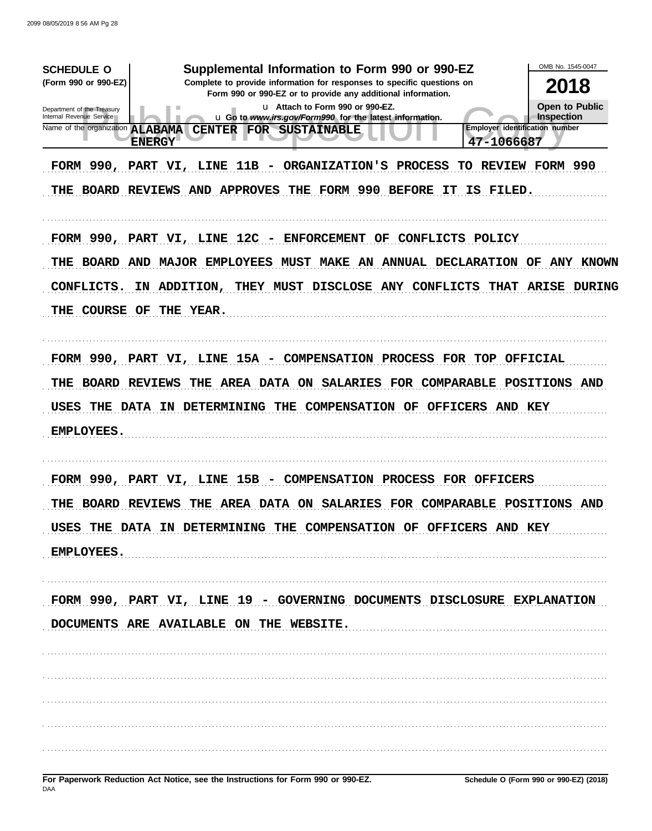OMB No. 1545-0047 Supplemental Information to Form 990 or 990-EZ **SCHEDULE O** (Form 990 or 990-EZ) Complete to provide information for responses to specific questions on 2018 Form 990 or 990-EZ or to provide any additional information. **Open to Public** u Attach to Form 990 or 990-EZ. Department of the Treasury<br>Internal Revenue Service u Go to www.irs.gov/Form990 for the latest information. **Inspection** Name of the organization **ALABAMA Employer identification number** CENTER FOR SUSTAINABLE 47-1066687 **ENERGY** FORM 990, PART VI, LINE 11B - ORGANIZATION'S PROCESS TO REVIEW FORM 990 THE BOARD REVIEWS AND APPROVES THE FORM 990 BEFORE IT IS FILED. FORM 990, PART VI, LINE 12C - ENFORCEMENT OF CONFLICTS POLICY THE BOARD AND MAJOR EMPLOYEES MUST MAKE AN ANNUAL DECLARATION OF ANY KNOWN CONFLICTS. IN ADDITION, THEY MUST DISCLOSE ANY CONFLICTS THAT ARISE DURING THE COURSE OF THE YEAR. FORM 990, PART VI, LINE 15A - COMPENSATION PROCESS FOR TOP OFFICIAL THE BOARD REVIEWS THE AREA DATA ON SALARIES FOR COMPARABLE POSITIONS AND USES THE DATA IN DETERMINING THE COMPENSATION OF OFFICERS AND KEY EMPLOYEES. FORM 990, PART VI, LINE 15B - COMPENSATION PROCESS FOR OFFICERS THE BOARD REVIEWS THE AREA DATA ON SALARIES FOR COMPARABLE POSITIONS AND USES THE DATA IN DETERMINING THE COMPENSATION OF OFFICERS AND KEY EMPLOYEES. FORM 990, PART VI, LINE 19 - GOVERNING DOCUMENTS DISCLOSURE EXPLANATION DOCUMENTS ARE AVAILABLE ON THE WEBSITE.